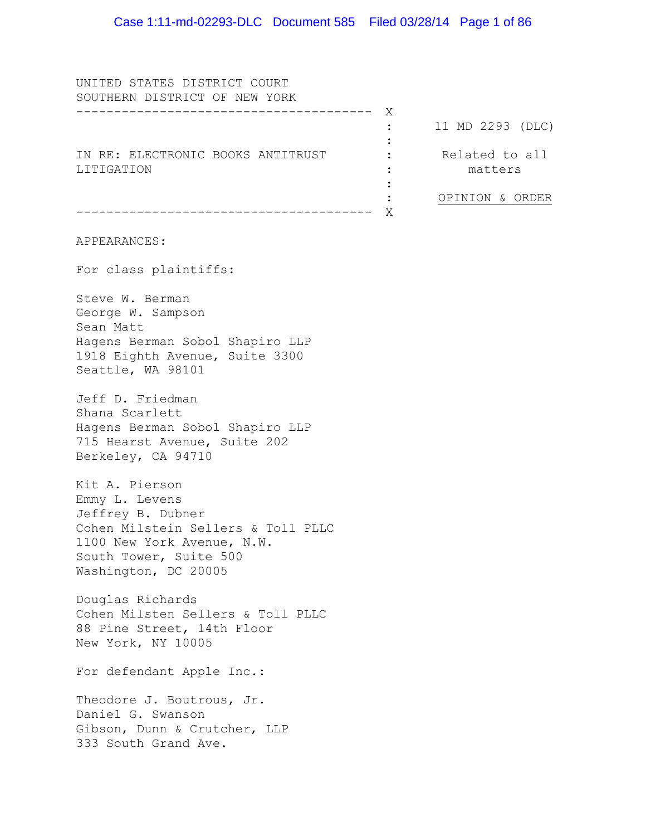UNITED STATES DISTRICT COURT SOUTHERN DISTRICT OF NEW YORK --------------------------------------- X IN RE: ELECTRONIC BOOKS ANTITRUST LITIGATION --------------------------------------- X APPEARANCES: For class plaintiffs: Steve W. Berman George W. Sampson Sean Matt Hagens Berman Sobol Shapiro LLP 1918 Eighth Avenue, Suite 3300 Seattle, WA 98101 Jeff D. Friedman Shana Scarlett Hagens Berman Sobol Shapiro LLP 715 Hearst Avenue, Suite 202 Berkeley, CA 94710 Kit A. Pierson Emmy L. Levens Jeffrey B. Dubner Cohen Milstein Sellers & Toll PLLC 1100 New York Avenue, N.W. South Tower, Suite 500 Washington, DC 20005 Douglas Richards Cohen Milsten Sellers & Toll PLLC 88 Pine Street, 14th Floor New York, NY 10005 For defendant Apple Inc.: Theodore J. Boutrous, Jr. Daniel G. Swanson Gibson, Dunn & Crutcher, LLP 333 South Grand Ave. : 11 MD 2293 (DLC) :  $\cdot$  : : : : Related to all matters OPINION & ORDER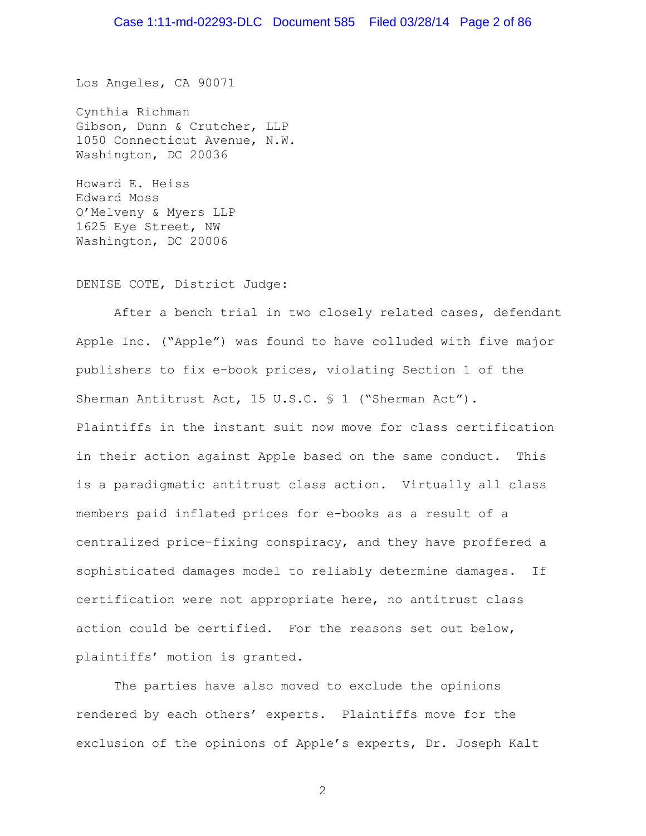Los Angeles, CA 90071

Cynthia Richman Gibson, Dunn & Crutcher, LLP 1050 Connecticut Avenue, N.W. Washington, DC 20036

Howard E. Heiss Edward Moss O'Melveny & Myers LLP 1625 Eye Street, NW Washington, DC 20006

DENISE COTE, District Judge:

After a bench trial in two closely related cases, defendant Apple Inc. ("Apple") was found to have colluded with five major publishers to fix e-book prices, violating Section 1 of the Sherman Antitrust Act, 15 U.S.C. § 1 ("Sherman Act"). Plaintiffs in the instant suit now move for class certification in their action against Apple based on the same conduct. This is a paradigmatic antitrust class action. Virtually all class members paid inflated prices for e-books as a result of a centralized price-fixing conspiracy, and they have proffered a sophisticated damages model to reliably determine damages. If certification were not appropriate here, no antitrust class action could be certified. For the reasons set out below, plaintiffs' motion is granted.

The parties have also moved to exclude the opinions rendered by each others' experts. Plaintiffs move for the exclusion of the opinions of Apple's experts, Dr. Joseph Kalt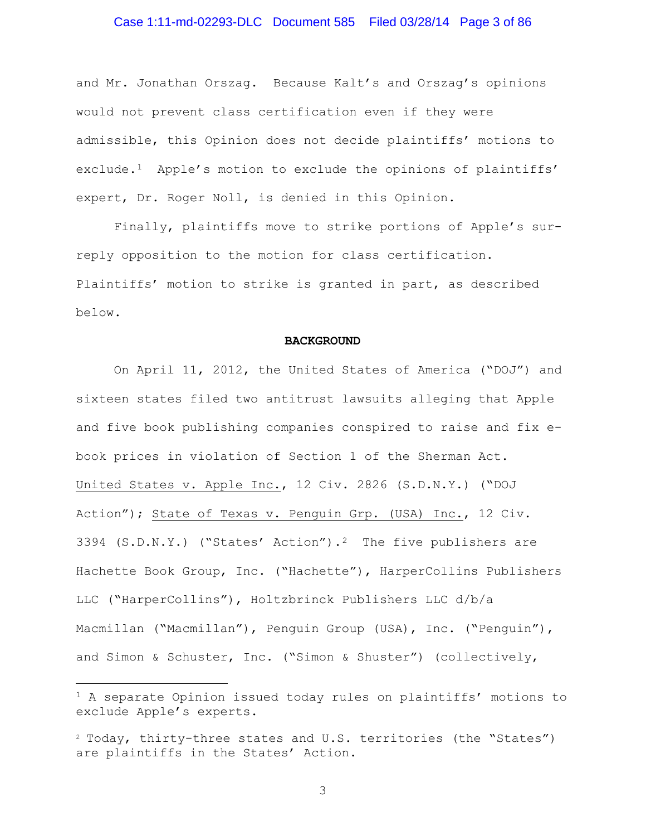### Case 1:11-md-02293-DLC Document 585 Filed 03/28/14 Page 3 of 86

and Mr. Jonathan Orszag. Because Kalt's and Orszag's opinions would not prevent class certification even if they were admissible, this Opinion does not decide plaintiffs' motions to exclude.[1](#page-2-0) Apple's motion to exclude the opinions of plaintiffs' expert, Dr. Roger Noll, is denied in this Opinion.

Finally, plaintiffs move to strike portions of Apple's surreply opposition to the motion for class certification. Plaintiffs' motion to strike is granted in part, as described below.

#### **BACKGROUND**

On April 11, 2012, the United States of America ("DOJ") and sixteen states filed two antitrust lawsuits alleging that Apple and five book publishing companies conspired to raise and fix ebook prices in violation of Section 1 of the Sherman Act. United States v. Apple Inc., 12 Civ. 2826 (S.D.N.Y.) ("DOJ Action"); State of Texas v. Penguin Grp. (USA) Inc., 12 Civ. 3394 (S.D.N.Y.) ("States' Action").<sup>2</sup> The five publishers are Hachette Book Group, Inc. ("Hachette"), HarperCollins Publishers LLC ("HarperCollins"), Holtzbrinck Publishers LLC d/b/a Macmillan ("Macmillan"), Penguin Group (USA), Inc. ("Penguin"), and Simon & Schuster, Inc. ("Simon & Shuster") (collectively,

Ĩ.

<span id="page-2-0"></span><sup>1</sup> A separate Opinion issued today rules on plaintiffs' motions to exclude Apple's experts.

<span id="page-2-1"></span><sup>2</sup> Today, thirty-three states and U.S. territories (the "States") are plaintiffs in the States' Action.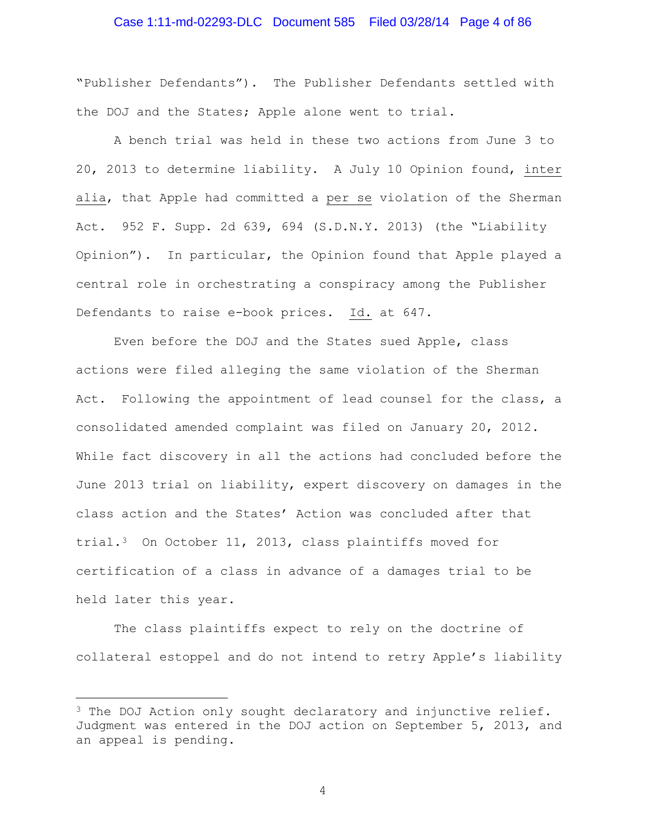# Case 1:11-md-02293-DLC Document 585 Filed 03/28/14 Page 4 of 86

"Publisher Defendants"). The Publisher Defendants settled with the DOJ and the States; Apple alone went to trial.

A bench trial was held in these two actions from June 3 to 20, 2013 to determine liability. A July 10 Opinion found, inter alia, that Apple had committed a per se violation of the Sherman Act. 952 F. Supp. 2d 639, 694 (S.D.N.Y. 2013) (the "Liability Opinion"). In particular, the Opinion found that Apple played a central role in orchestrating a conspiracy among the Publisher Defendants to raise e-book prices. Id. at 647.

Even before the DOJ and the States sued Apple, class actions were filed alleging the same violation of the Sherman Act. Following the appointment of lead counsel for the class, a consolidated amended complaint was filed on January 20, 2012. While fact discovery in all the actions had concluded before the June 2013 trial on liability, expert discovery on damages in the class action and the States' Action was concluded after that trial.[3](#page-3-0) On October 11, 2013, class plaintiffs moved for certification of a class in advance of a damages trial to be held later this year.

The class plaintiffs expect to rely on the doctrine of collateral estoppel and do not intend to retry Apple's liability

<span id="page-3-0"></span> $3$  The DOJ Action only sought declaratory and injunctive relief. Judgment was entered in the DOJ action on September 5, 2013, and an appeal is pending. Ĩ.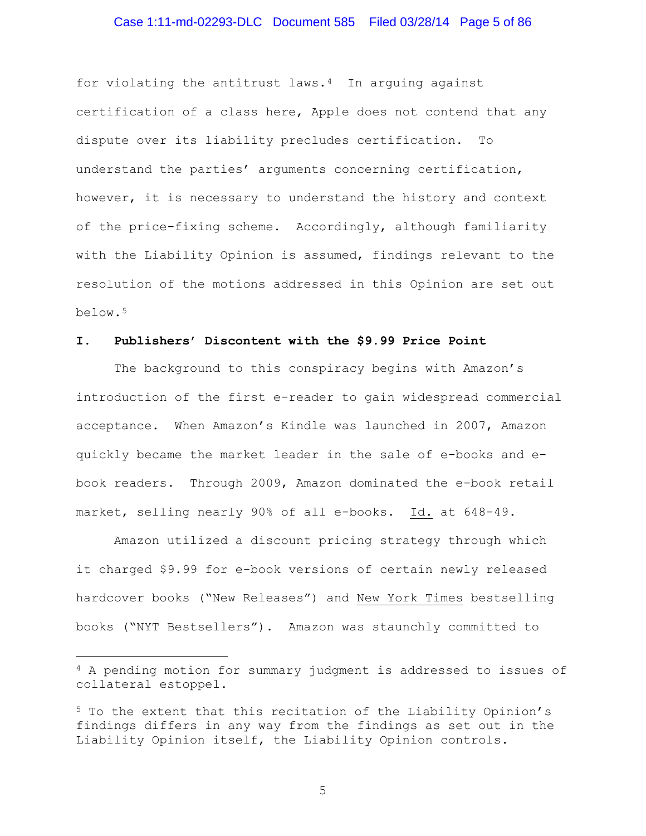# Case 1:11-md-02293-DLC Document 585 Filed 03/28/14 Page 5 of 86

for violating the antitrust laws. $4$  In arguing against certification of a class here, Apple does not contend that any dispute over its liability precludes certification. To understand the parties' arguments concerning certification, however, it is necessary to understand the history and context of the price-fixing scheme. Accordingly, although familiarity with the Liability Opinion is assumed, findings relevant to the resolution of the motions addressed in this Opinion are set out below.[5](#page-4-1)

## **I. Publishers' Discontent with the \$9.99 Price Point**

The background to this conspiracy begins with Amazon's introduction of the first e-reader to gain widespread commercial acceptance. When Amazon's Kindle was launched in 2007, Amazon quickly became the market leader in the sale of e-books and ebook readers. Through 2009, Amazon dominated the e-book retail market, selling nearly 90% of all e-books. Id. at 648-49.

Amazon utilized a discount pricing strategy through which it charged \$9.99 for e-book versions of certain newly released hardcover books ("New Releases") and New York Times bestselling books ("NYT Bestsellers"). Amazon was staunchly committed to

Ĩ.

<span id="page-4-0"></span><sup>4</sup> A pending motion for summary judgment is addressed to issues of collateral estoppel.

<span id="page-4-1"></span><sup>5</sup> To the extent that this recitation of the Liability Opinion's findings differs in any way from the findings as set out in the Liability Opinion itself, the Liability Opinion controls.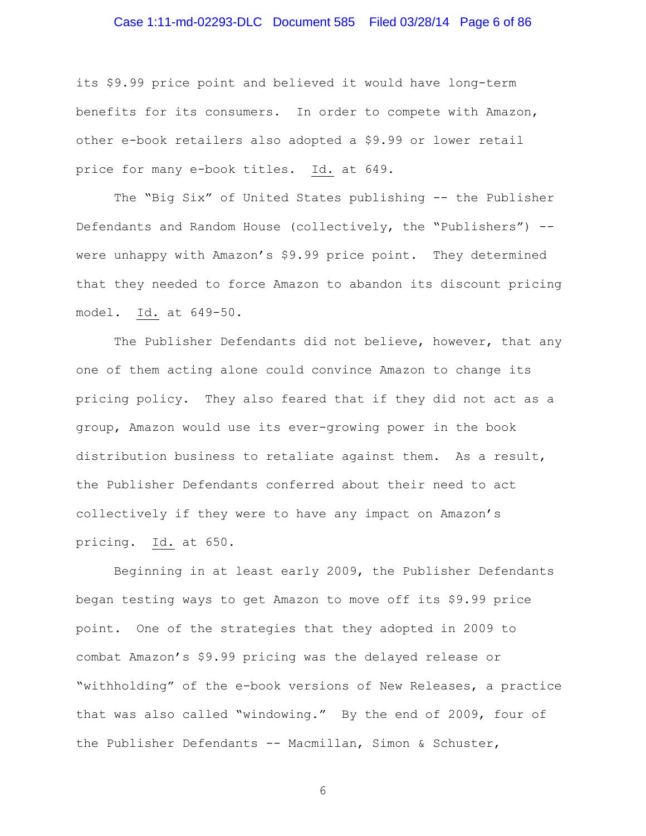# Case 1:11-md-02293-DLC Document 585 Filed 03/28/14 Page 6 of 86

its \$9.99 price point and believed it would have long-term benefits for its consumers. In order to compete with Amazon, other e-book retailers also adopted a \$9.99 or lower retail price for many e-book titles. Id. at 649.

The "Big Six" of United States publishing -- the Publisher Defendants and Random House (collectively, the "Publishers") - were unhappy with Amazon's \$9.99 price point. They determined that they needed to force Amazon to abandon its discount pricing model. Id. at 649-50.

The Publisher Defendants did not believe, however, that any one of them acting alone could convince Amazon to change its pricing policy. They also feared that if they did not act as a group, Amazon would use its ever-growing power in the book distribution business to retaliate against them. As a result, the Publisher Defendants conferred about their need to act collectively if they were to have any impact on Amazon's pricing. Id. at 650.

Beginning in at least early 2009, the Publisher Defendants began testing ways to get Amazon to move off its \$9.99 price point. One of the strategies that they adopted in 2009 to combat Amazon's \$9.99 pricing was the delayed release or "withholding" of the e-book versions of New Releases, a practice that was also called "windowing." By the end of 2009, four of the Publisher Defendants -- Macmillan, Simon & Schuster,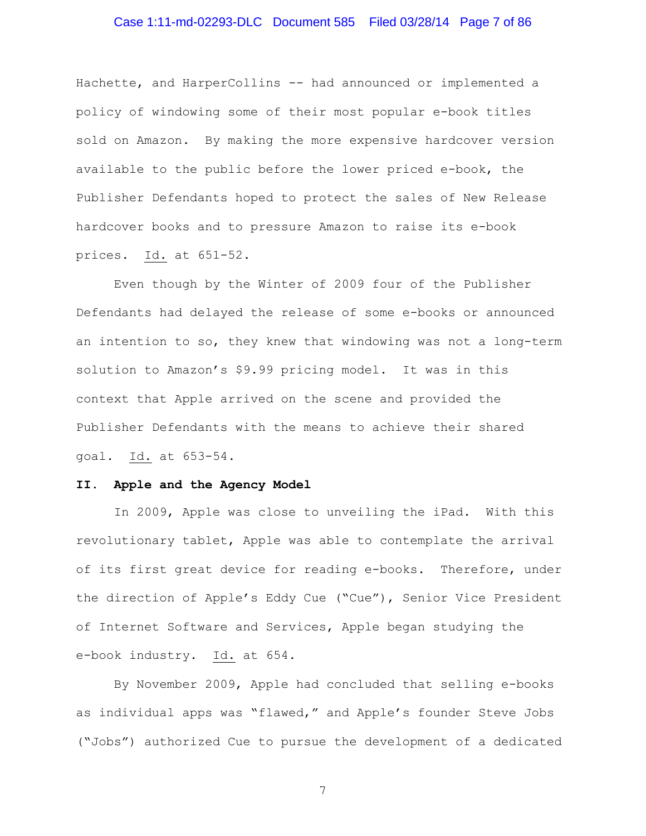# Case 1:11-md-02293-DLC Document 585 Filed 03/28/14 Page 7 of 86

Hachette, and HarperCollins -- had announced or implemented a policy of windowing some of their most popular e-book titles sold on Amazon. By making the more expensive hardcover version available to the public before the lower priced e-book, the Publisher Defendants hoped to protect the sales of New Release hardcover books and to pressure Amazon to raise its e-book prices. Id. at 651-52.

Even though by the Winter of 2009 four of the Publisher Defendants had delayed the release of some e-books or announced an intention to so, they knew that windowing was not a long-term solution to Amazon's \$9.99 pricing model. It was in this context that Apple arrived on the scene and provided the Publisher Defendants with the means to achieve their shared goal. Id. at 653-54.

#### **II. Apple and the Agency Model**

In 2009, Apple was close to unveiling the iPad. With this revolutionary tablet, Apple was able to contemplate the arrival of its first great device for reading e-books. Therefore, under the direction of Apple's Eddy Cue ("Cue"), Senior Vice President of Internet Software and Services, Apple began studying the e-book industry. Id. at 654.

By November 2009, Apple had concluded that selling e-books as individual apps was "flawed," and Apple's founder Steve Jobs ("Jobs") authorized Cue to pursue the development of a dedicated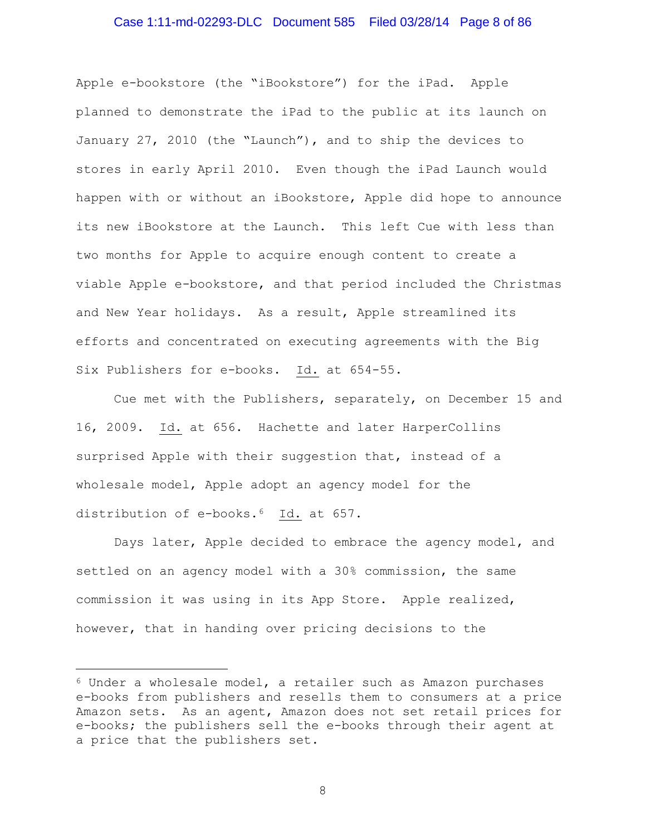### Case 1:11-md-02293-DLC Document 585 Filed 03/28/14 Page 8 of 86

Apple e-bookstore (the "iBookstore") for the iPad. Apple planned to demonstrate the iPad to the public at its launch on January 27, 2010 (the "Launch"), and to ship the devices to stores in early April 2010. Even though the iPad Launch would happen with or without an iBookstore, Apple did hope to announce its new iBookstore at the Launch. This left Cue with less than two months for Apple to acquire enough content to create a viable Apple e-bookstore, and that period included the Christmas and New Year holidays. As a result, Apple streamlined its efforts and concentrated on executing agreements with the Big Six Publishers for e-books. Id. at 654-55.

Cue met with the Publishers, separately, on December 15 and 16, 2009. Id. at 656. Hachette and later HarperCollins surprised Apple with their suggestion that, instead of a wholesale model, Apple adopt an agency model for the distribution of e-books.<sup>[6](#page-7-0)</sup> Id. at 657.

Days later, Apple decided to embrace the agency model, and settled on an agency model with a 30% commission, the same commission it was using in its App Store. Apple realized, however, that in handing over pricing decisions to the

Ĩ.

<span id="page-7-0"></span> $6$  Under a wholesale model, a retailer such as Amazon purchases e-books from publishers and resells them to consumers at a price Amazon sets. As an agent, Amazon does not set retail prices for e-books; the publishers sell the e-books through their agent at a price that the publishers set.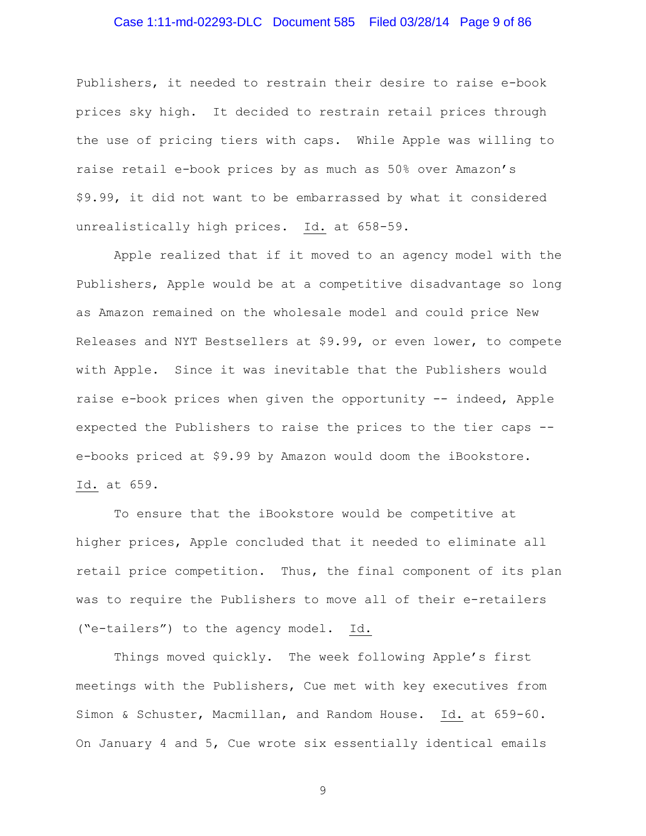# Case 1:11-md-02293-DLC Document 585 Filed 03/28/14 Page 9 of 86

Publishers, it needed to restrain their desire to raise e-book prices sky high. It decided to restrain retail prices through the use of pricing tiers with caps. While Apple was willing to raise retail e-book prices by as much as 50% over Amazon's \$9.99, it did not want to be embarrassed by what it considered unrealistically high prices. Id. at 658-59.

Apple realized that if it moved to an agency model with the Publishers, Apple would be at a competitive disadvantage so long as Amazon remained on the wholesale model and could price New Releases and NYT Bestsellers at \$9.99, or even lower, to compete with Apple. Since it was inevitable that the Publishers would raise e-book prices when given the opportunity -- indeed, Apple expected the Publishers to raise the prices to the tier caps - e-books priced at \$9.99 by Amazon would doom the iBookstore. Id. at 659.

To ensure that the iBookstore would be competitive at higher prices, Apple concluded that it needed to eliminate all retail price competition. Thus, the final component of its plan was to require the Publishers to move all of their e-retailers ("e-tailers") to the agency model. Id.

Things moved quickly. The week following Apple's first meetings with the Publishers, Cue met with key executives from Simon & Schuster, Macmillan, and Random House. Id. at 659-60. On January 4 and 5, Cue wrote six essentially identical emails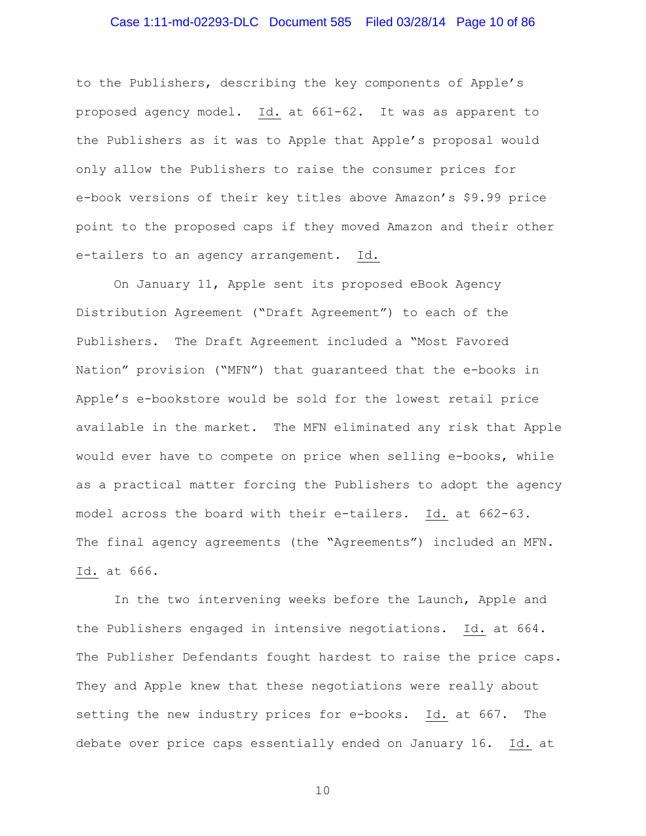### Case 1:11-md-02293-DLC Document 585 Filed 03/28/14 Page 10 of 86

to the Publishers, describing the key components of Apple's proposed agency model. Id. at 661-62. It was as apparent to the Publishers as it was to Apple that Apple's proposal would only allow the Publishers to raise the consumer prices for e-book versions of their key titles above Amazon's \$9.99 price point to the proposed caps if they moved Amazon and their other e-tailers to an agency arrangement. Id.

On January 11, Apple sent its proposed eBook Agency Distribution Agreement ("Draft Agreement") to each of the Publishers. The Draft Agreement included a "Most Favored Nation" provision ("MFN") that guaranteed that the e-books in Apple's e-bookstore would be sold for the lowest retail price available in the market. The MFN eliminated any risk that Apple would ever have to compete on price when selling e-books, while as a practical matter forcing the Publishers to adopt the agency model across the board with their e-tailers. Id. at 662-63. The final agency agreements (the "Agreements") included an MFN. Id. at 666.

In the two intervening weeks before the Launch, Apple and the Publishers engaged in intensive negotiations. Id. at 664. The Publisher Defendants fought hardest to raise the price caps. They and Apple knew that these negotiations were really about setting the new industry prices for e-books. Id. at 667. The debate over price caps essentially ended on January 16. Id. at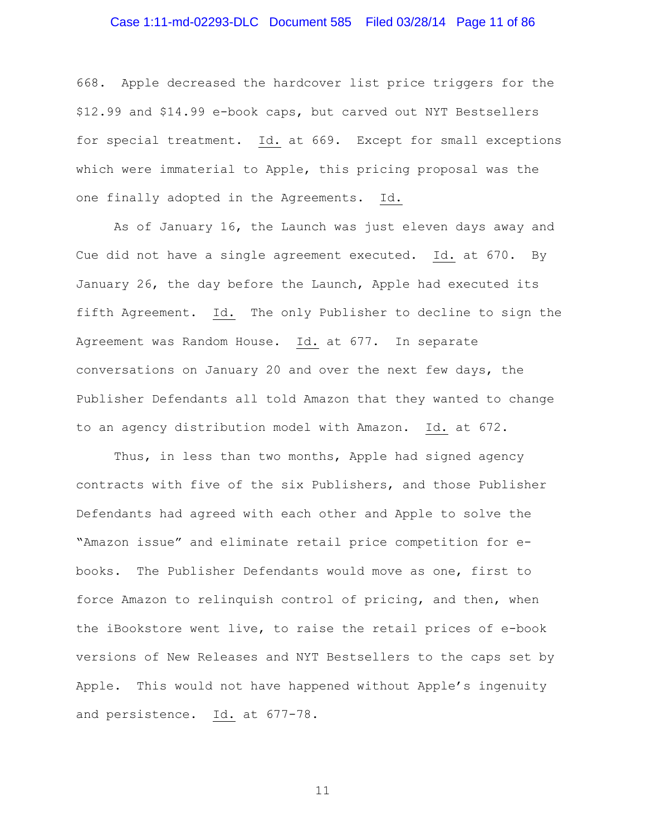### Case 1:11-md-02293-DLC Document 585 Filed 03/28/14 Page 11 of 86

668. Apple decreased the hardcover list price triggers for the \$12.99 and \$14.99 e-book caps, but carved out NYT Bestsellers for special treatment. Id. at 669. Except for small exceptions which were immaterial to Apple, this pricing proposal was the one finally adopted in the Agreements. Id.

As of January 16, the Launch was just eleven days away and Cue did not have a single agreement executed. Id. at 670. By January 26, the day before the Launch, Apple had executed its fifth Agreement. Id. The only Publisher to decline to sign the Agreement was Random House. Id. at 677. In separate conversations on January 20 and over the next few days, the Publisher Defendants all told Amazon that they wanted to change to an agency distribution model with Amazon. Id. at 672.

Thus, in less than two months, Apple had signed agency contracts with five of the six Publishers, and those Publisher Defendants had agreed with each other and Apple to solve the "Amazon issue" and eliminate retail price competition for ebooks. The Publisher Defendants would move as one, first to force Amazon to relinquish control of pricing, and then, when the iBookstore went live, to raise the retail prices of e-book versions of New Releases and NYT Bestsellers to the caps set by Apple. This would not have happened without Apple's ingenuity and persistence. Id. at 677-78.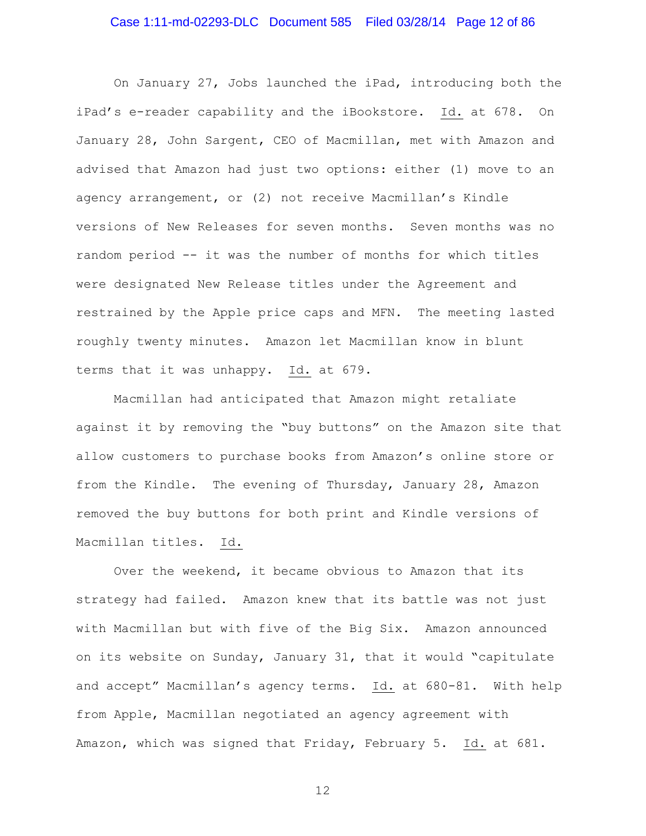### Case 1:11-md-02293-DLC Document 585 Filed 03/28/14 Page 12 of 86

On January 27, Jobs launched the iPad, introducing both the iPad's e-reader capability and the iBookstore. Id. at 678. On January 28, John Sargent, CEO of Macmillan, met with Amazon and advised that Amazon had just two options: either (1) move to an agency arrangement, or (2) not receive Macmillan's Kindle versions of New Releases for seven months. Seven months was no random period -- it was the number of months for which titles were designated New Release titles under the Agreement and restrained by the Apple price caps and MFN. The meeting lasted roughly twenty minutes. Amazon let Macmillan know in blunt terms that it was unhappy. Id. at 679.

Macmillan had anticipated that Amazon might retaliate against it by removing the "buy buttons" on the Amazon site that allow customers to purchase books from Amazon's online store or from the Kindle. The evening of Thursday, January 28, Amazon removed the buy buttons for both print and Kindle versions of Macmillan titles. Id.

Over the weekend, it became obvious to Amazon that its strategy had failed. Amazon knew that its battle was not just with Macmillan but with five of the Big Six. Amazon announced on its website on Sunday, January 31, that it would "capitulate and accept" Macmillan's agency terms. Id. at 680-81. With help from Apple, Macmillan negotiated an agency agreement with Amazon, which was signed that Friday, February 5. Id. at 681.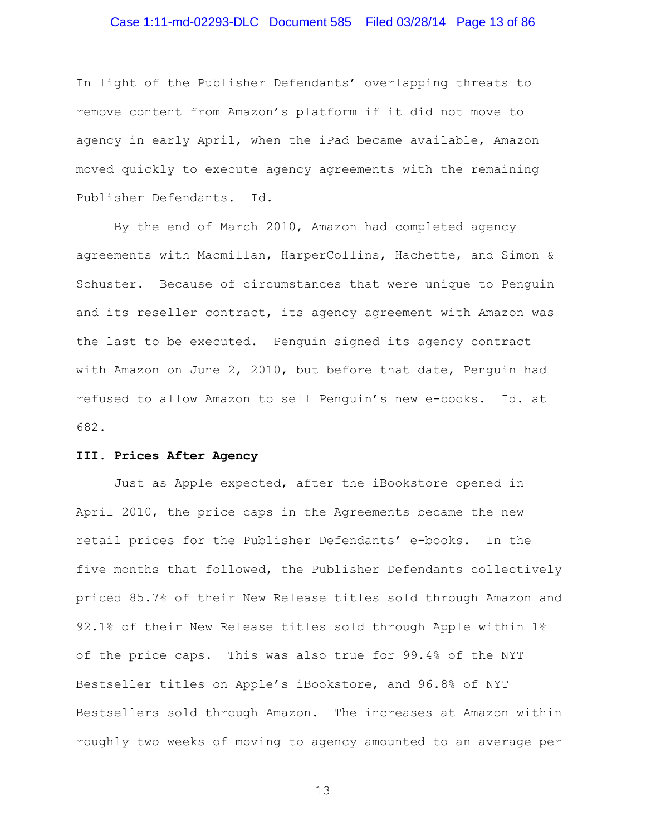### Case 1:11-md-02293-DLC Document 585 Filed 03/28/14 Page 13 of 86

In light of the Publisher Defendants' overlapping threats to remove content from Amazon's platform if it did not move to agency in early April, when the iPad became available, Amazon moved quickly to execute agency agreements with the remaining Publisher Defendants. Id.

By the end of March 2010, Amazon had completed agency agreements with Macmillan, HarperCollins, Hachette, and Simon & Schuster. Because of circumstances that were unique to Penguin and its reseller contract, its agency agreement with Amazon was the last to be executed. Penguin signed its agency contract with Amazon on June 2, 2010, but before that date, Penguin had refused to allow Amazon to sell Penguin's new e-books. Id. at 682.

### **III. Prices After Agency**

Just as Apple expected, after the iBookstore opened in April 2010, the price caps in the Agreements became the new retail prices for the Publisher Defendants' e-books. In the five months that followed, the Publisher Defendants collectively priced 85.7% of their New Release titles sold through Amazon and 92.1% of their New Release titles sold through Apple within 1% of the price caps. This was also true for 99.4% of the NYT Bestseller titles on Apple's iBookstore, and 96.8% of NYT Bestsellers sold through Amazon. The increases at Amazon within roughly two weeks of moving to agency amounted to an average per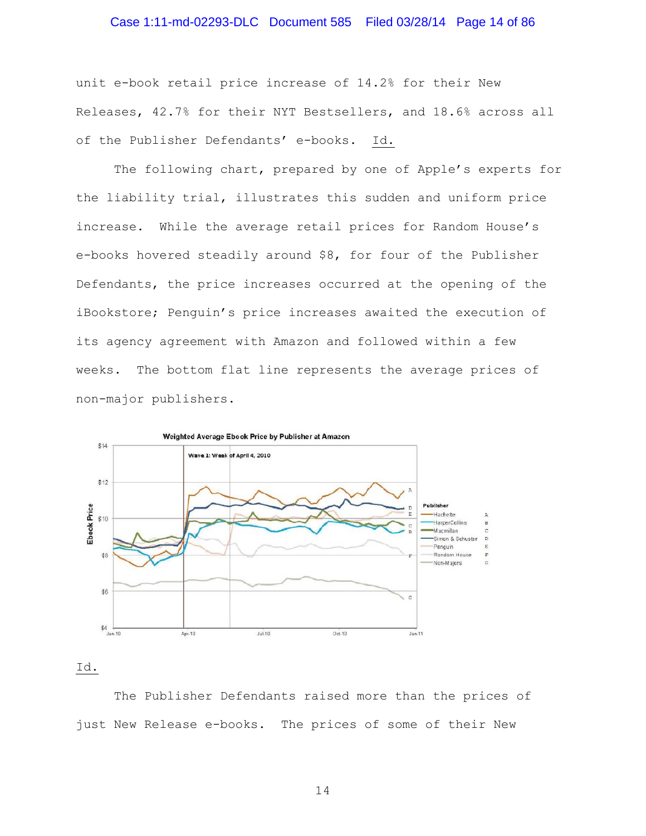# Case 1:11-md-02293-DLC Document 585 Filed 03/28/14 Page 14 of 86

unit e-book retail price increase of 14.2% for their New Releases, 42.7% for their NYT Bestsellers, and 18.6% across all of the Publisher Defendants' e-books. Id.

The following chart, prepared by one of Apple's experts for the liability trial, illustrates this sudden and uniform price increase. While the average retail prices for Random House's e-books hovered steadily around \$8, for four of the Publisher Defendants, the price increases occurred at the opening of the iBookstore; Penguin's price increases awaited the execution of its agency agreement with Amazon and followed within a few weeks. The bottom flat line represents the average prices of non-major publishers.



Id.

The Publisher Defendants raised more than the prices of just New Release e-books. The prices of some of their New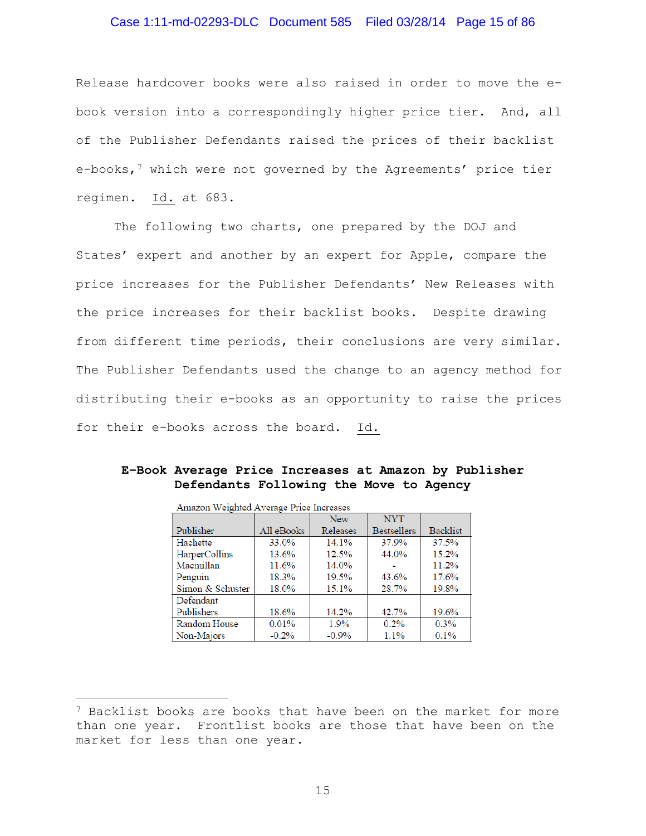### Case 1:11-md-02293-DLC Document 585 Filed 03/28/14 Page 15 of 86

Release hardcover books were also raised in order to move the ebook version into a correspondingly higher price tier. And, all of the Publisher Defendants raised the prices of their backlist e-books,<sup>7</sup> which were not governed by the Agreements' price tier regimen. Id. at 683.

The following two charts, one prepared by the DOJ and States' expert and another by an expert for Apple, compare the price increases for the Publisher Defendants' New Releases with the price increases for their backlist books. Despite drawing from different time periods, their conclusions are very similar. The Publisher Defendants used the change to an agency method for distributing their e-books as an opportunity to raise the prices for their e-books across the board. Id.

| Amazon Weighted Average Price Increases |            |            |                    |          |  |
|-----------------------------------------|------------|------------|--------------------|----------|--|
|                                         |            | <b>New</b> | <b>NYT</b>         |          |  |
| Publisher                               | All eBooks | Releases   | <b>Bestsellers</b> | Backlist |  |
| Hachette                                | 33.0%      | 14.1%      | 37.9%              | 37.5%    |  |
| HarperCollins                           | 13.6%      | 12.5%      | 44.0%              | 15.2%    |  |
| Macmillan                               | 11.6%      | 14.0%      |                    | 11.2%    |  |
| Penguin                                 | 18.3%      | 19.5%      | 43.6%              | 17.6%    |  |
| Simon & Schuster                        | 18.0%      | 15.1%      | 28.7%              | 19.8%    |  |
| Defendant                               |            |            |                    |          |  |
| Publishers                              | 18.6%      | 14.2%      | 42.7%              | 19.6%    |  |
| Random House                            | 0.01%      | 1.9%       | 0.2%               | 0.3%     |  |
| Non-Majors                              | $-0.2%$    | $-0.9%$    | 1.1%               | 0.1%     |  |

**E–Book Average Price Increases at Amazon by Publisher Defendants Following the Move to Agency** 

Ĩ.

<span id="page-14-0"></span> $7$  Backlist books are books that have been on the market for more than one year. Frontlist books are those that have been on the market for less than one year.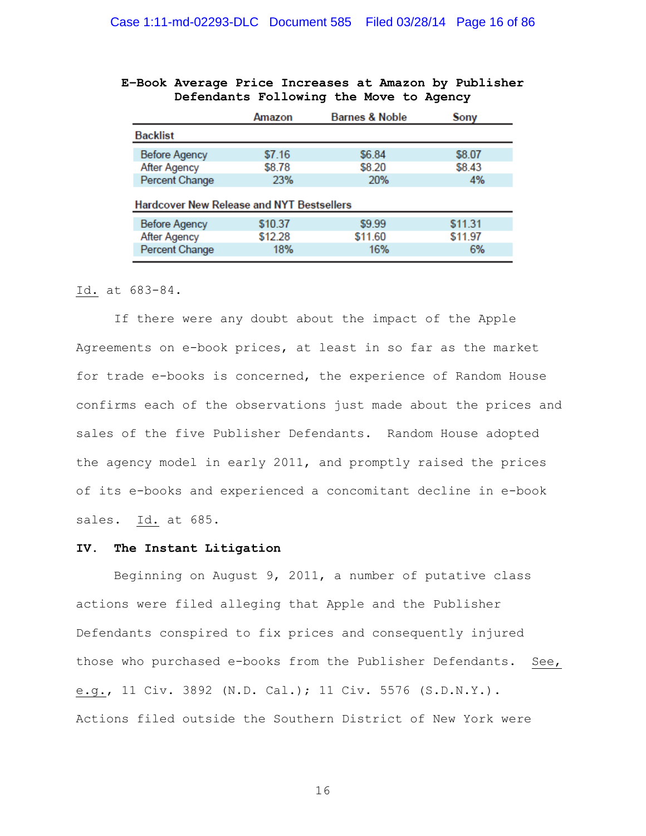|                                                  | Amazon  | <b>Barnes &amp; Noble</b> | Sony    |
|--------------------------------------------------|---------|---------------------------|---------|
| <b>Backlist</b>                                  |         |                           |         |
| <b>Before Agency</b>                             | \$7.16  | \$6.84                    | \$8.07  |
| After Agency                                     | \$8.78  | \$8.20                    | \$8.43  |
| Percent Change                                   | 23%     | 20%                       | 4%      |
| <b>Hardcover New Release and NYT Bestsellers</b> |         |                           |         |
| <b>Before Agency</b>                             | \$10.37 | \$9.99                    | \$11.31 |

\$11.60

16%

\$11.97

6%

\$12.28

18%

### **E–Book Average Price Increases at Amazon by Publisher Defendants Following the Move to Agency**

#### Id. at 683-84.

**After Agency** 

Percent Change

If there were any doubt about the impact of the Apple Agreements on e-book prices, at least in so far as the market for trade e-books is concerned, the experience of Random House confirms each of the observations just made about the prices and sales of the five Publisher Defendants. Random House adopted the agency model in early 2011, and promptly raised the prices of its e-books and experienced a concomitant decline in e-book sales. Id. at 685.

#### **IV. The Instant Litigation**

Beginning on August 9, 2011, a number of putative class actions were filed alleging that Apple and the Publisher Defendants conspired to fix prices and consequently injured those who purchased e-books from the Publisher Defendants. See, e.g., 11 Civ. 3892 (N.D. Cal.); 11 Civ. 5576 (S.D.N.Y.). Actions filed outside the Southern District of New York were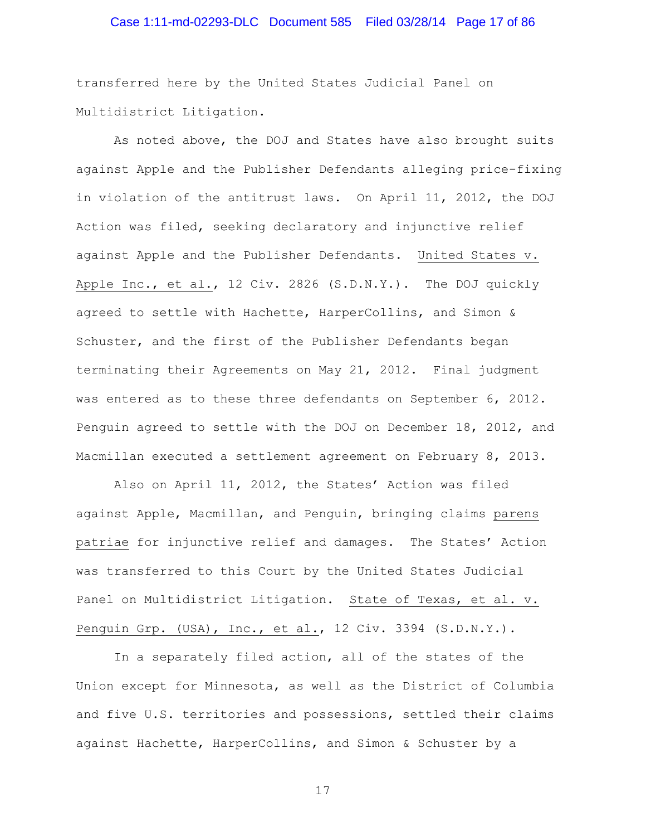# Case 1:11-md-02293-DLC Document 585 Filed 03/28/14 Page 17 of 86

transferred here by the United States Judicial Panel on Multidistrict Litigation.

As noted above, the DOJ and States have also brought suits against Apple and the Publisher Defendants alleging price-fixing in violation of the antitrust laws. On April 11, 2012, the DOJ Action was filed, seeking declaratory and injunctive relief against Apple and the Publisher Defendants. United States v. Apple Inc., et al., 12 Civ. 2826 (S.D.N.Y.). The DOJ quickly agreed to settle with Hachette, HarperCollins, and Simon & Schuster, and the first of the Publisher Defendants began terminating their Agreements on May 21, 2012. Final judgment was entered as to these three defendants on September 6, 2012. Penguin agreed to settle with the DOJ on December 18, 2012, and Macmillan executed a settlement agreement on February 8, 2013.

Also on April 11, 2012, the States' Action was filed against Apple, Macmillan, and Penguin, bringing claims parens patriae for injunctive relief and damages. The States' Action was transferred to this Court by the United States Judicial Panel on Multidistrict Litigation. State of Texas, et al. v. Penguin Grp. (USA), Inc., et al., 12 Civ. 3394 (S.D.N.Y.).

In a separately filed action, all of the states of the Union except for Minnesota, as well as the District of Columbia and five U.S. territories and possessions, settled their claims against Hachette, HarperCollins, and Simon & Schuster by a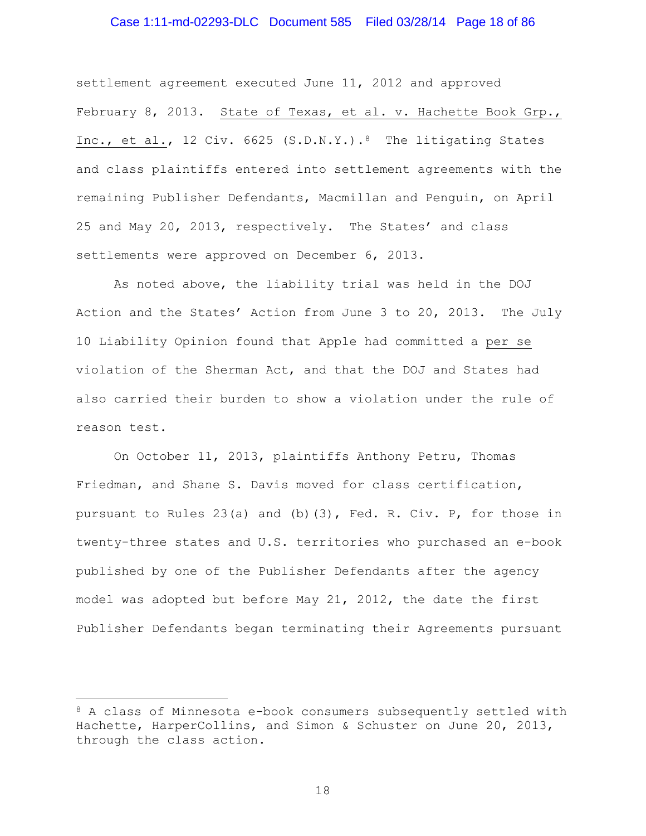### Case 1:11-md-02293-DLC Document 585 Filed 03/28/14 Page 18 of 86

settlement agreement executed June 11, 2012 and approved February 8, 2013. State of Texas, et al. v. Hachette Book Grp., Inc., et al., 12 Civ. 6625 (S.D.N.Y.).<sup>8</sup> The litigating States and class plaintiffs entered into settlement agreements with the remaining Publisher Defendants, Macmillan and Penguin, on April 25 and May 20, 2013, respectively. The States' and class settlements were approved on December 6, 2013.

As noted above, the liability trial was held in the DOJ Action and the States' Action from June 3 to 20, 2013. The July 10 Liability Opinion found that Apple had committed a per se violation of the Sherman Act, and that the DOJ and States had also carried their burden to show a violation under the rule of reason test.

On October 11, 2013, plaintiffs Anthony Petru, Thomas Friedman, and Shane S. Davis moved for class certification, pursuant to Rules 23(a) and (b)(3), Fed. R. Civ. P, for those in twenty-three states and U.S. territories who purchased an e-book published by one of the Publisher Defendants after the agency model was adopted but before May 21, 2012, the date the first Publisher Defendants began terminating their Agreements pursuant

<span id="page-17-0"></span><sup>8</sup> A class of Minnesota e-book consumers subsequently settled with Hachette, HarperCollins, and Simon & Schuster on June 20, 2013, through the class action. Ĩ.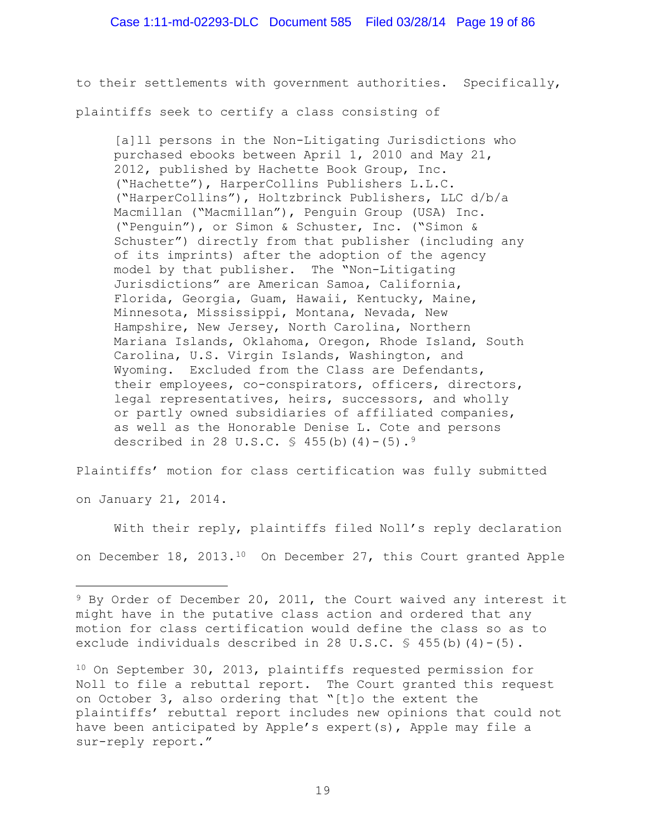to their settlements with government authorities. Specifically, plaintiffs seek to certify a class consisting of

[a]ll persons in the Non-Litigating Jurisdictions who purchased ebooks between April 1, 2010 and May 21, 2012, published by Hachette Book Group, Inc. ("Hachette"), HarperCollins Publishers L.L.C. ("HarperCollins"), Holtzbrinck Publishers, LLC d/b/a Macmillan ("Macmillan"), Penguin Group (USA) Inc. ("Penguin"), or Simon & Schuster, Inc. ("Simon & Schuster") directly from that publisher (including any of its imprints) after the adoption of the agency model by that publisher. The "Non-Litigating Jurisdictions" are American Samoa, California, Florida, Georgia, Guam, Hawaii, Kentucky, Maine, Minnesota, Mississippi, Montana, Nevada, New Hampshire, New Jersey, North Carolina, Northern Mariana Islands, Oklahoma, Oregon, Rhode Island, South Carolina, U.S. Virgin Islands, Washington, and Wyoming. Excluded from the Class are Defendants, their employees, co-conspirators, officers, directors, legal representatives, heirs, successors, and wholly or partly owned subsidiaries of affiliated companies, as well as the Honorable Denise L. Cote and persons described in 28 U.S.C.  $\frac{1}{5}$  455(b)(4)-(5).<sup>[9](#page-18-0)</sup>

Plaintiffs' motion for class certification was fully submitted

on January 21, 2014.

With their reply, plaintiffs filed Noll's reply declaration on December 18, 2013.<sup>[10](#page-18-1)</sup> On December 27, this Court granted Apple

<span id="page-18-0"></span><sup>&</sup>lt;sup>9</sup> By Order of December 20, 2011, the Court waived any interest it might have in the putative class action and ordered that any motion for class certification would define the class so as to exclude individuals described in 28 U.S.C.  $\frac{1}{5}$  455(b)(4)-(5). Ĩ.

<span id="page-18-1"></span><sup>10</sup> On September 30, 2013, plaintiffs requested permission for Noll to file a rebuttal report. The Court granted this request on October 3, also ordering that "[t]o the extent the plaintiffs' rebuttal report includes new opinions that could not have been anticipated by Apple's expert(s), Apple may file a sur-reply report."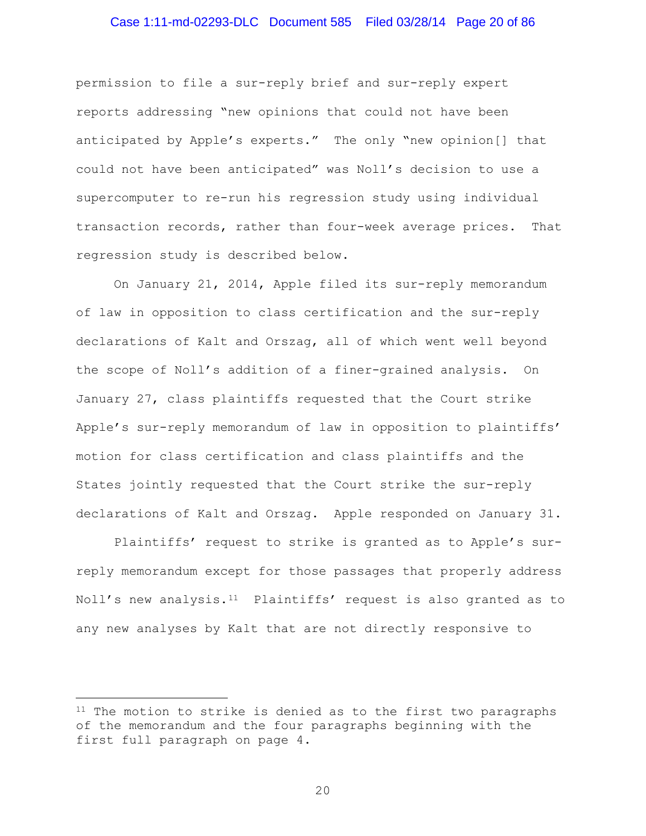### Case 1:11-md-02293-DLC Document 585 Filed 03/28/14 Page 20 of 86

permission to file a sur-reply brief and sur-reply expert reports addressing "new opinions that could not have been anticipated by Apple's experts." The only "new opinion[] that could not have been anticipated" was Noll's decision to use a supercomputer to re-run his regression study using individual transaction records, rather than four-week average prices. That regression study is described below.

On January 21, 2014, Apple filed its sur-reply memorandum of law in opposition to class certification and the sur-reply declarations of Kalt and Orszag, all of which went well beyond the scope of Noll's addition of a finer-grained analysis. On January 27, class plaintiffs requested that the Court strike Apple's sur-reply memorandum of law in opposition to plaintiffs' motion for class certification and class plaintiffs and the States jointly requested that the Court strike the sur-reply declarations of Kalt and Orszag. Apple responded on January 31.

Plaintiffs' request to strike is granted as to Apple's surreply memorandum except for those passages that properly address Noll's new analysis.<sup>11</sup> Plaintiffs' request is also granted as to any new analyses by Kalt that are not directly responsive to

Ĩ.

<span id="page-19-0"></span><sup>&</sup>lt;sup>11</sup> The motion to strike is denied as to the first two paragraphs of the memorandum and the four paragraphs beginning with the first full paragraph on page 4.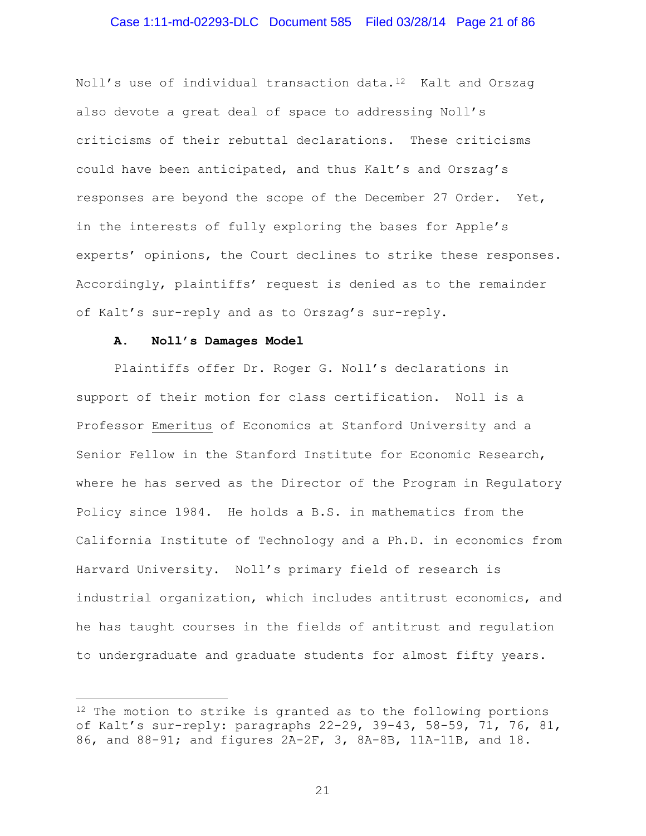### Case 1:11-md-02293-DLC Document 585 Filed 03/28/14 Page 21 of 86

Noll's use of individual transaction data.[12](#page-20-0) Kalt and Orszag also devote a great deal of space to addressing Noll's criticisms of their rebuttal declarations. These criticisms could have been anticipated, and thus Kalt's and Orszag's responses are beyond the scope of the December 27 Order. Yet, in the interests of fully exploring the bases for Apple's experts' opinions, the Court declines to strike these responses. Accordingly, plaintiffs' request is denied as to the remainder of Kalt's sur-reply and as to Orszag's sur-reply.

#### **A. Noll's Damages Model**

Plaintiffs offer Dr. Roger G. Noll's declarations in support of their motion for class certification. Noll is a Professor Emeritus of Economics at Stanford University and a Senior Fellow in the Stanford Institute for Economic Research, where he has served as the Director of the Program in Regulatory Policy since 1984. He holds a B.S. in mathematics from the California Institute of Technology and a Ph.D. in economics from Harvard University. Noll's primary field of research is industrial organization, which includes antitrust economics, and he has taught courses in the fields of antitrust and regulation to undergraduate and graduate students for almost fifty years.

<span id="page-20-0"></span> $12$  The motion to strike is granted as to the following portions of Kalt's sur-reply: paragraphs 22-29, 39-43, 58-59, 71, 76, 81, 86, and 88-91; and figures 2A-2F, 3, 8A-8B, 11A-11B, and 18. Ĩ.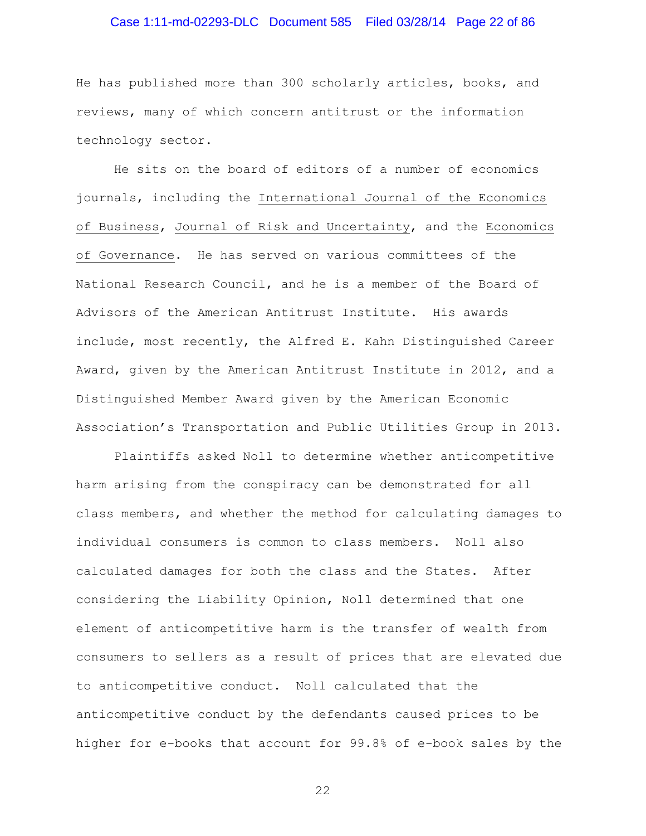# Case 1:11-md-02293-DLC Document 585 Filed 03/28/14 Page 22 of 86

He has published more than 300 scholarly articles, books, and reviews, many of which concern antitrust or the information technology sector.

He sits on the board of editors of a number of economics journals, including the International Journal of the Economics of Business, Journal of Risk and Uncertainty, and the Economics of Governance. He has served on various committees of the National Research Council, and he is a member of the Board of Advisors of the American Antitrust Institute. His awards include, most recently, the Alfred E. Kahn Distinguished Career Award, given by the American Antitrust Institute in 2012, and a Distinguished Member Award given by the American Economic Association's Transportation and Public Utilities Group in 2013.

Plaintiffs asked Noll to determine whether anticompetitive harm arising from the conspiracy can be demonstrated for all class members, and whether the method for calculating damages to individual consumers is common to class members. Noll also calculated damages for both the class and the States. After considering the Liability Opinion, Noll determined that one element of anticompetitive harm is the transfer of wealth from consumers to sellers as a result of prices that are elevated due to anticompetitive conduct. Noll calculated that the anticompetitive conduct by the defendants caused prices to be higher for e-books that account for 99.8% of e-book sales by the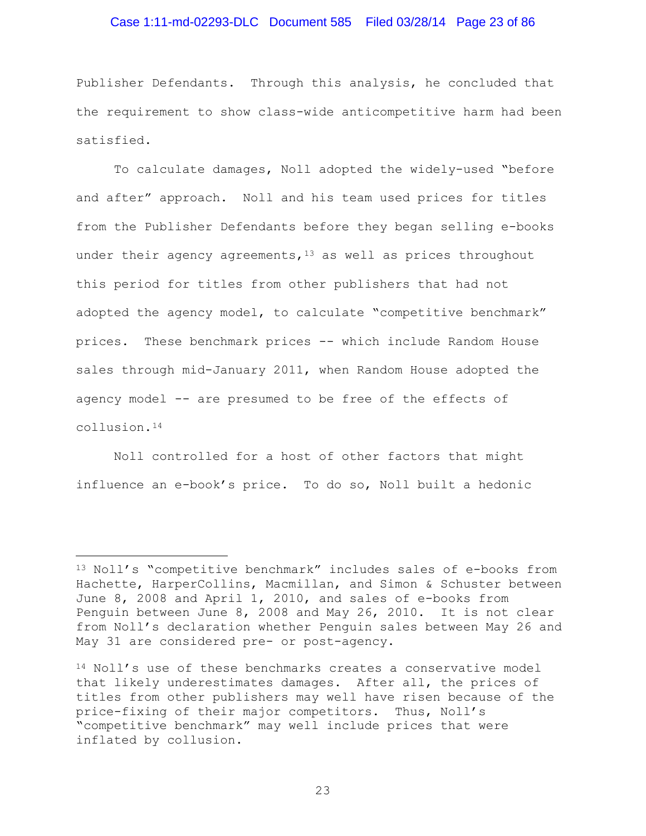### Case 1:11-md-02293-DLC Document 585 Filed 03/28/14 Page 23 of 86

Publisher Defendants. Through this analysis, he concluded that the requirement to show class-wide anticompetitive harm had been satisfied.

To calculate damages, Noll adopted the widely-used "before and after" approach. Noll and his team used prices for titles from the Publisher Defendants before they began selling e-books under their agency agreements,  $13$  as well as prices throughout this period for titles from other publishers that had not adopted the agency model, to calculate "competitive benchmark" prices. These benchmark prices -- which include Random House sales through mid-January 2011, when Random House adopted the agency model -- are presumed to be free of the effects of collusion.[14](#page-22-1)

Noll controlled for a host of other factors that might influence an e-book's price. To do so, Noll built a hedonic

<span id="page-22-0"></span><sup>13</sup> Noll's "competitive benchmark" includes sales of e-books from Hachette, HarperCollins, Macmillan, and Simon & Schuster between June 8, 2008 and April 1, 2010, and sales of e-books from Penguin between June 8, 2008 and May 26, 2010. It is not clear from Noll's declaration whether Penguin sales between May 26 and May 31 are considered pre- or post-agency. ī

<span id="page-22-1"></span><sup>14</sup> Noll's use of these benchmarks creates a conservative model that likely underestimates damages. After all, the prices of titles from other publishers may well have risen because of the price-fixing of their major competitors. Thus, Noll's "competitive benchmark" may well include prices that were inflated by collusion.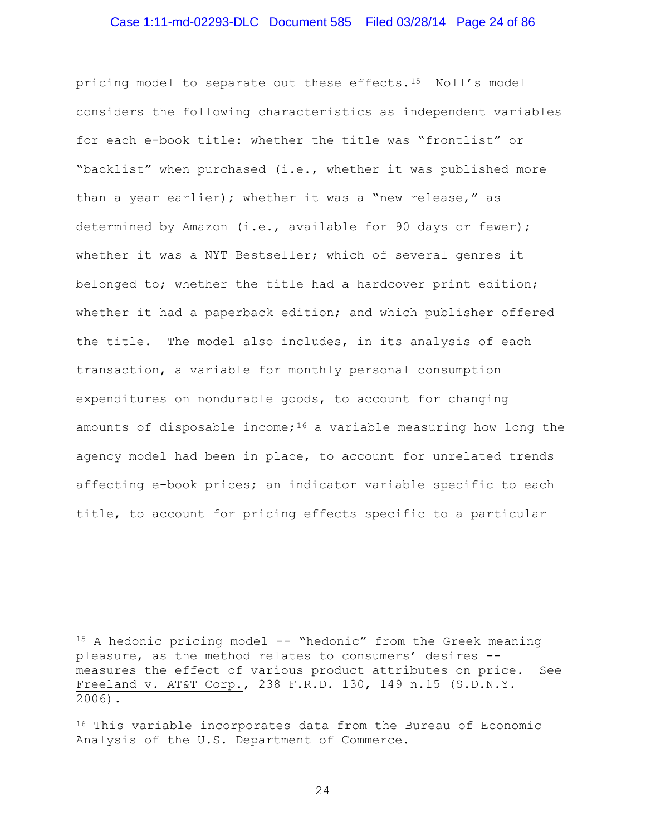### Case 1:11-md-02293-DLC Document 585 Filed 03/28/14 Page 24 of 86

pricing model to separate out these effects.[15](#page-23-0) Noll's model considers the following characteristics as independent variables for each e-book title: whether the title was "frontlist" or "backlist" when purchased (i.e., whether it was published more than a year earlier); whether it was a "new release," as determined by Amazon (i.e., available for 90 days or fewer); whether it was a NYT Bestseller; which of several genres it belonged to; whether the title had a hardcover print edition; whether it had a paperback edition; and which publisher offered the title. The model also includes, in its analysis of each transaction, a variable for monthly personal consumption expenditures on nondurable goods, to account for changing amounts of disposable income;<sup>16</sup> a variable measuring how long the agency model had been in place, to account for unrelated trends affecting e-book prices; an indicator variable specific to each title, to account for pricing effects specific to a particular

Ĩ.

<span id="page-23-0"></span><sup>15</sup> A hedonic pricing model -- "hedonic" from the Greek meaning pleasure, as the method relates to consumers' desires - measures the effect of various product attributes on price. See Freeland v. AT&T Corp., 238 F.R.D. 130, 149 n.15 (S.D.N.Y. 2006).

<span id="page-23-1"></span><sup>16</sup> This variable incorporates data from the Bureau of Economic Analysis of the U.S. Department of Commerce.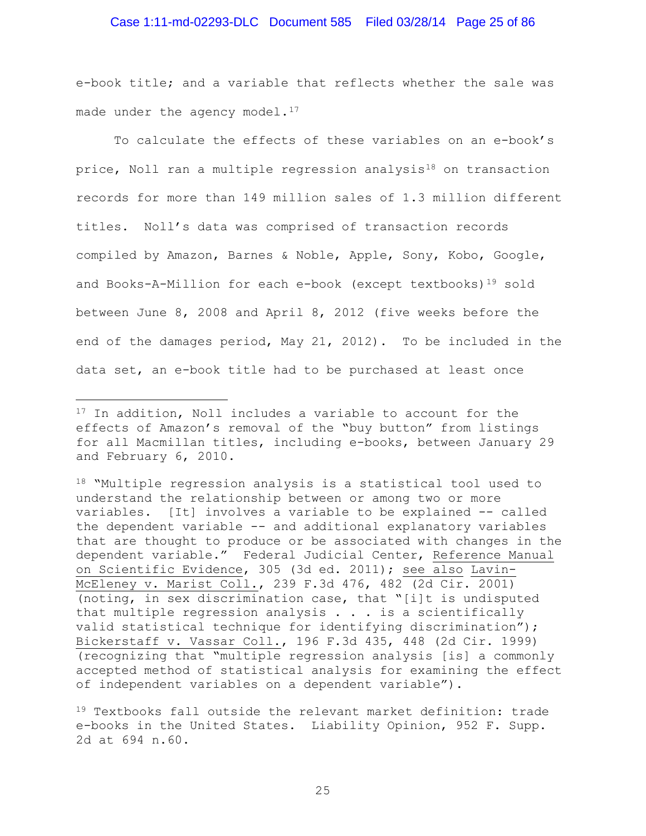### Case 1:11-md-02293-DLC Document 585 Filed 03/28/14 Page 25 of 86

e-book title; and a variable that reflects whether the sale was made under the agency model. $17$ 

To calculate the effects of these variables on an e-book's price, Noll ran a multiple regression analysis<sup>[18](#page-24-1)</sup> on transaction records for more than 149 million sales of 1.3 million different titles. Noll's data was comprised of transaction records compiled by Amazon, Barnes & Noble, Apple, Sony, Kobo, Google, and Books-A-Million for each e-book (except textbooks)<sup>19</sup> sold between June 8, 2008 and April 8, 2012 (five weeks before the end of the damages period, May 21, 2012). To be included in the data set, an e-book title had to be purchased at least once

Ĩ.

<span id="page-24-0"></span><sup>&</sup>lt;sup>17</sup> In addition, Noll includes a variable to account for the effects of Amazon's removal of the "buy button" from listings for all Macmillan titles, including e-books, between January 29 and February 6, 2010.

<span id="page-24-1"></span><sup>18 &</sup>quot;Multiple regression analysis is a statistical tool used to understand the relationship between or among two or more variables. [It] involves a variable to be explained -- called the dependent variable -- and additional explanatory variables that are thought to produce or be associated with changes in the dependent variable." Federal Judicial Center, Reference Manual on Scientific Evidence, 305 (3d ed. 2011); see also Lavin-McEleney v. Marist Coll., 239 F.3d 476, 482 (2d Cir. 2001) (noting, in sex discrimination case, that "[i]t is undisputed that multiple regression analysis . . . is a scientifically valid statistical technique for identifying discrimination"); Bickerstaff v. Vassar Coll., 196 F.3d 435, 448 (2d Cir. 1999) (recognizing that "multiple regression analysis [is] a commonly accepted method of statistical analysis for examining the effect of independent variables on a dependent variable").

<span id="page-24-2"></span><sup>19</sup> Textbooks fall outside the relevant market definition: trade e-books in the United States. Liability Opinion, 952 F. Supp. 2d at 694 n.60.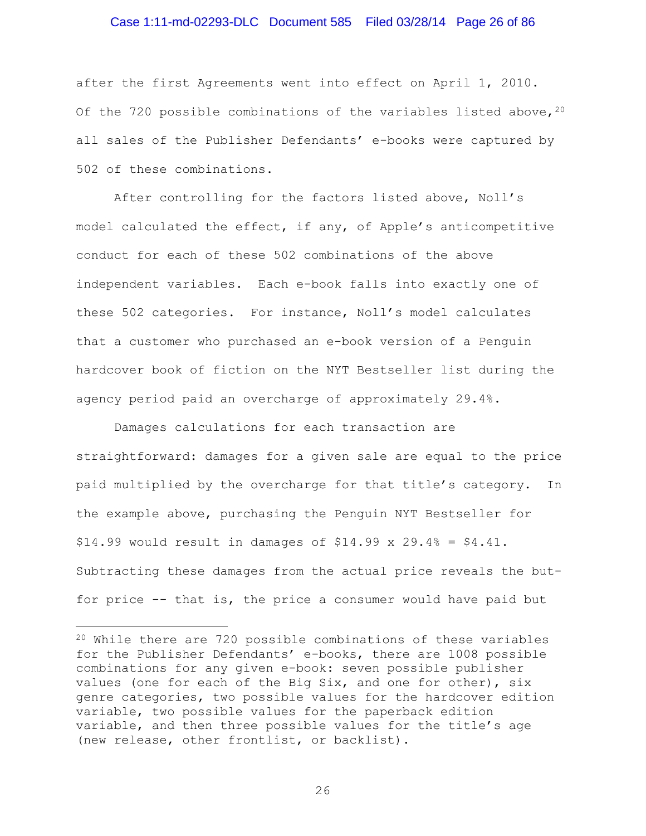### Case 1:11-md-02293-DLC Document 585 Filed 03/28/14 Page 26 of 86

after the first Agreements went into effect on April 1, 2010. Of the 7[20](#page-25-0) possible combinations of the variables listed above,  $20$ all sales of the Publisher Defendants' e-books were captured by 502 of these combinations.

After controlling for the factors listed above, Noll's model calculated the effect, if any, of Apple's anticompetitive conduct for each of these 502 combinations of the above independent variables. Each e-book falls into exactly one of these 502 categories. For instance, Noll's model calculates that a customer who purchased an e-book version of a Penguin hardcover book of fiction on the NYT Bestseller list during the agency period paid an overcharge of approximately 29.4%.

Damages calculations for each transaction are straightforward: damages for a given sale are equal to the price paid multiplied by the overcharge for that title's category. In the example above, purchasing the Penguin NYT Bestseller for  $$14.99$  would result in damages of  $$14.99 \times 29.4\% = $4.41$ . Subtracting these damages from the actual price reveals the butfor price -- that is, the price a consumer would have paid but

ī

<span id="page-25-0"></span><sup>20</sup> While there are 720 possible combinations of these variables for the Publisher Defendants' e-books, there are 1008 possible combinations for any given e-book: seven possible publisher values (one for each of the Big Six, and one for other), six genre categories, two possible values for the hardcover edition variable, two possible values for the paperback edition variable, and then three possible values for the title's age (new release, other frontlist, or backlist).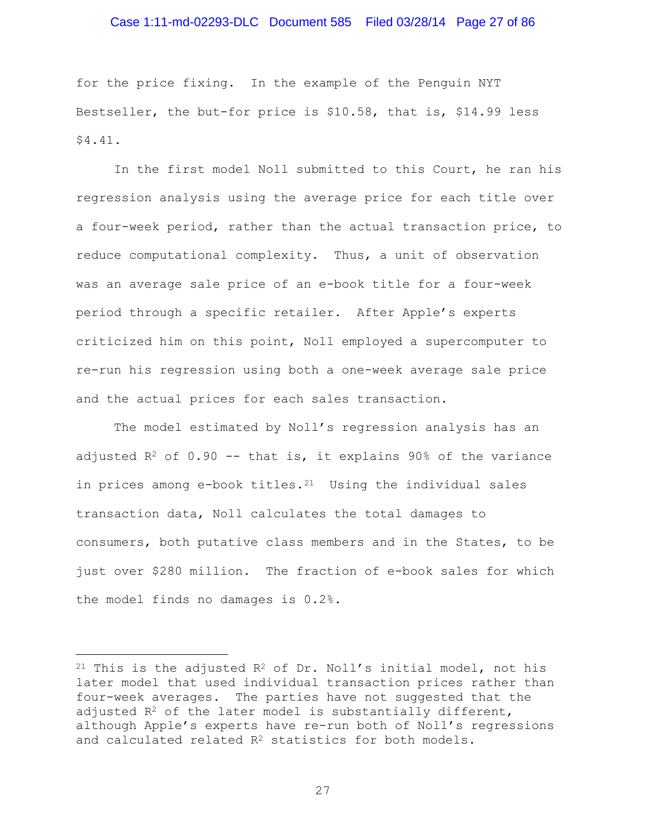### Case 1:11-md-02293-DLC Document 585 Filed 03/28/14 Page 27 of 86

for the price fixing. In the example of the Penguin NYT Bestseller, the but-for price is \$10.58, that is, \$14.99 less \$4.41.

In the first model Noll submitted to this Court, he ran his regression analysis using the average price for each title over a four-week period, rather than the actual transaction price, to reduce computational complexity. Thus, a unit of observation was an average sale price of an e-book title for a four-week period through a specific retailer. After Apple's experts criticized him on this point, Noll employed a supercomputer to re-run his regression using both a one-week average sale price and the actual prices for each sales transaction.

The model estimated by Noll's regression analysis has an adjusted  $R^2$  of 0.90 -- that is, it explains 90% of the variance in prices among e-book titles. $21$  Using the individual sales transaction data, Noll calculates the total damages to consumers, both putative class members and in the States, to be just over \$280 million. The fraction of e-book sales for which the model finds no damages is 0.2%.

Ĩ.

<span id="page-26-0"></span> $21$  This is the adjusted  $R^2$  of Dr. Noll's initial model, not his later model that used individual transaction prices rather than four-week averages. The parties have not suggested that the adjusted  $R^2$  of the later model is substantially different, although Apple's experts have re-run both of Noll's regressions and calculated related R<sup>2</sup> statistics for both models.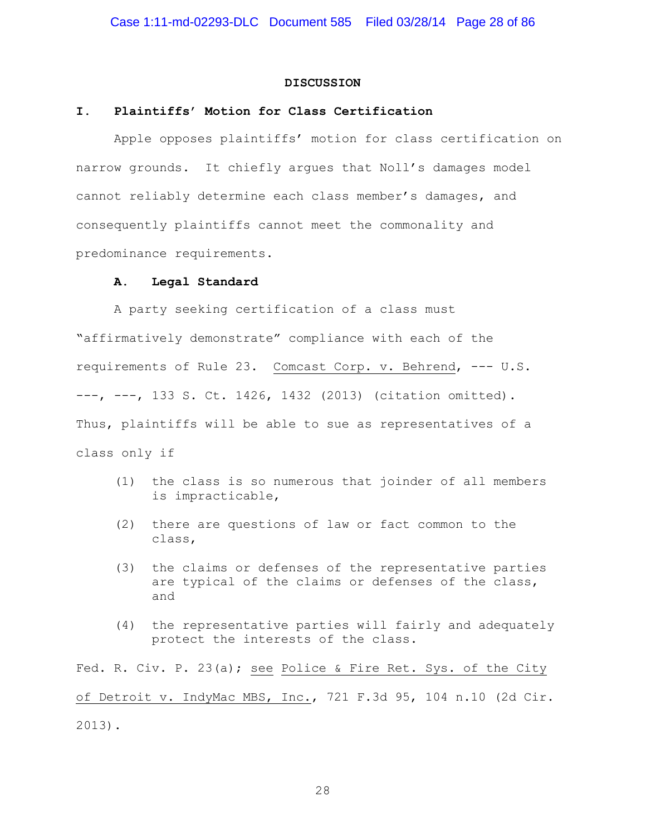#### **DISCUSSION**

### **I. Plaintiffs' Motion for Class Certification**

Apple opposes plaintiffs' motion for class certification on narrow grounds. It chiefly argues that Noll's damages model cannot reliably determine each class member's damages, and consequently plaintiffs cannot meet the commonality and predominance requirements.

#### **A. Legal Standard**

A party seeking certification of a class must "affirmatively demonstrate" compliance with each of the requirements of Rule 23. Comcast Corp. v. Behrend, --- U.S. ---, ---, 133 S. Ct. 1426, 1432 (2013) (citation omitted). Thus, plaintiffs will be able to sue as representatives of a class only if

- (1) the class is so numerous that joinder of all members is impracticable,
- (2) there are questions of law or fact common to the class,
- (3) the claims or defenses of the representative parties are typical of the claims or defenses of the class, and
- (4) the representative parties will fairly and adequately protect the interests of the class.

Fed. R. Civ. P. 23(a); see Police & Fire Ret. Sys. of the City of Detroit v. IndyMac MBS, Inc., 721 F.3d 95, 104 n.10 (2d Cir. 2013).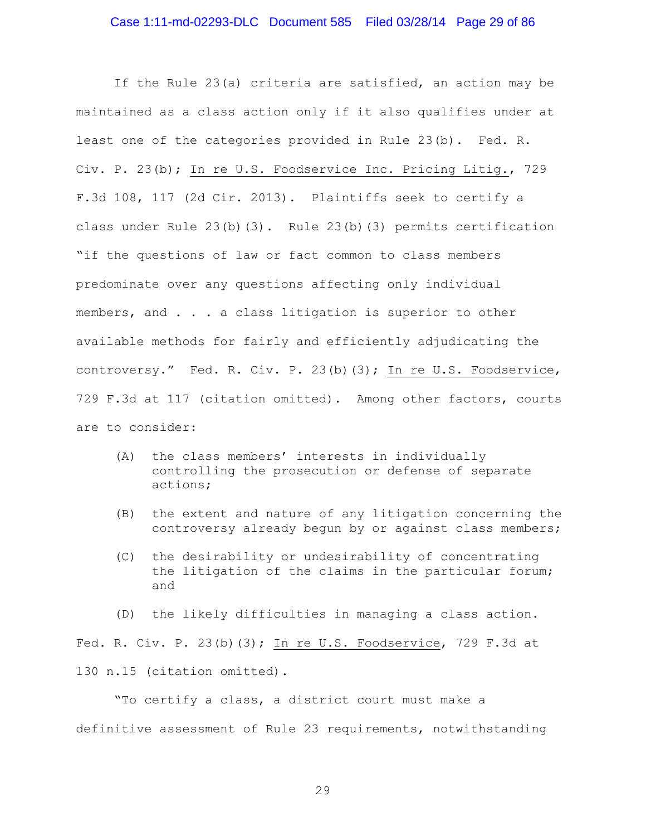### Case 1:11-md-02293-DLC Document 585 Filed 03/28/14 Page 29 of 86

If the Rule 23(a) criteria are satisfied, an action may be maintained as a class action only if it also qualifies under at least one of the categories provided in Rule 23(b). Fed. R. Civ. P. 23(b); In re U.S. Foodservice Inc. Pricing Litig., 729 F.3d 108, 117 (2d Cir. 2013). Plaintiffs seek to certify a class under Rule 23(b)(3). Rule 23(b)(3) permits certification "if the questions of law or fact common to class members predominate over any questions affecting only individual members, and . . . a class litigation is superior to other available methods for fairly and efficiently adjudicating the controversy." Fed. R. Civ. P. 23(b)(3); In re U.S. Foodservice, 729 F.3d at 117 (citation omitted). Among other factors, courts are to consider:

- (A) the class members' interests in individually controlling the prosecution or defense of separate actions;
- (B) the extent and nature of any litigation concerning the controversy already begun by or against class members;
- (C) the desirability or undesirability of concentrating the litigation of the claims in the particular forum; and

(D) the likely difficulties in managing a class action. Fed. R. Civ. P. 23(b)(3); In re U.S. Foodservice, 729 F.3d at 130 n.15 (citation omitted).

"To certify a class, a district court must make a definitive assessment of Rule 23 requirements, notwithstanding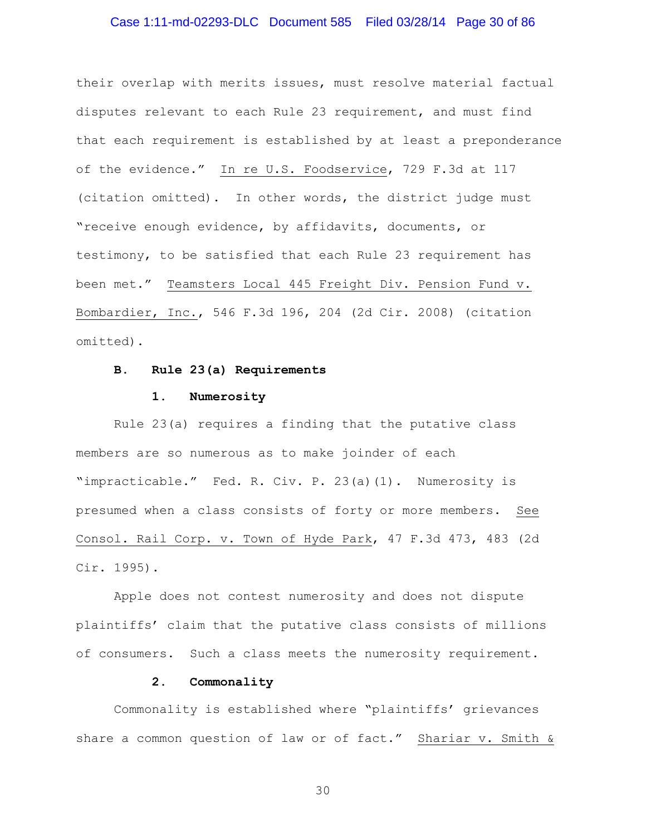### Case 1:11-md-02293-DLC Document 585 Filed 03/28/14 Page 30 of 86

their overlap with merits issues, must resolve material factual disputes relevant to each Rule 23 requirement, and must find that each requirement is established by at least a preponderance of the evidence." In re U.S. Foodservice, 729 F.3d at 117 (citation omitted). In other words, the district judge must "receive enough evidence, by affidavits, documents, or testimony, to be satisfied that each Rule 23 requirement has been met." Teamsters Local 445 Freight Div. Pension Fund v. Bombardier, Inc., 546 F.3d 196, 204 (2d Cir. 2008) (citation omitted).

#### **B. Rule 23(a) Requirements**

#### **1. Numerosity**

Rule 23(a) requires a finding that the putative class members are so numerous as to make joinder of each "impracticable." Fed. R. Civ. P. 23(a)(1). Numerosity is presumed when a class consists of forty or more members. See Consol. Rail Corp. v. Town of Hyde Park, 47 F.3d 473, 483 (2d Cir. 1995).

Apple does not contest numerosity and does not dispute plaintiffs' claim that the putative class consists of millions of consumers. Such a class meets the numerosity requirement.

#### **2. Commonality**

Commonality is established where "plaintiffs' grievances share a common question of law or of fact." Shariar v. Smith &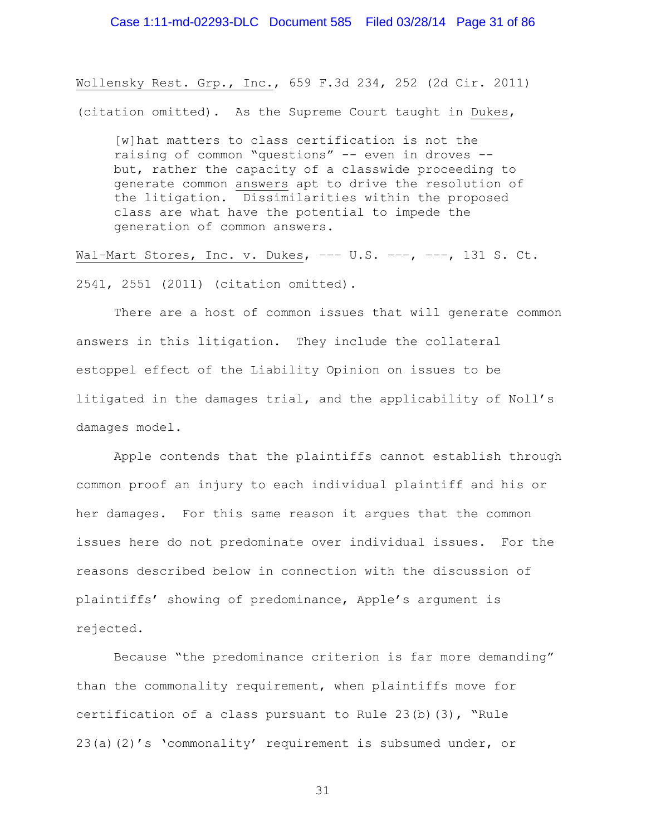Wollensky Rest. Grp., Inc., 659 F.3d 234, 252 (2d Cir. 2011) (citation omitted). As the Supreme Court taught in Dukes,

[w]hat matters to class certification is not the raising of common "questions" -- even in droves - but, rather the capacity of a classwide proceeding to generate common answers apt to drive the resolution of the litigation. Dissimilarities within the proposed class are what have the potential to impede the generation of common answers.

Wal–Mart Stores, Inc. v. Dukes, ––– U.S. –––, –––, 131 S. Ct. 2541, 2551 (2011) (citation omitted).

There are a host of common issues that will generate common answers in this litigation. They include the collateral estoppel effect of the Liability Opinion on issues to be litigated in the damages trial, and the applicability of Noll's damages model.

Apple contends that the plaintiffs cannot establish through common proof an injury to each individual plaintiff and his or her damages. For this same reason it argues that the common issues here do not predominate over individual issues. For the reasons described below in connection with the discussion of plaintiffs' showing of predominance, Apple's argument is rejected.

Because "the predominance criterion is far more demanding" than the commonality requirement, when plaintiffs move for certification of a class pursuant to Rule 23(b)(3), "Rule 23(a)(2)'s 'commonality' requirement is subsumed under, or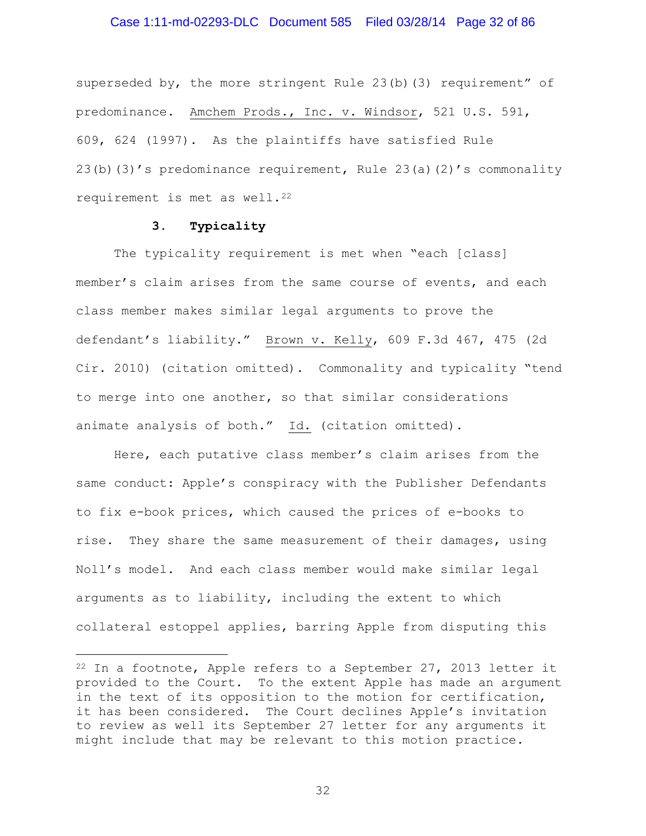### Case 1:11-md-02293-DLC Document 585 Filed 03/28/14 Page 32 of 86

superseded by, the more stringent Rule 23(b)(3) requirement" of predominance. Amchem Prods., Inc. v. Windsor, 521 U.S. 591, 609, 624 (1997). As the plaintiffs have satisfied Rule 23(b)(3)'s predominance requirement, Rule 23(a)(2)'s commonality requirement is met as well.<sup>[22](#page-31-0)</sup>

## **3. Typicality**

Ĩ.

The typicality requirement is met when "each [class] member's claim arises from the same course of events, and each class member makes similar legal arguments to prove the defendant's liability." Brown v. Kelly, 609 F.3d 467, 475 (2d Cir. 2010) (citation omitted). Commonality and typicality "tend to merge into one another, so that similar considerations animate analysis of both." Id. (citation omitted).

Here, each putative class member's claim arises from the same conduct: Apple's conspiracy with the Publisher Defendants to fix e-book prices, which caused the prices of e-books to rise. They share the same measurement of their damages, using Noll's model. And each class member would make similar legal arguments as to liability, including the extent to which collateral estoppel applies, barring Apple from disputing this

<span id="page-31-0"></span> $22$  In a footnote, Apple refers to a September 27, 2013 letter it provided to the Court. To the extent Apple has made an argument in the text of its opposition to the motion for certification, it has been considered. The Court declines Apple's invitation to review as well its September 27 letter for any arguments it might include that may be relevant to this motion practice.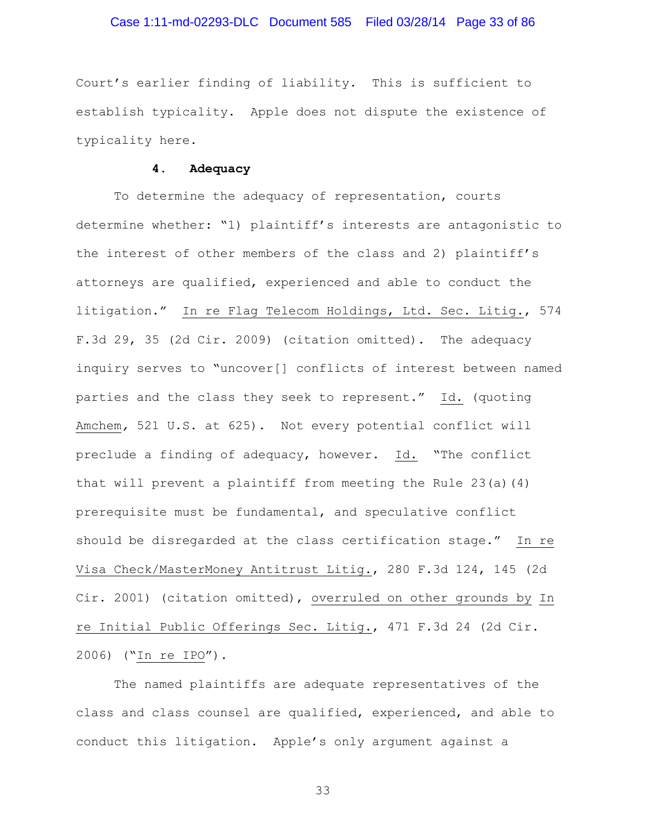### Case 1:11-md-02293-DLC Document 585 Filed 03/28/14 Page 33 of 86

Court's earlier finding of liability. This is sufficient to establish typicality. Apple does not dispute the existence of typicality here.

### **4. Adequacy**

To determine the adequacy of representation, courts determine whether: "1) plaintiff's interests are antagonistic to the interest of other members of the class and 2) plaintiff's attorneys are qualified, experienced and able to conduct the litigation." In re Flag Telecom Holdings, Ltd. Sec. Litig., 574 F.3d 29, 35 (2d Cir. 2009) (citation omitted). The adequacy inquiry serves to "uncover[] conflicts of interest between named parties and the class they seek to represent." Id. (quoting Amchem*,* 521 U.S. at 625). Not every potential conflict will preclude a finding of adequacy, however. Id. "The conflict that will prevent a plaintiff from meeting the Rule 23(a)(4) prerequisite must be fundamental, and speculative conflict should be disregarded at the class certification stage." In re Visa Check/MasterMoney Antitrust Litig., 280 F.3d 124, 145 (2d Cir. 2001) (citation omitted), overruled on other grounds by In re Initial Public Offerings Sec. Litig., 471 F.3d 24 (2d Cir. 2006) ("In re IPO").

The named plaintiffs are adequate representatives of the class and class counsel are qualified, experienced, and able to conduct this litigation. Apple's only argument against a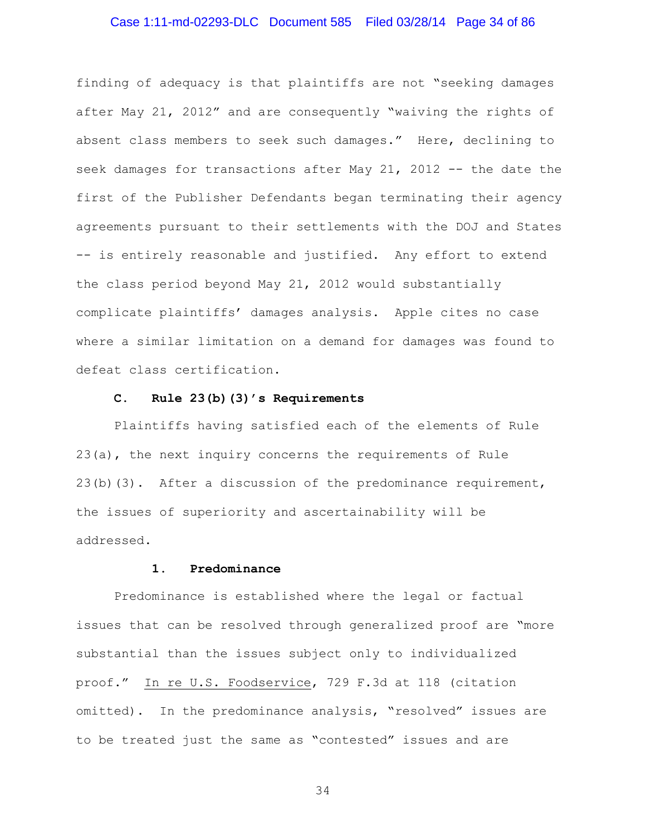# Case 1:11-md-02293-DLC Document 585 Filed 03/28/14 Page 34 of 86

finding of adequacy is that plaintiffs are not "seeking damages after May 21, 2012" and are consequently "waiving the rights of absent class members to seek such damages." Here, declining to seek damages for transactions after May 21, 2012 -- the date the first of the Publisher Defendants began terminating their agency agreements pursuant to their settlements with the DOJ and States -- is entirely reasonable and justified. Any effort to extend the class period beyond May 21, 2012 would substantially complicate plaintiffs' damages analysis. Apple cites no case where a similar limitation on a demand for damages was found to defeat class certification.

#### **C. Rule 23(b)(3)'s Requirements**

Plaintiffs having satisfied each of the elements of Rule 23(a), the next inquiry concerns the requirements of Rule 23(b)(3). After a discussion of the predominance requirement, the issues of superiority and ascertainability will be addressed.

## **1. Predominance**

Predominance is established where the legal or factual issues that can be resolved through generalized proof are "more substantial than the issues subject only to individualized proof." In re U.S. Foodservice, 729 F.3d at 118 (citation omitted). In the predominance analysis, "resolved" issues are to be treated just the same as "contested" issues and are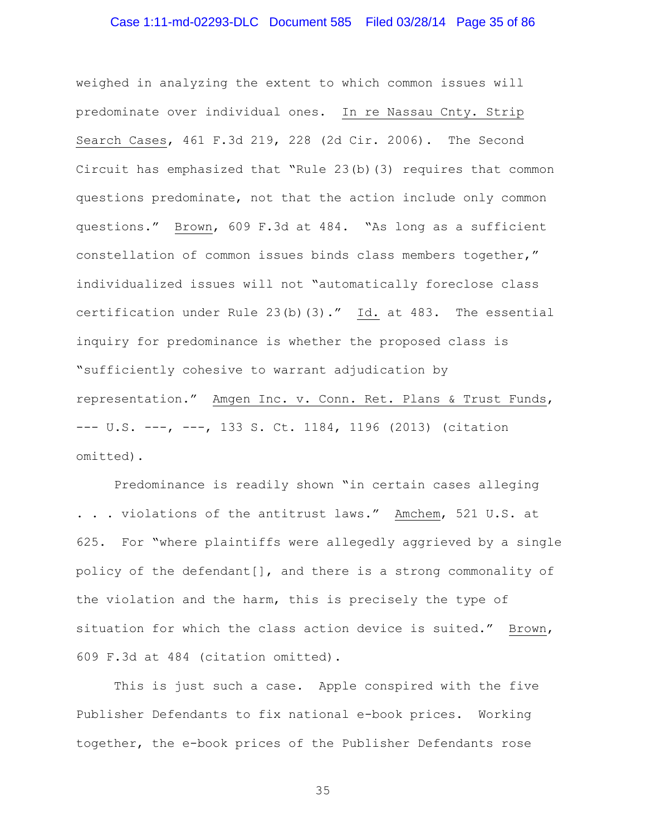# Case 1:11-md-02293-DLC Document 585 Filed 03/28/14 Page 35 of 86

weighed in analyzing the extent to which common issues will predominate over individual ones. In re Nassau Cnty. Strip Search Cases, 461 F.3d 219, 228 (2d Cir. 2006). The Second Circuit has emphasized that "Rule 23(b)(3) requires that common questions predominate, not that the action include only common questions." Brown, 609 F.3d at 484. "As long as a sufficient constellation of common issues binds class members together," individualized issues will not "automatically foreclose class certification under Rule 23(b)(3)." Id. at 483. The essential inquiry for predominance is whether the proposed class is "sufficiently cohesive to warrant adjudication by representation." Amgen Inc. v. Conn. Ret. Plans & Trust Funds, --- U.S. ---, ---, 133 S. Ct. 1184, 1196 (2013) (citation omitted).

Predominance is readily shown "in certain cases alleging . . . violations of the antitrust laws." Amchem, 521 U.S. at 625. For "where plaintiffs were allegedly aggrieved by a single policy of the defendant[], and there is a strong commonality of the violation and the harm, this is precisely the type of situation for which the class action device is suited." Brown, 609 F.3d at 484 (citation omitted).

This is just such a case. Apple conspired with the five Publisher Defendants to fix national e-book prices. Working together, the e-book prices of the Publisher Defendants rose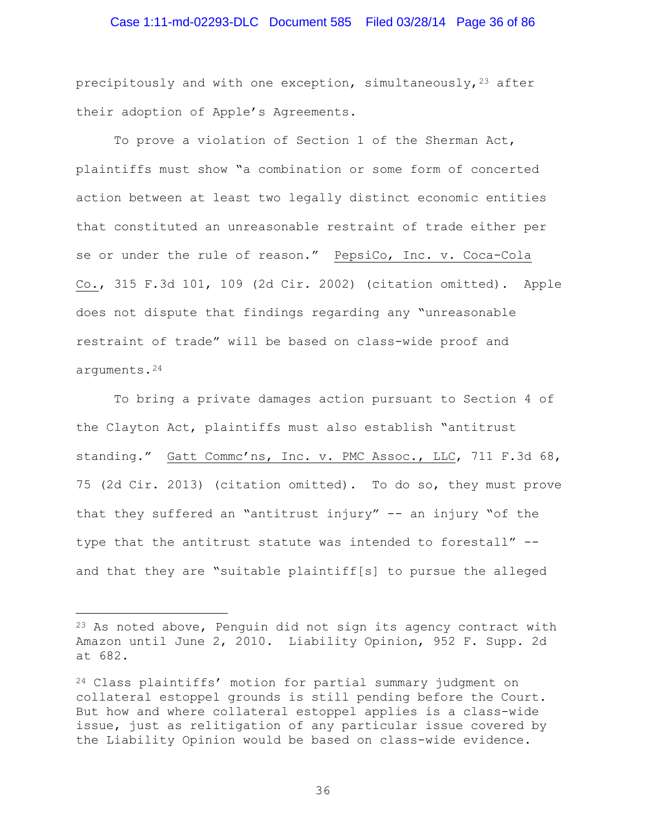### Case 1:11-md-02293-DLC Document 585 Filed 03/28/14 Page 36 of 86

precipitously and with one exception, simultaneously,  $23$  after their adoption of Apple's Agreements.

To prove a violation of Section 1 of the Sherman Act, plaintiffs must show "a combination or some form of concerted action between at least two legally distinct economic entities that constituted an unreasonable restraint of trade either per se or under the rule of reason." PepsiCo, Inc. v. Coca-Cola Co., 315 F.3d 101, 109 (2d Cir. 2002) (citation omitted). Apple does not dispute that findings regarding any "unreasonable restraint of trade" will be based on class-wide proof and arguments.[24](#page-35-1)

To bring a private damages action pursuant to Section 4 of the Clayton Act, plaintiffs must also establish "antitrust standing." Gatt Commc'ns, Inc. v. PMC Assoc., LLC, 711 F.3d 68, 75 (2d Cir. 2013) (citation omitted). To do so, they must prove that they suffered an "antitrust injury" -- an injury "of the type that the antitrust statute was intended to forestall" - and that they are "suitable plaintiff[s] to pursue the alleged

ī

<span id="page-35-0"></span><sup>23</sup> As noted above, Penguin did not sign its agency contract with Amazon until June 2, 2010. Liability Opinion, 952 F. Supp. 2d at 682.

<span id="page-35-1"></span><sup>24</sup> Class plaintiffs' motion for partial summary judgment on collateral estoppel grounds is still pending before the Court. But how and where collateral estoppel applies is a class-wide issue, just as relitigation of any particular issue covered by the Liability Opinion would be based on class-wide evidence.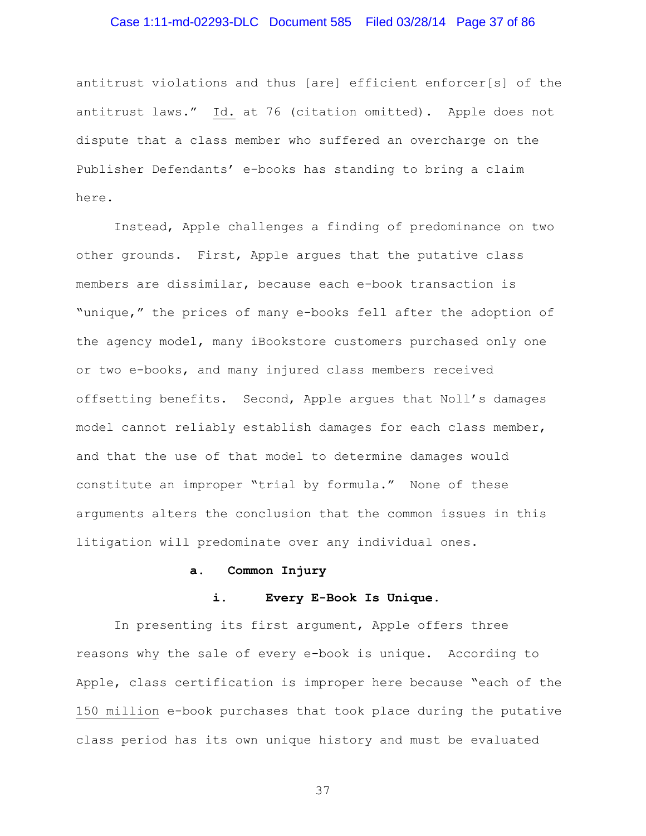# Case 1:11-md-02293-DLC Document 585 Filed 03/28/14 Page 37 of 86

antitrust violations and thus [are] efficient enforcer[s] of the antitrust laws." Id. at 76 (citation omitted). Apple does not dispute that a class member who suffered an overcharge on the Publisher Defendants' e-books has standing to bring a claim here.

Instead, Apple challenges a finding of predominance on two other grounds. First, Apple argues that the putative class members are dissimilar, because each e-book transaction is "unique," the prices of many e-books fell after the adoption of the agency model, many iBookstore customers purchased only one or two e-books, and many injured class members received offsetting benefits. Second, Apple argues that Noll's damages model cannot reliably establish damages for each class member, and that the use of that model to determine damages would constitute an improper "trial by formula." None of these arguments alters the conclusion that the common issues in this litigation will predominate over any individual ones.

#### **a. Common Injury**

### **i. Every E-Book Is Unique.**

In presenting its first argument, Apple offers three reasons why the sale of every e-book is unique. According to Apple, class certification is improper here because "each of the 150 million e-book purchases that took place during the putative class period has its own unique history and must be evaluated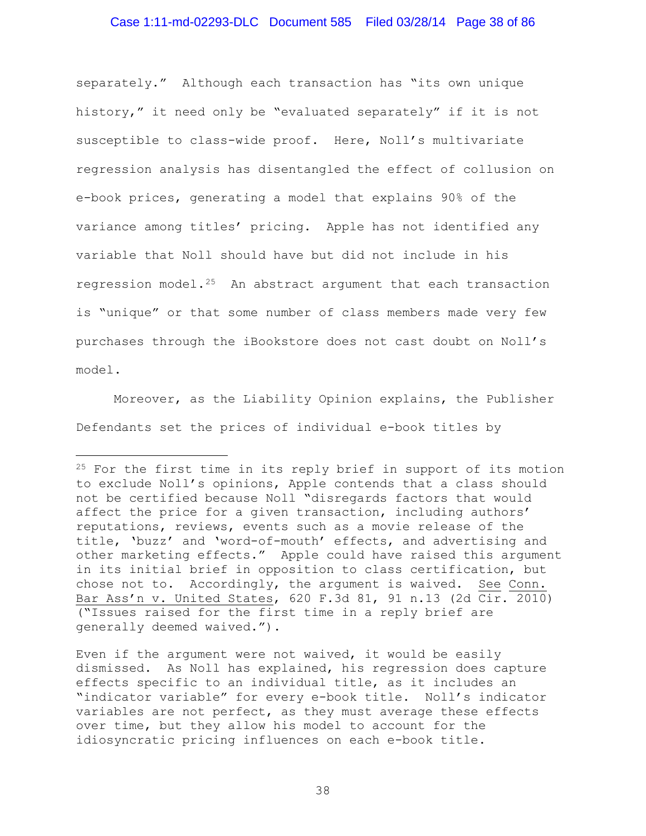### Case 1:11-md-02293-DLC Document 585 Filed 03/28/14 Page 38 of 86

separately." Although each transaction has "its own unique history," it need only be "evaluated separately" if it is not susceptible to class-wide proof. Here, Noll's multivariate regression analysis has disentangled the effect of collusion on e-book prices, generating a model that explains 90% of the variance among titles' pricing. Apple has not identified any variable that Noll should have but did not include in his regression model.[25](#page-37-0) An abstract argument that each transaction is "unique" or that some number of class members made very few purchases through the iBookstore does not cast doubt on Noll's model.

Moreover, as the Liability Opinion explains, the Publisher Defendants set the prices of individual e-book titles by

Ĩ.

Even if the argument were not waived, it would be easily dismissed. As Noll has explained, his regression does capture effects specific to an individual title, as it includes an "indicator variable" for every e-book title. Noll's indicator variables are not perfect, as they must average these effects over time, but they allow his model to account for the idiosyncratic pricing influences on each e-book title.

<span id="page-37-0"></span><sup>&</sup>lt;sup>25</sup> For the first time in its reply brief in support of its motion to exclude Noll's opinions, Apple contends that a class should not be certified because Noll "disregards factors that would affect the price for a given transaction, including authors' reputations, reviews, events such as a movie release of the title, 'buzz' and 'word-of-mouth' effects, and advertising and other marketing effects." Apple could have raised this argument in its initial brief in opposition to class certification, but chose not to. Accordingly, the argument is waived. See Conn. Bar Ass'n v. United States, 620 F.3d 81, 91 n.13 (2d Cir. 2010) ("Issues raised for the first time in a reply brief are generally deemed waived.").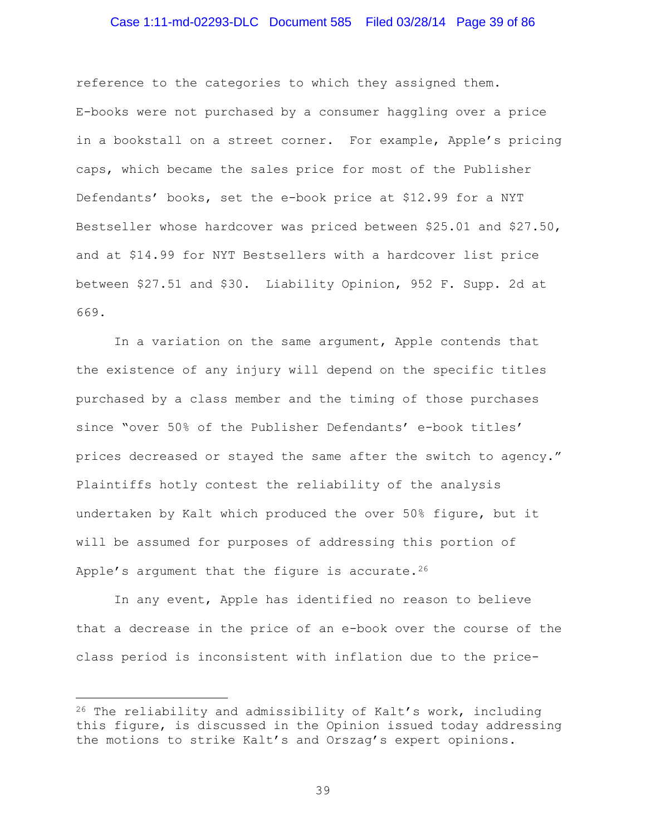### Case 1:11-md-02293-DLC Document 585 Filed 03/28/14 Page 39 of 86

reference to the categories to which they assigned them. E-books were not purchased by a consumer haggling over a price in a bookstall on a street corner. For example, Apple's pricing caps, which became the sales price for most of the Publisher Defendants' books, set the e-book price at \$12.99 for a NYT Bestseller whose hardcover was priced between \$25.01 and \$27.50, and at \$14.99 for NYT Bestsellers with a hardcover list price between \$27.51 and \$30. Liability Opinion, 952 F. Supp. 2d at 669.

In a variation on the same argument, Apple contends that the existence of any injury will depend on the specific titles purchased by a class member and the timing of those purchases since "over 50% of the Publisher Defendants' e-book titles' prices decreased or stayed the same after the switch to agency." Plaintiffs hotly contest the reliability of the analysis undertaken by Kalt which produced the over 50% figure, but it will be assumed for purposes of addressing this portion of Apple's argument that the figure is accurate.  $26$ 

In any event, Apple has identified no reason to believe that a decrease in the price of an e-book over the course of the class period is inconsistent with inflation due to the price-

<span id="page-38-0"></span> $26$  The reliability and admissibility of Kalt's work, including this figure, is discussed in the Opinion issued today addressing the motions to strike Kalt's and Orszag's expert opinions. Ĩ.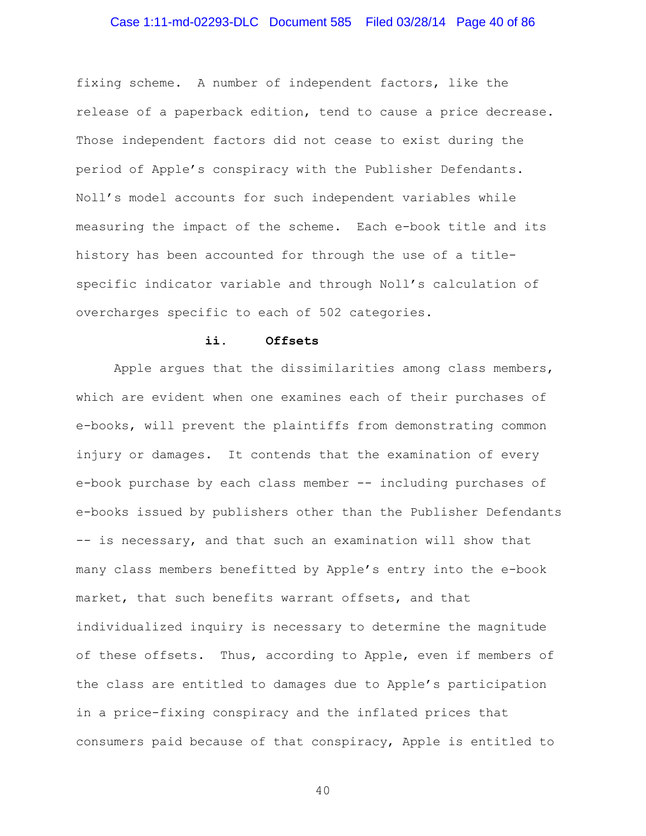# Case 1:11-md-02293-DLC Document 585 Filed 03/28/14 Page 40 of 86

fixing scheme. A number of independent factors, like the release of a paperback edition, tend to cause a price decrease. Those independent factors did not cease to exist during the period of Apple's conspiracy with the Publisher Defendants. Noll's model accounts for such independent variables while measuring the impact of the scheme. Each e-book title and its history has been accounted for through the use of a titlespecific indicator variable and through Noll's calculation of overcharges specific to each of 502 categories.

#### **ii. Offsets**

Apple argues that the dissimilarities among class members, which are evident when one examines each of their purchases of e-books, will prevent the plaintiffs from demonstrating common injury or damages. It contends that the examination of every e-book purchase by each class member -- including purchases of e-books issued by publishers other than the Publisher Defendants -- is necessary, and that such an examination will show that many class members benefitted by Apple's entry into the e-book market, that such benefits warrant offsets, and that individualized inquiry is necessary to determine the magnitude of these offsets. Thus, according to Apple, even if members of the class are entitled to damages due to Apple's participation in a price-fixing conspiracy and the inflated prices that consumers paid because of that conspiracy, Apple is entitled to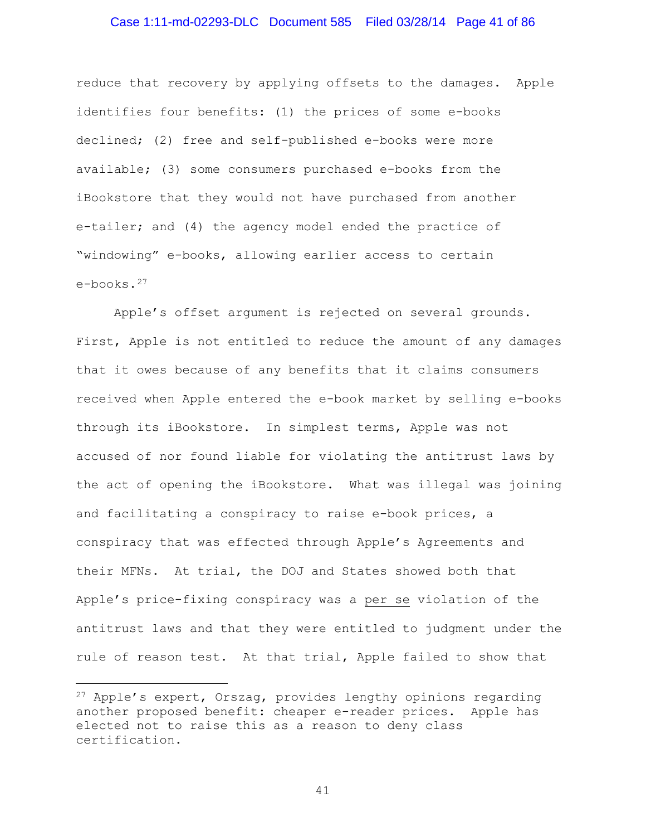### Case 1:11-md-02293-DLC Document 585 Filed 03/28/14 Page 41 of 86

reduce that recovery by applying offsets to the damages. Apple identifies four benefits: (1) the prices of some e-books declined; (2) free and self-published e-books were more available; (3) some consumers purchased e-books from the iBookstore that they would not have purchased from another e-tailer; and (4) the agency model ended the practice of "windowing" e-books, allowing earlier access to certain e-books.[27](#page-40-0)

Apple's offset argument is rejected on several grounds. First, Apple is not entitled to reduce the amount of any damages that it owes because of any benefits that it claims consumers received when Apple entered the e-book market by selling e-books through its iBookstore. In simplest terms, Apple was not accused of nor found liable for violating the antitrust laws by the act of opening the iBookstore. What was illegal was joining and facilitating a conspiracy to raise e-book prices, a conspiracy that was effected through Apple's Agreements and their MFNs. At trial, the DOJ and States showed both that Apple's price-fixing conspiracy was a per se violation of the antitrust laws and that they were entitled to judgment under the rule of reason test. At that trial, Apple failed to show that

Ĩ.

<span id="page-40-0"></span><sup>27</sup> Apple's expert, Orszag, provides lengthy opinions regarding another proposed benefit: cheaper e-reader prices. Apple has elected not to raise this as a reason to deny class certification.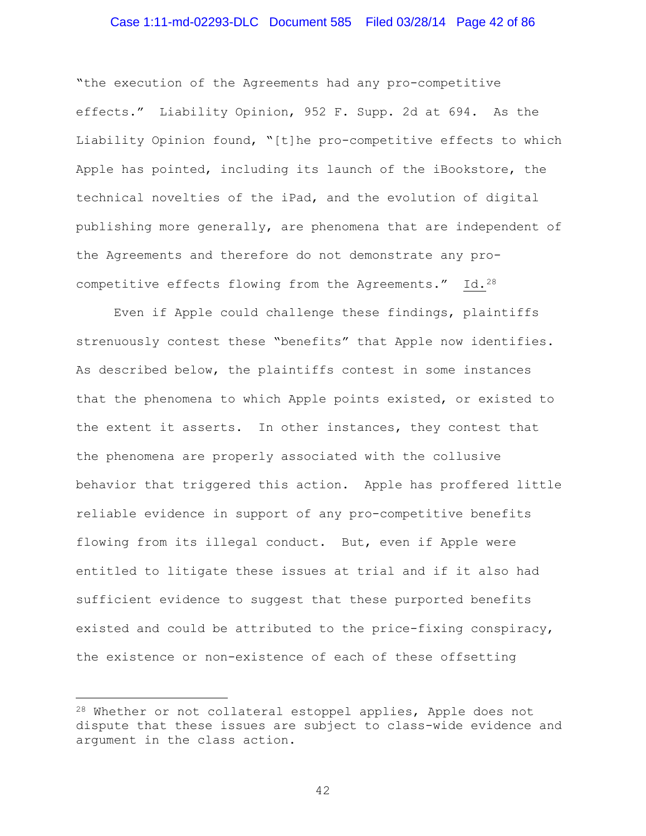### Case 1:11-md-02293-DLC Document 585 Filed 03/28/14 Page 42 of 86

"the execution of the Agreements had any pro-competitive effects." Liability Opinion, 952 F. Supp. 2d at 694. As the Liability Opinion found, "[t]he pro-competitive effects to which Apple has pointed, including its launch of the iBookstore, the technical novelties of the iPad, and the evolution of digital publishing more generally, are phenomena that are independent of the Agreements and therefore do not demonstrate any procompetitive effects flowing from the Agreements." Id.[28](#page-41-0) 

Even if Apple could challenge these findings, plaintiffs strenuously contest these "benefits" that Apple now identifies. As described below, the plaintiffs contest in some instances that the phenomena to which Apple points existed, or existed to the extent it asserts. In other instances, they contest that the phenomena are properly associated with the collusive behavior that triggered this action. Apple has proffered little reliable evidence in support of any pro-competitive benefits flowing from its illegal conduct. But, even if Apple were entitled to litigate these issues at trial and if it also had sufficient evidence to suggest that these purported benefits existed and could be attributed to the price-fixing conspiracy, the existence or non-existence of each of these offsetting

Ĩ.

<span id="page-41-0"></span><sup>28</sup> Whether or not collateral estoppel applies, Apple does not dispute that these issues are subject to class-wide evidence and argument in the class action.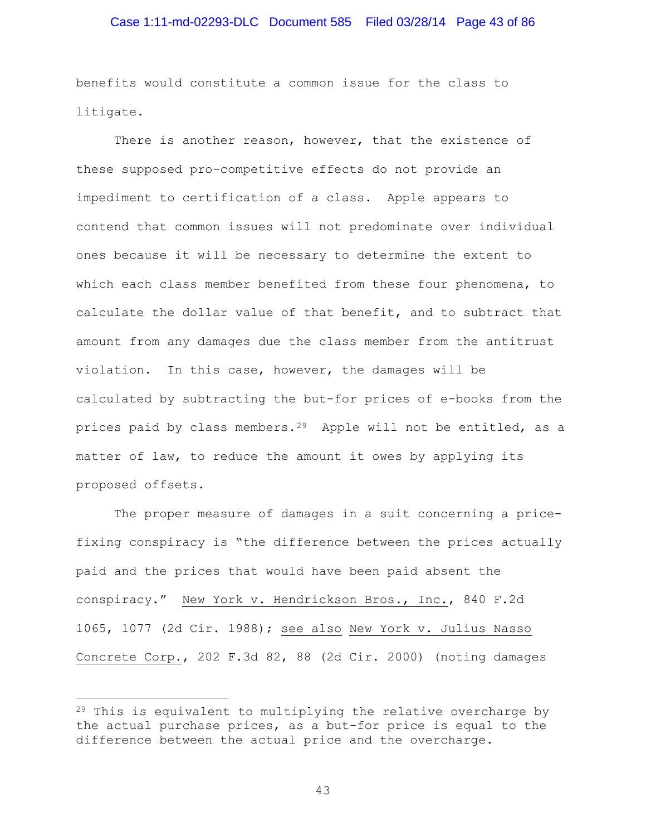### Case 1:11-md-02293-DLC Document 585 Filed 03/28/14 Page 43 of 86

benefits would constitute a common issue for the class to litigate.

There is another reason, however, that the existence of these supposed pro-competitive effects do not provide an impediment to certification of a class. Apple appears to contend that common issues will not predominate over individual ones because it will be necessary to determine the extent to which each class member benefited from these four phenomena, to calculate the dollar value of that benefit, and to subtract that amount from any damages due the class member from the antitrust violation. In this case, however, the damages will be calculated by subtracting the but-for prices of e-books from the prices paid by class members.[29](#page-42-0) Apple will not be entitled, as a matter of law, to reduce the amount it owes by applying its proposed offsets.

The proper measure of damages in a suit concerning a pricefixing conspiracy is "the difference between the prices actually paid and the prices that would have been paid absent the conspiracy." New York v. Hendrickson Bros., Inc., 840 F.2d 1065, 1077 (2d Cir. 1988); see also New York v. Julius Nasso Concrete Corp., 202 F.3d 82, 88 (2d Cir. 2000) (noting damages

Ĩ.

<span id="page-42-0"></span> $29$  This is equivalent to multiplying the relative overcharge by the actual purchase prices, as a but-for price is equal to the difference between the actual price and the overcharge.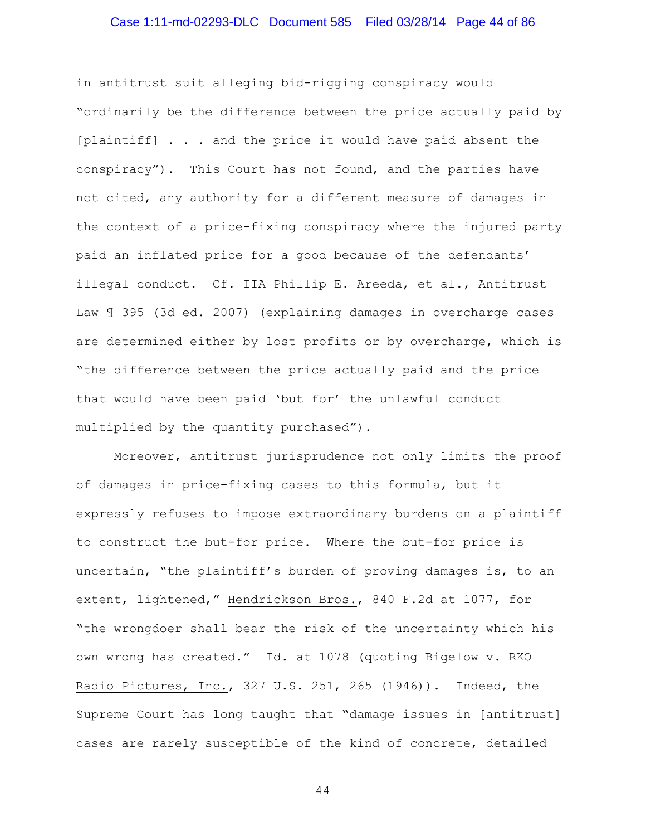# Case 1:11-md-02293-DLC Document 585 Filed 03/28/14 Page 44 of 86

in antitrust suit alleging bid-rigging conspiracy would "ordinarily be the difference between the price actually paid by [plaintiff] . . . and the price it would have paid absent the conspiracy"). This Court has not found, and the parties have not cited, any authority for a different measure of damages in the context of a price-fixing conspiracy where the injured party paid an inflated price for a good because of the defendants' illegal conduct. Cf. IIA Phillip E. Areeda, et al., Antitrust Law ¶ 395 (3d ed. 2007) (explaining damages in overcharge cases are determined either by lost profits or by overcharge, which is "the difference between the price actually paid and the price that would have been paid 'but for' the unlawful conduct multiplied by the quantity purchased").

Moreover, antitrust jurisprudence not only limits the proof of damages in price-fixing cases to this formula, but it expressly refuses to impose extraordinary burdens on a plaintiff to construct the but-for price. Where the but-for price is uncertain, "the plaintiff's burden of proving damages is, to an extent, lightened," Hendrickson Bros., 840 F.2d at 1077, for "the wrongdoer shall bear the risk of the uncertainty which his own wrong has created." Id. at 1078 (quoting Bigelow v. RKO Radio Pictures, Inc., 327 U.S. 251, 265 (1946)). Indeed, the Supreme Court has long taught that "damage issues in [antitrust] cases are rarely susceptible of the kind of concrete, detailed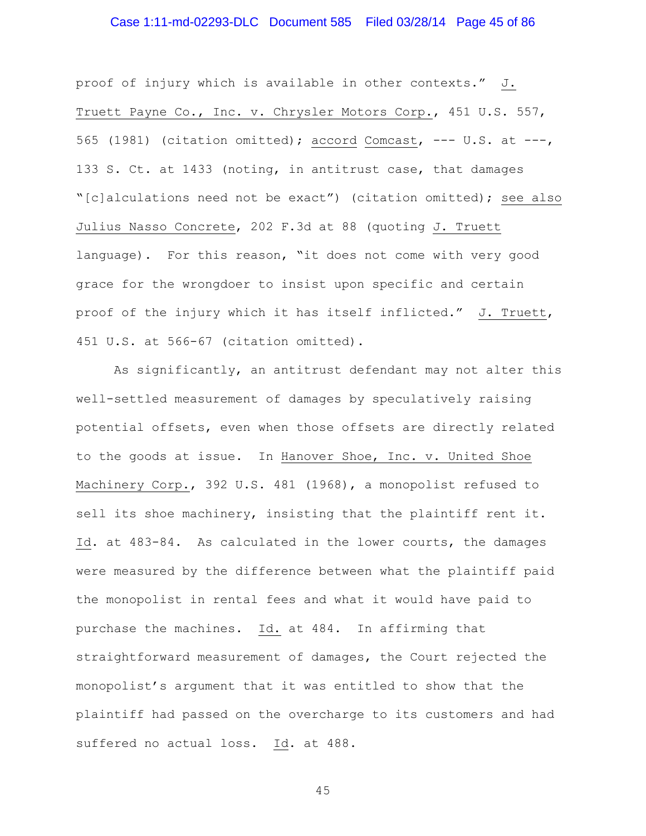# Case 1:11-md-02293-DLC Document 585 Filed 03/28/14 Page 45 of 86

proof of injury which is available in other contexts." J. Truett Payne Co., Inc. v. Chrysler Motors Corp., 451 U.S. 557, 565 (1981) (citation omitted); accord Comcast,  $--- U.S.$  at  $---,$ 133 S. Ct. at 1433 (noting, in antitrust case, that damages "[c]alculations need not be exact") (citation omitted); see also Julius Nasso Concrete, 202 F.3d at 88 (quoting J. Truett language). For this reason, "it does not come with very good grace for the wrongdoer to insist upon specific and certain proof of the injury which it has itself inflicted." J. Truett, 451 U.S. at 566-67 (citation omitted).

As significantly, an antitrust defendant may not alter this well-settled measurement of damages by speculatively raising potential offsets, even when those offsets are directly related to the goods at issue. In Hanover Shoe, Inc. v. United Shoe Machinery Corp., 392 U.S. 481 (1968), a monopolist refused to sell its shoe machinery, insisting that the plaintiff rent it. Id. at 483-84. As calculated in the lower courts, the damages were measured by the difference between what the plaintiff paid the monopolist in rental fees and what it would have paid to purchase the machines. Id. at 484. In affirming that straightforward measurement of damages, the Court rejected the monopolist's argument that it was entitled to show that the plaintiff had passed on the overcharge to its customers and had suffered no actual loss. Id. at 488.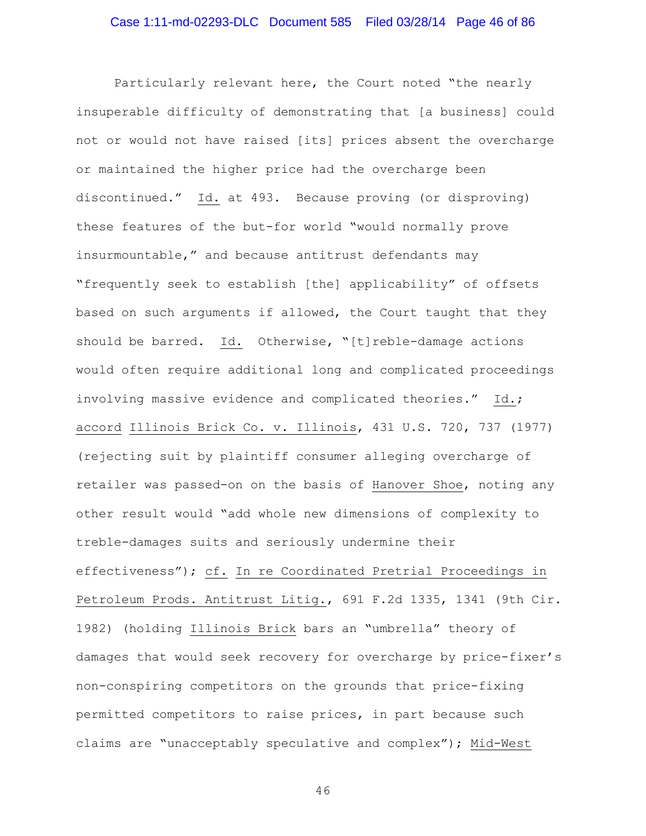Particularly relevant here, the Court noted "the nearly insuperable difficulty of demonstrating that [a business] could not or would not have raised [its] prices absent the overcharge or maintained the higher price had the overcharge been discontinued." Id. at 493. Because proving (or disproving) these features of the but-for world "would normally prove insurmountable," and because antitrust defendants may "frequently seek to establish [the] applicability" of offsets based on such arguments if allowed, the Court taught that they should be barred. Id. Otherwise, "[t]reble-damage actions would often require additional long and complicated proceedings involving massive evidence and complicated theories." Id.; accord Illinois Brick Co. v. Illinois, 431 U.S. 720, 737 (1977) (rejecting suit by plaintiff consumer alleging overcharge of retailer was passed-on on the basis of Hanover Shoe, noting any other result would "add whole new dimensions of complexity to treble-damages suits and seriously undermine their effectiveness"); cf. In re Coordinated Pretrial Proceedings in Petroleum Prods. Antitrust Litig., 691 F.2d 1335, 1341 (9th Cir. 1982) (holding Illinois Brick bars an "umbrella" theory of damages that would seek recovery for overcharge by price-fixer's non-conspiring competitors on the grounds that price-fixing permitted competitors to raise prices, in part because such claims are "unacceptably speculative and complex"); Mid-West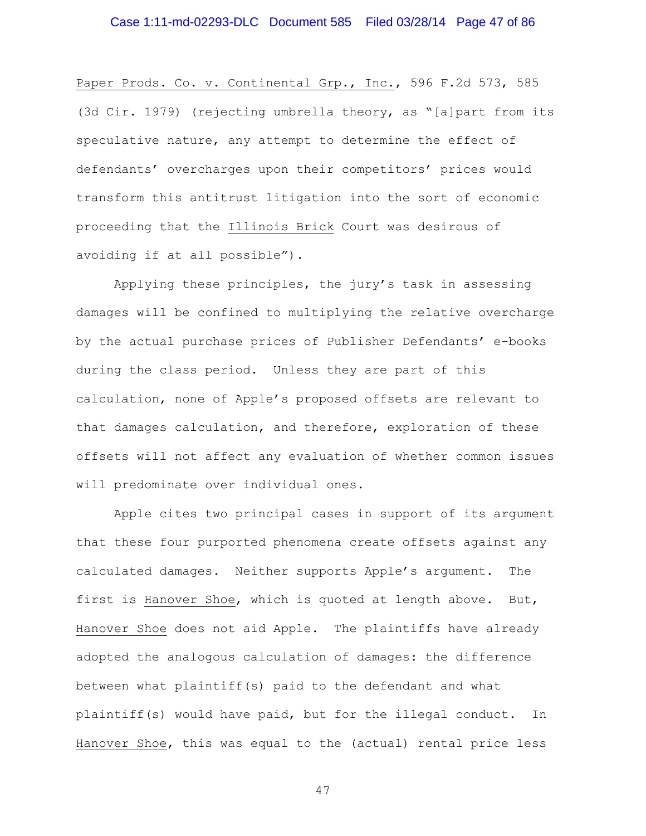Paper Prods. Co. v. Continental Grp., Inc., 596 F.2d 573, 585 (3d Cir. 1979) (rejecting umbrella theory, as "[a]part from its speculative nature, any attempt to determine the effect of defendants' overcharges upon their competitors' prices would transform this antitrust litigation into the sort of economic proceeding that the Illinois Brick Court was desirous of avoiding if at all possible").

Applying these principles, the jury's task in assessing damages will be confined to multiplying the relative overcharge by the actual purchase prices of Publisher Defendants' e-books during the class period. Unless they are part of this calculation, none of Apple's proposed offsets are relevant to that damages calculation, and therefore, exploration of these offsets will not affect any evaluation of whether common issues will predominate over individual ones.

Apple cites two principal cases in support of its argument that these four purported phenomena create offsets against any calculated damages. Neither supports Apple's argument. The first is Hanover Shoe, which is quoted at length above. But, Hanover Shoe does not aid Apple. The plaintiffs have already adopted the analogous calculation of damages: the difference between what plaintiff(s) paid to the defendant and what plaintiff(s) would have paid, but for the illegal conduct. In Hanover Shoe, this was equal to the (actual) rental price less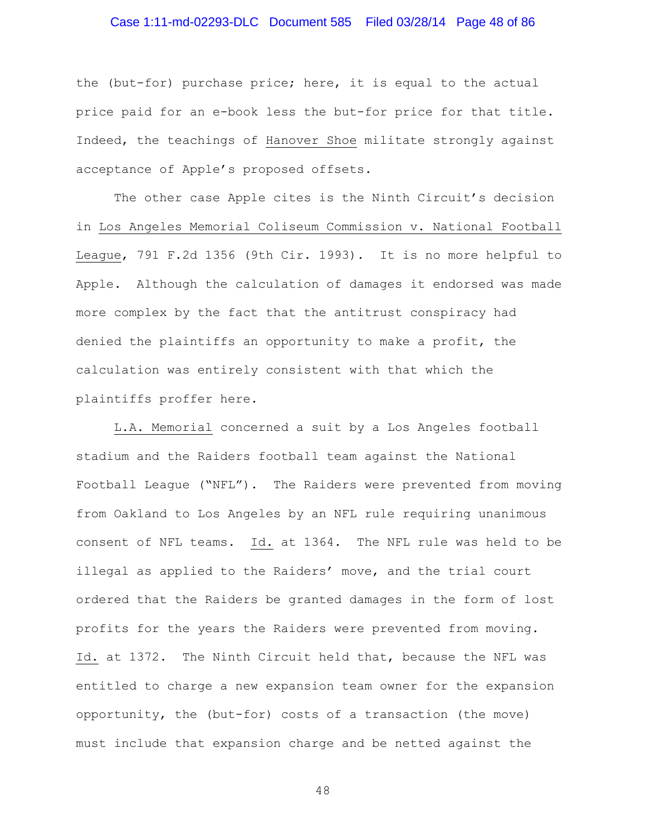# Case 1:11-md-02293-DLC Document 585 Filed 03/28/14 Page 48 of 86

the (but-for) purchase price; here, it is equal to the actual price paid for an e-book less the but-for price for that title. Indeed, the teachings of Hanover Shoe militate strongly against acceptance of Apple's proposed offsets.

The other case Apple cites is the Ninth Circuit's decision in Los Angeles Memorial Coliseum Commission v. National Football League, 791 F.2d 1356 (9th Cir. 1993). It is no more helpful to Apple. Although the calculation of damages it endorsed was made more complex by the fact that the antitrust conspiracy had denied the plaintiffs an opportunity to make a profit, the calculation was entirely consistent with that which the plaintiffs proffer here.

L.A. Memorial concerned a suit by a Los Angeles football stadium and the Raiders football team against the National Football League ("NFL"). The Raiders were prevented from moving from Oakland to Los Angeles by an NFL rule requiring unanimous consent of NFL teams. Id. at 1364. The NFL rule was held to be illegal as applied to the Raiders' move, and the trial court ordered that the Raiders be granted damages in the form of lost profits for the years the Raiders were prevented from moving. Id. at 1372. The Ninth Circuit held that, because the NFL was entitled to charge a new expansion team owner for the expansion opportunity, the (but-for) costs of a transaction (the move) must include that expansion charge and be netted against the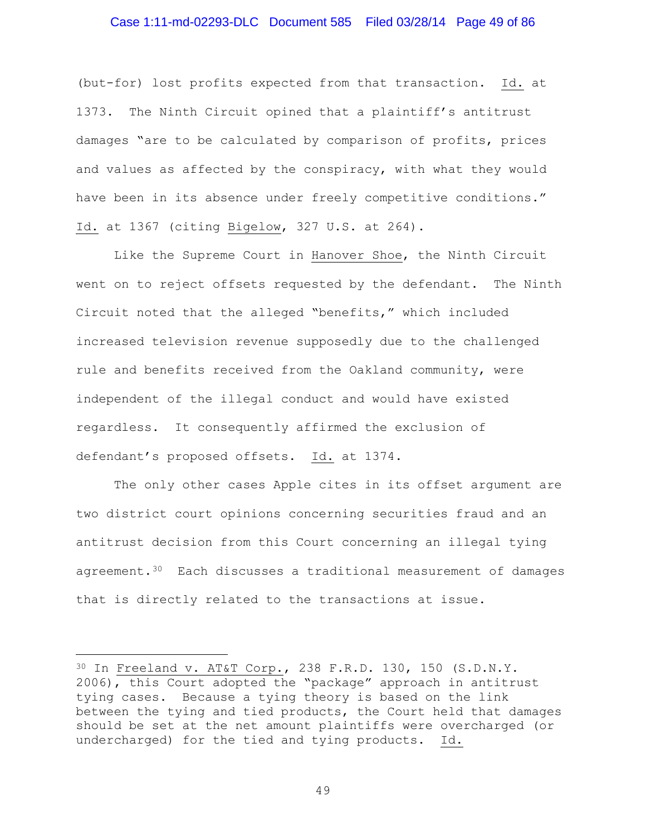### Case 1:11-md-02293-DLC Document 585 Filed 03/28/14 Page 49 of 86

(but-for) lost profits expected from that transaction. Id. at 1373. The Ninth Circuit opined that a plaintiff's antitrust damages "are to be calculated by comparison of profits, prices and values as affected by the conspiracy, with what they would have been in its absence under freely competitive conditions." Id. at 1367 (citing Bigelow, 327 U.S. at 264).

Like the Supreme Court in Hanover Shoe, the Ninth Circuit went on to reject offsets requested by the defendant. The Ninth Circuit noted that the alleged "benefits," which included increased television revenue supposedly due to the challenged rule and benefits received from the Oakland community, were independent of the illegal conduct and would have existed regardless. It consequently affirmed the exclusion of defendant's proposed offsets. Id. at 1374.

The only other cases Apple cites in its offset argument are two district court opinions concerning securities fraud and an antitrust decision from this Court concerning an illegal tying agreement.[30](#page-48-0) Each discusses a traditional measurement of damages that is directly related to the transactions at issue.

Ĩ.

<span id="page-48-0"></span><sup>30</sup> In Freeland v. AT&T Corp., 238 F.R.D. 130, 150 (S.D.N.Y. 2006), this Court adopted the "package" approach in antitrust tying cases. Because a tying theory is based on the link between the tying and tied products, the Court held that damages should be set at the net amount plaintiffs were overcharged (or undercharged) for the tied and tying products. Id.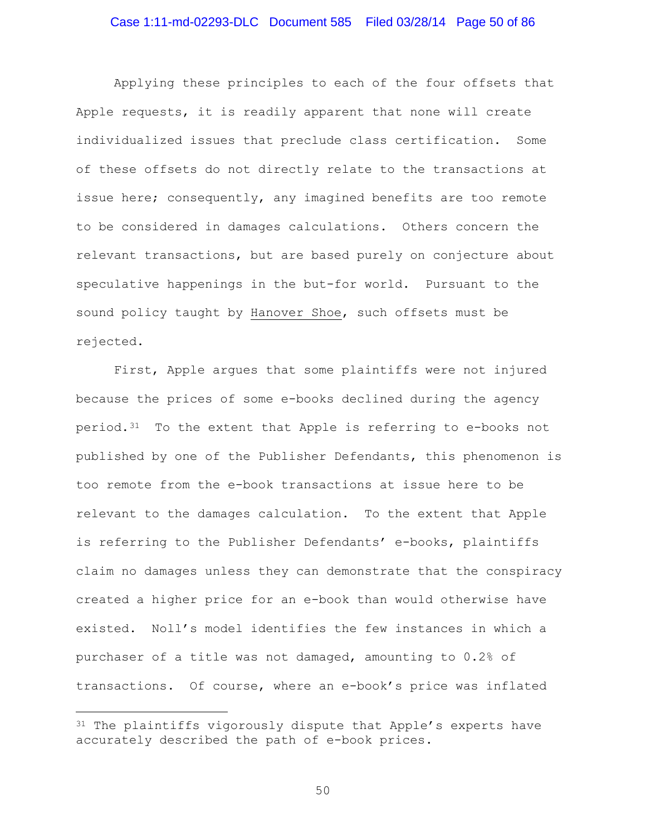### Case 1:11-md-02293-DLC Document 585 Filed 03/28/14 Page 50 of 86

Applying these principles to each of the four offsets that Apple requests, it is readily apparent that none will create individualized issues that preclude class certification. Some of these offsets do not directly relate to the transactions at issue here; consequently, any imagined benefits are too remote to be considered in damages calculations. Others concern the relevant transactions, but are based purely on conjecture about speculative happenings in the but-for world. Pursuant to the sound policy taught by Hanover Shoe, such offsets must be rejected.

First, Apple argues that some plaintiffs were not injured because the prices of some e-books declined during the agency period.[31](#page-49-0) To the extent that Apple is referring to e-books not published by one of the Publisher Defendants, this phenomenon is too remote from the e-book transactions at issue here to be relevant to the damages calculation. To the extent that Apple is referring to the Publisher Defendants' e-books, plaintiffs claim no damages unless they can demonstrate that the conspiracy created a higher price for an e-book than would otherwise have existed. Noll's model identifies the few instances in which a purchaser of a title was not damaged, amounting to 0.2% of transactions. Of course, where an e-book's price was inflated

Ĩ.

<span id="page-49-0"></span><sup>&</sup>lt;sup>31</sup> The plaintiffs vigorously dispute that Apple's experts have accurately described the path of e-book prices.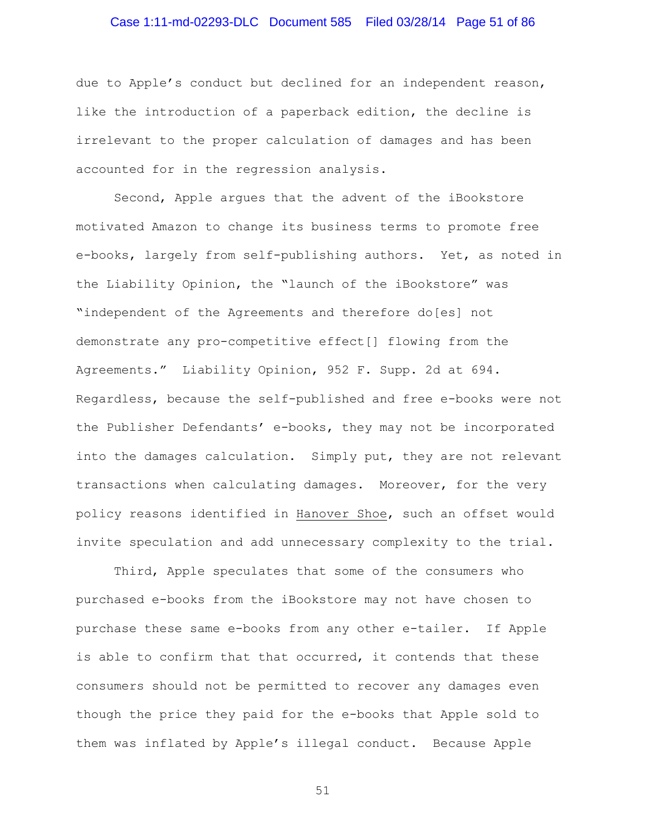# Case 1:11-md-02293-DLC Document 585 Filed 03/28/14 Page 51 of 86

due to Apple's conduct but declined for an independent reason, like the introduction of a paperback edition, the decline is irrelevant to the proper calculation of damages and has been accounted for in the regression analysis.

Second, Apple argues that the advent of the iBookstore motivated Amazon to change its business terms to promote free e-books, largely from self-publishing authors. Yet, as noted in the Liability Opinion, the "launch of the iBookstore" was "independent of the Agreements and therefore do[es] not demonstrate any pro-competitive effect[] flowing from the Agreements." Liability Opinion, 952 F. Supp. 2d at 694. Regardless, because the self-published and free e-books were not the Publisher Defendants' e-books, they may not be incorporated into the damages calculation. Simply put, they are not relevant transactions when calculating damages. Moreover, for the very policy reasons identified in Hanover Shoe, such an offset would invite speculation and add unnecessary complexity to the trial.

Third, Apple speculates that some of the consumers who purchased e-books from the iBookstore may not have chosen to purchase these same e-books from any other e-tailer. If Apple is able to confirm that that occurred, it contends that these consumers should not be permitted to recover any damages even though the price they paid for the e-books that Apple sold to them was inflated by Apple's illegal conduct. Because Apple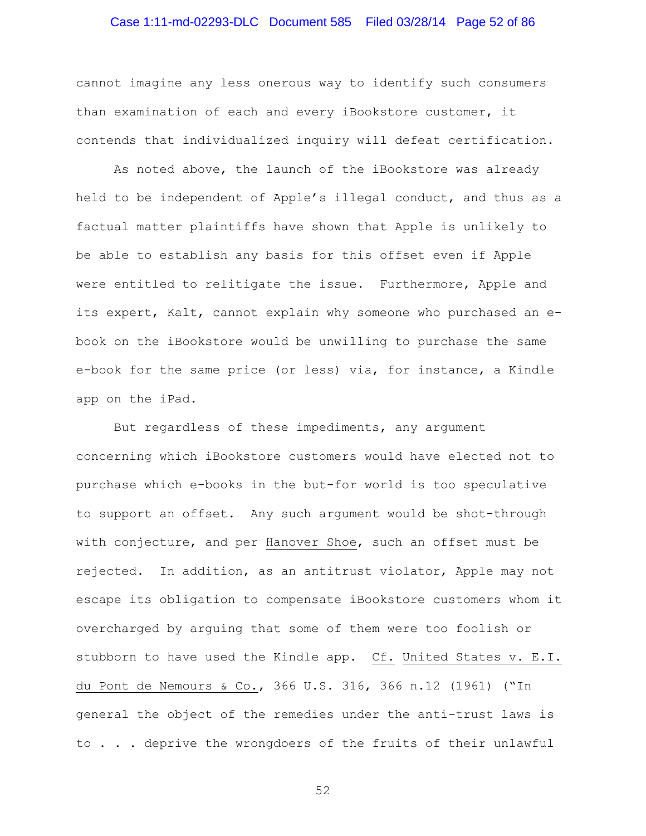# Case 1:11-md-02293-DLC Document 585 Filed 03/28/14 Page 52 of 86

cannot imagine any less onerous way to identify such consumers than examination of each and every iBookstore customer, it contends that individualized inquiry will defeat certification.

As noted above, the launch of the iBookstore was already held to be independent of Apple's illegal conduct, and thus as a factual matter plaintiffs have shown that Apple is unlikely to be able to establish any basis for this offset even if Apple were entitled to relitigate the issue. Furthermore, Apple and its expert, Kalt, cannot explain why someone who purchased an ebook on the iBookstore would be unwilling to purchase the same e-book for the same price (or less) via, for instance, a Kindle app on the iPad.

But regardless of these impediments, any argument concerning which iBookstore customers would have elected not to purchase which e-books in the but-for world is too speculative to support an offset. Any such argument would be shot-through with conjecture, and per Hanover Shoe, such an offset must be rejected. In addition, as an antitrust violator, Apple may not escape its obligation to compensate iBookstore customers whom it overcharged by arguing that some of them were too foolish or stubborn to have used the Kindle app. Cf. United States v. E.I. du Pont de Nemours & Co., 366 U.S. 316, 366 n.12 (1961) ("In general the object of the remedies under the anti-trust laws is to . . . deprive the wrongdoers of the fruits of their unlawful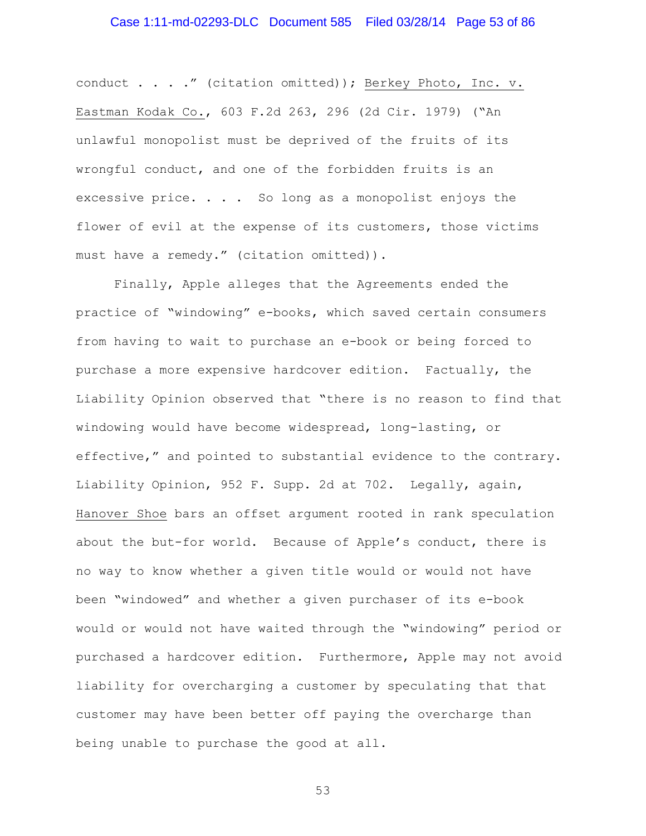# Case 1:11-md-02293-DLC Document 585 Filed 03/28/14 Page 53 of 86

conduct . . . ." (citation omitted)); Berkey Photo, Inc. v. Eastman Kodak Co., 603 F.2d 263, 296 (2d Cir. 1979) ("An unlawful monopolist must be deprived of the fruits of its wrongful conduct, and one of the forbidden fruits is an excessive price.  $\ldots$  . So long as a monopolist enjoys the flower of evil at the expense of its customers, those victims must have a remedy." (citation omitted)).

Finally, Apple alleges that the Agreements ended the practice of "windowing" e-books, which saved certain consumers from having to wait to purchase an e-book or being forced to purchase a more expensive hardcover edition. Factually, the Liability Opinion observed that "there is no reason to find that windowing would have become widespread, long-lasting, or effective," and pointed to substantial evidence to the contrary. Liability Opinion, 952 F. Supp. 2d at 702. Legally, again, Hanover Shoe bars an offset argument rooted in rank speculation about the but-for world. Because of Apple's conduct, there is no way to know whether a given title would or would not have been "windowed" and whether a given purchaser of its e-book would or would not have waited through the "windowing" period or purchased a hardcover edition. Furthermore, Apple may not avoid liability for overcharging a customer by speculating that that customer may have been better off paying the overcharge than being unable to purchase the good at all.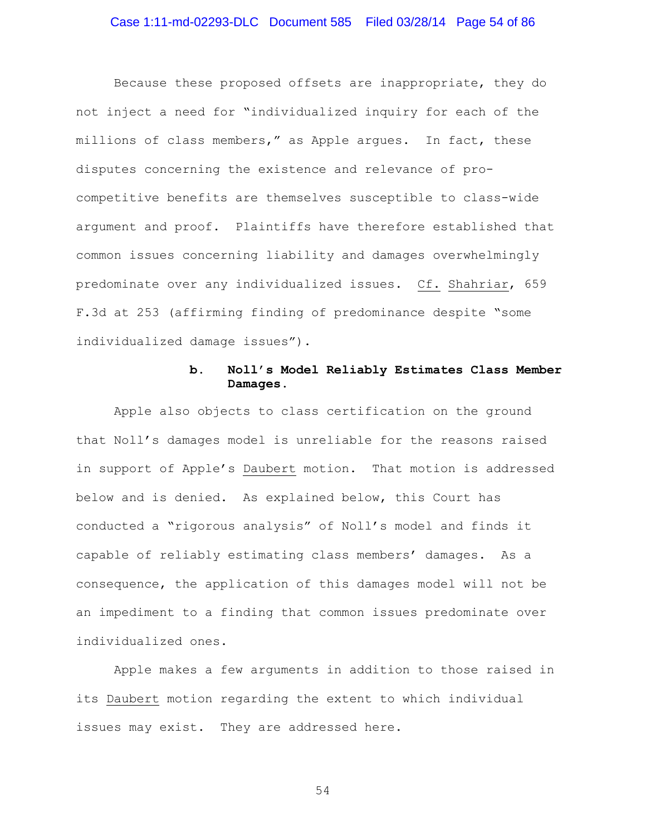# Case 1:11-md-02293-DLC Document 585 Filed 03/28/14 Page 54 of 86

Because these proposed offsets are inappropriate, they do not inject a need for "individualized inquiry for each of the millions of class members," as Apple argues. In fact, these disputes concerning the existence and relevance of procompetitive benefits are themselves susceptible to class-wide argument and proof. Plaintiffs have therefore established that common issues concerning liability and damages overwhelmingly predominate over any individualized issues. Cf. Shahriar, 659 F.3d at 253 (affirming finding of predominance despite "some individualized damage issues").

### **b. Noll's Model Reliably Estimates Class Member Damages.**

Apple also objects to class certification on the ground that Noll's damages model is unreliable for the reasons raised in support of Apple's Daubert motion. That motion is addressed below and is denied. As explained below, this Court has conducted a "rigorous analysis" of Noll's model and finds it capable of reliably estimating class members' damages. As a consequence, the application of this damages model will not be an impediment to a finding that common issues predominate over individualized ones.

Apple makes a few arguments in addition to those raised in its Daubert motion regarding the extent to which individual issues may exist. They are addressed here.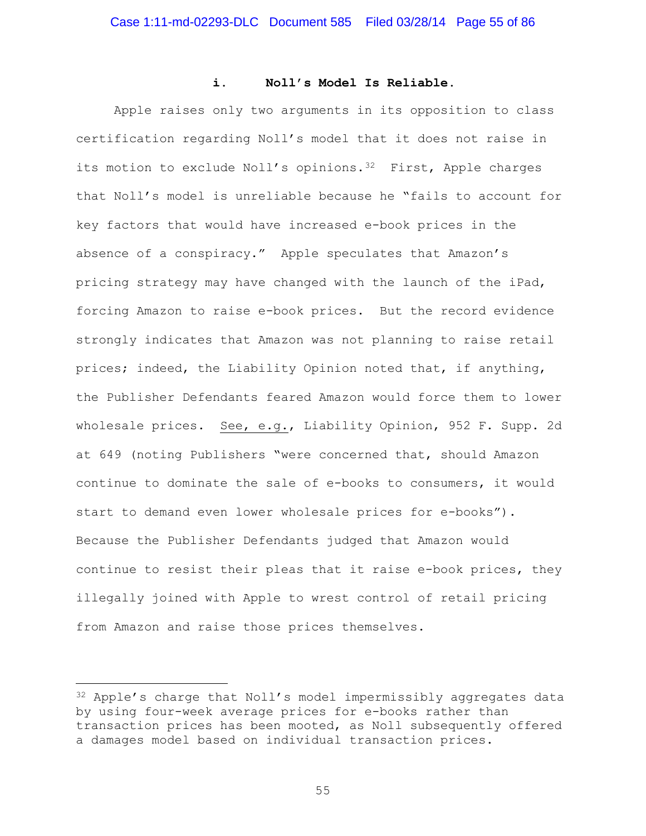### **i. Noll's Model Is Reliable.**

Apple raises only two arguments in its opposition to class certification regarding Noll's model that it does not raise in its motion to exclude Noll's opinions.<sup>32</sup> First, Apple charges that Noll's model is unreliable because he "fails to account for key factors that would have increased e-book prices in the absence of a conspiracy." Apple speculates that Amazon's pricing strategy may have changed with the launch of the iPad, forcing Amazon to raise e-book prices. But the record evidence strongly indicates that Amazon was not planning to raise retail prices; indeed, the Liability Opinion noted that, if anything, the Publisher Defendants feared Amazon would force them to lower wholesale prices. See, e.g., Liability Opinion, 952 F. Supp. 2d at 649 (noting Publishers "were concerned that, should Amazon continue to dominate the sale of e-books to consumers, it would start to demand even lower wholesale prices for e-books"). Because the Publisher Defendants judged that Amazon would continue to resist their pleas that it raise e-book prices, they illegally joined with Apple to wrest control of retail pricing from Amazon and raise those prices themselves.

<span id="page-54-0"></span><sup>32</sup> Apple's charge that Noll's model impermissibly aggregates data by using four-week average prices for e-books rather than transaction prices has been mooted, as Noll subsequently offered a damages model based on individual transaction prices. Ĩ.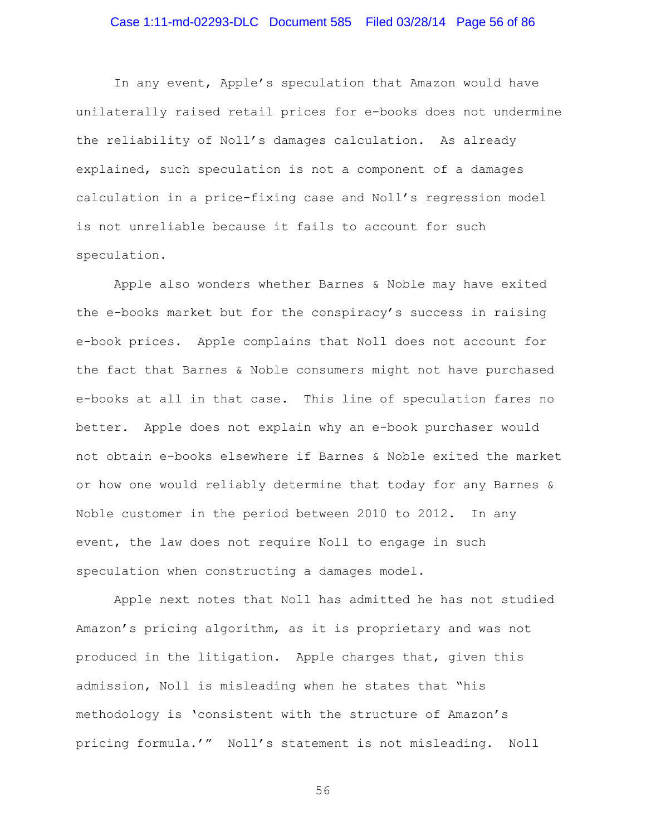# Case 1:11-md-02293-DLC Document 585 Filed 03/28/14 Page 56 of 86

In any event, Apple's speculation that Amazon would have unilaterally raised retail prices for e-books does not undermine the reliability of Noll's damages calculation. As already explained, such speculation is not a component of a damages calculation in a price-fixing case and Noll's regression model is not unreliable because it fails to account for such speculation.

Apple also wonders whether Barnes & Noble may have exited the e-books market but for the conspiracy's success in raising e-book prices. Apple complains that Noll does not account for the fact that Barnes & Noble consumers might not have purchased e-books at all in that case. This line of speculation fares no better. Apple does not explain why an e-book purchaser would not obtain e-books elsewhere if Barnes & Noble exited the market or how one would reliably determine that today for any Barnes & Noble customer in the period between 2010 to 2012. In any event, the law does not require Noll to engage in such speculation when constructing a damages model.

Apple next notes that Noll has admitted he has not studied Amazon's pricing algorithm, as it is proprietary and was not produced in the litigation. Apple charges that, given this admission, Noll is misleading when he states that "his methodology is 'consistent with the structure of Amazon's pricing formula.'" Noll's statement is not misleading. Noll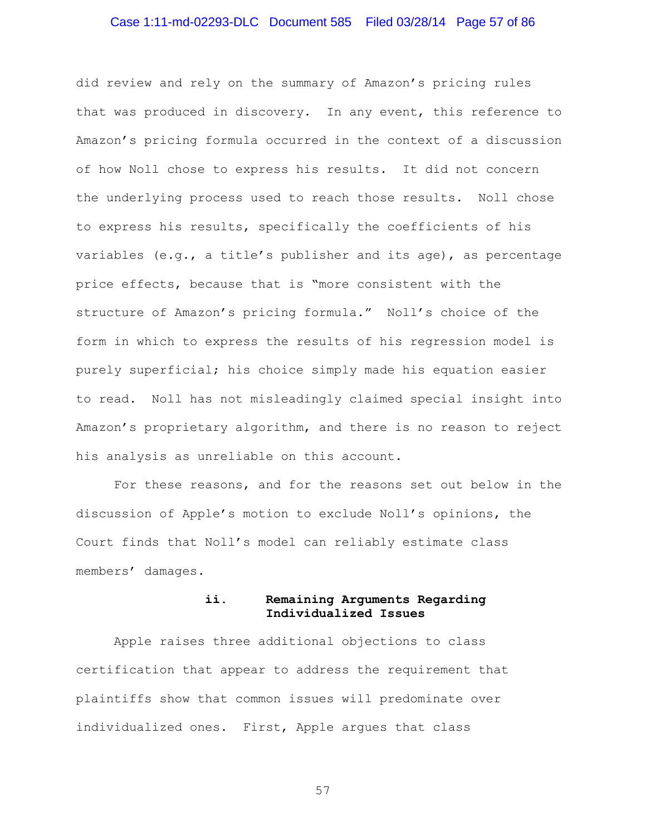# Case 1:11-md-02293-DLC Document 585 Filed 03/28/14 Page 57 of 86

did review and rely on the summary of Amazon's pricing rules that was produced in discovery. In any event, this reference to Amazon's pricing formula occurred in the context of a discussion of how Noll chose to express his results. It did not concern the underlying process used to reach those results. Noll chose to express his results, specifically the coefficients of his variables (e.g., a title's publisher and its age), as percentage price effects, because that is "more consistent with the structure of Amazon's pricing formula." Noll's choice of the form in which to express the results of his regression model is purely superficial; his choice simply made his equation easier to read. Noll has not misleadingly claimed special insight into Amazon's proprietary algorithm, and there is no reason to reject his analysis as unreliable on this account.

For these reasons, and for the reasons set out below in the discussion of Apple's motion to exclude Noll's opinions, the Court finds that Noll's model can reliably estimate class members' damages.

### **ii. Remaining Arguments Regarding Individualized Issues**

Apple raises three additional objections to class certification that appear to address the requirement that plaintiffs show that common issues will predominate over individualized ones. First, Apple argues that class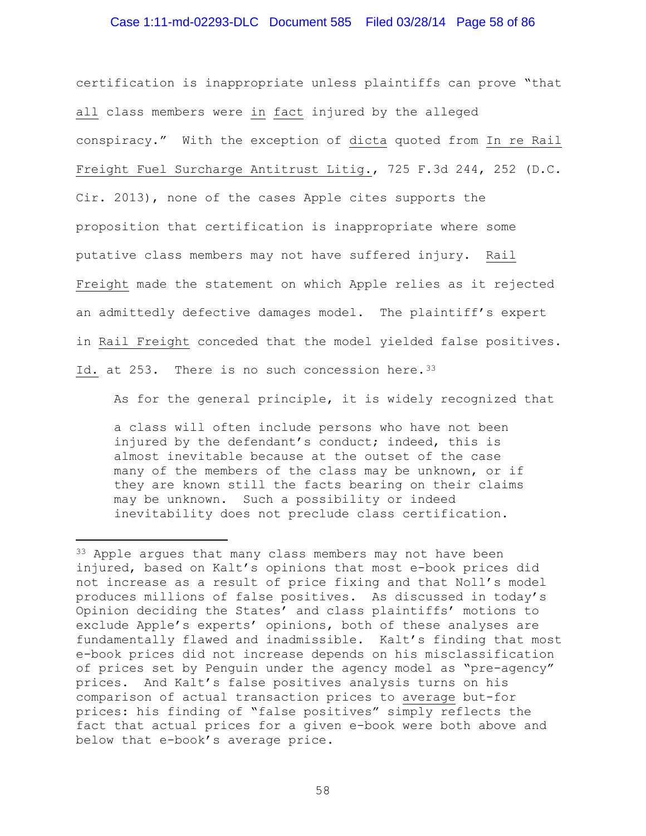### Case 1:11-md-02293-DLC Document 585 Filed 03/28/14 Page 58 of 86

certification is inappropriate unless plaintiffs can prove "that all class members were in fact injured by the alleged conspiracy." With the exception of dicta quoted from In re Rail Freight Fuel Surcharge Antitrust Litig., 725 F.3d 244, 252 (D.C. Cir. 2013), none of the cases Apple cites supports the proposition that certification is inappropriate where some putative class members may not have suffered injury. Rail Freight made the statement on which Apple relies as it rejected an admittedly defective damages model. The plaintiff's expert in Rail Freight conceded that the model yielded false positives. Id. at 253. There is no such concession here. [33](#page-57-0)

As for the general principle, it is widely recognized that

a class will often include persons who have not been injured by the defendant's conduct; indeed, this is almost inevitable because at the outset of the case many of the members of the class may be unknown, or if they are known still the facts bearing on their claims may be unknown. Such a possibility or indeed inevitability does not preclude class certification.

Ĩ.

<span id="page-57-0"></span><sup>&</sup>lt;sup>33</sup> Apple argues that many class members may not have been injured, based on Kalt's opinions that most e-book prices did not increase as a result of price fixing and that Noll's model produces millions of false positives. As discussed in today's Opinion deciding the States' and class plaintiffs' motions to exclude Apple's experts' opinions, both of these analyses are fundamentally flawed and inadmissible. Kalt's finding that most e-book prices did not increase depends on his misclassification of prices set by Penguin under the agency model as "pre-agency" prices. And Kalt's false positives analysis turns on his comparison of actual transaction prices to average but-for prices: his finding of "false positives" simply reflects the fact that actual prices for a given e-book were both above and below that e-book's average price.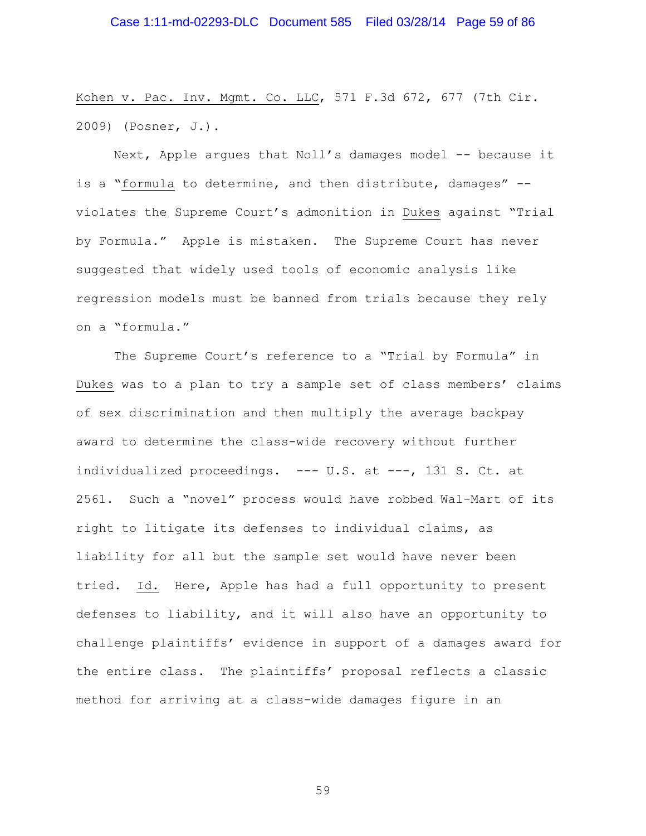### Case 1:11-md-02293-DLC Document 585 Filed 03/28/14 Page 59 of 86

Kohen v. Pac. Inv. Mgmt. Co. LLC, 571 F.3d 672, 677 (7th Cir. 2009) (Posner, J.).

Next, Apple argues that Noll's damages model -- because it is a "formula to determine, and then distribute, damages" - violates the Supreme Court's admonition in Dukes against "Trial by Formula." Apple is mistaken. The Supreme Court has never suggested that widely used tools of economic analysis like regression models must be banned from trials because they rely on a "formula."

The Supreme Court's reference to a "Trial by Formula" in Dukes was to a plan to try a sample set of class members' claims of sex discrimination and then multiply the average backpay award to determine the class-wide recovery without further individualized proceedings. --- U.S. at ---, 131 S. Ct. at 2561. Such a "novel" process would have robbed Wal-Mart of its right to litigate its defenses to individual claims, as liability for all but the sample set would have never been tried. Id. Here, Apple has had a full opportunity to present defenses to liability, and it will also have an opportunity to challenge plaintiffs' evidence in support of a damages award for the entire class. The plaintiffs' proposal reflects a classic method for arriving at a class-wide damages figure in an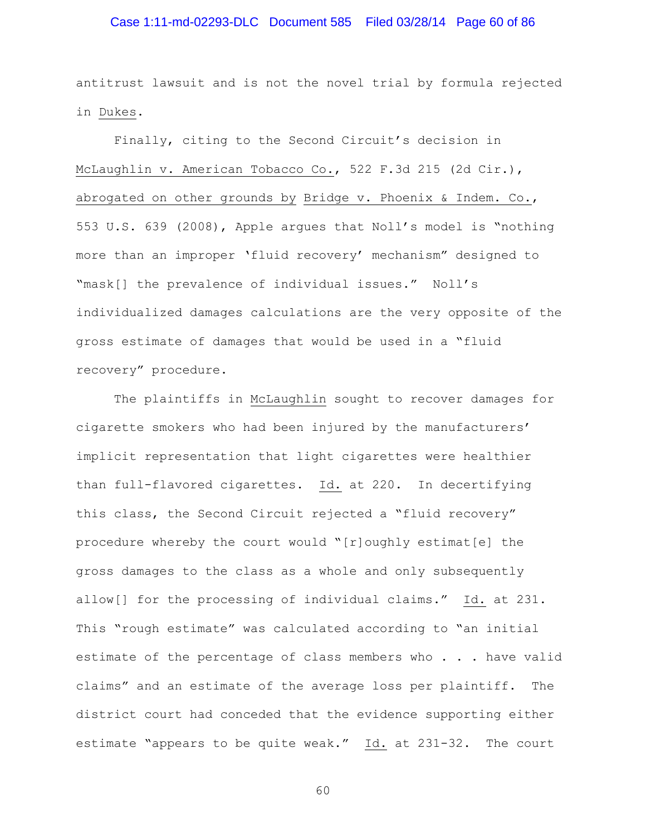### Case 1:11-md-02293-DLC Document 585 Filed 03/28/14 Page 60 of 86

antitrust lawsuit and is not the novel trial by formula rejected in Dukes.

Finally, citing to the Second Circuit's decision in McLaughlin v. American Tobacco Co., 522 F.3d 215 (2d Cir.), abrogated on other grounds by Bridge v. Phoenix & Indem. Co., 553 U.S. 639 (2008), Apple argues that Noll's model is "nothing more than an improper 'fluid recovery' mechanism" designed to "mask[] the prevalence of individual issues." Noll's individualized damages calculations are the very opposite of the gross estimate of damages that would be used in a "fluid recovery" procedure.

The plaintiffs in McLaughlin sought to recover damages for cigarette smokers who had been injured by the manufacturers' implicit representation that light cigarettes were healthier than full-flavored cigarettes. Id. at 220. In decertifying this class, the Second Circuit rejected a "fluid recovery" procedure whereby the court would "[r]oughly estimat[e] the gross damages to the class as a whole and only subsequently allow[] for the processing of individual claims." Id. at 231. This "rough estimate" was calculated according to "an initial estimate of the percentage of class members who . . . have valid claims" and an estimate of the average loss per plaintiff. The district court had conceded that the evidence supporting either estimate "appears to be quite weak." Id. at 231-32. The court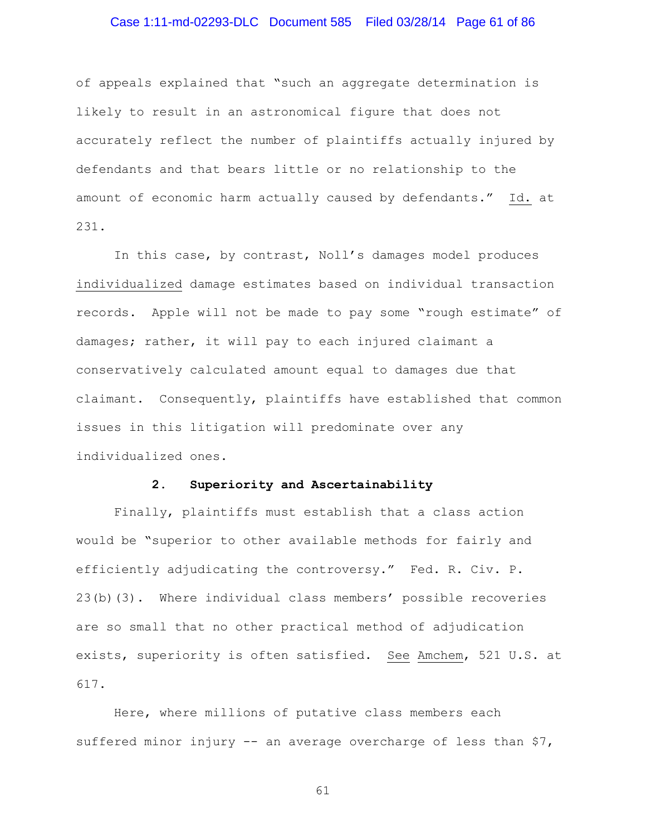### Case 1:11-md-02293-DLC Document 585 Filed 03/28/14 Page 61 of 86

of appeals explained that "such an aggregate determination is likely to result in an astronomical figure that does not accurately reflect the number of plaintiffs actually injured by defendants and that bears little or no relationship to the amount of economic harm actually caused by defendants." Id. at 231.

In this case, by contrast, Noll's damages model produces individualized damage estimates based on individual transaction records. Apple will not be made to pay some "rough estimate" of damages; rather, it will pay to each injured claimant a conservatively calculated amount equal to damages due that claimant. Consequently, plaintiffs have established that common issues in this litigation will predominate over any individualized ones.

### **2. Superiority and Ascertainability**

Finally, plaintiffs must establish that a class action would be "superior to other available methods for fairly and efficiently adjudicating the controversy." Fed. R. Civ. P. 23(b)(3). Where individual class members' possible recoveries are so small that no other practical method of adjudication exists, superiority is often satisfied. See Amchem, 521 U.S. at 617.

Here, where millions of putative class members each suffered minor injury -- an average overcharge of less than \$7,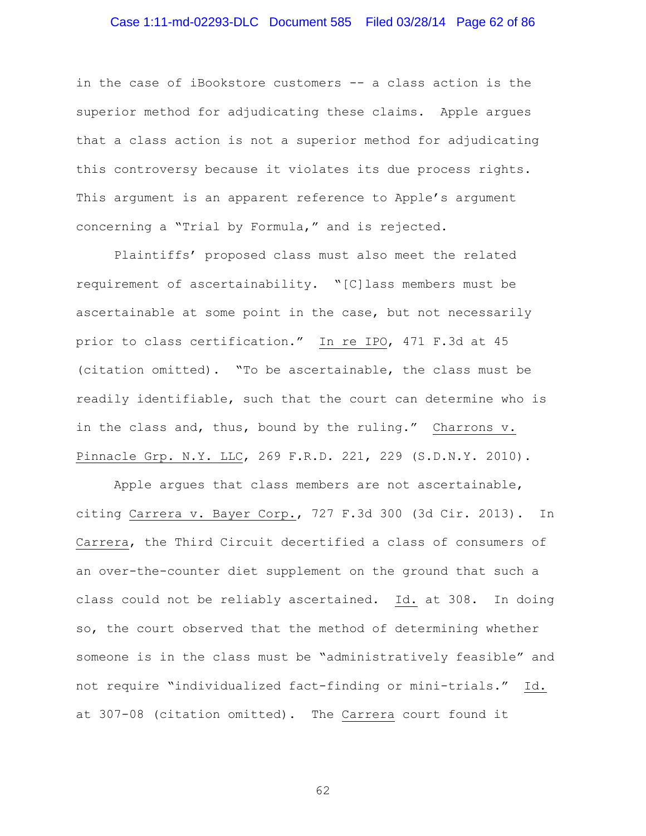# Case 1:11-md-02293-DLC Document 585 Filed 03/28/14 Page 62 of 86

in the case of iBookstore customers -- a class action is the superior method for adjudicating these claims. Apple argues that a class action is not a superior method for adjudicating this controversy because it violates its due process rights. This argument is an apparent reference to Apple's argument concerning a "Trial by Formula," and is rejected.

Plaintiffs' proposed class must also meet the related requirement of ascertainability. "[C]lass members must be ascertainable at some point in the case, but not necessarily prior to class certification." In re IPO, 471 F.3d at 45 (citation omitted). "To be ascertainable, the class must be readily identifiable, such that the court can determine who is in the class and, thus, bound by the ruling." Charrons v. Pinnacle Grp. N.Y. LLC, 269 F.R.D. 221, 229 (S.D.N.Y. 2010).

Apple argues that class members are not ascertainable, citing Carrera v. Bayer Corp., 727 F.3d 300 (3d Cir. 2013). In Carrera, the Third Circuit decertified a class of consumers of an over-the-counter diet supplement on the ground that such a class could not be reliably ascertained. Id. at 308. In doing so, the court observed that the method of determining whether someone is in the class must be "administratively feasible" and not require "individualized fact-finding or mini-trials." Id. at 307-08 (citation omitted). The Carrera court found it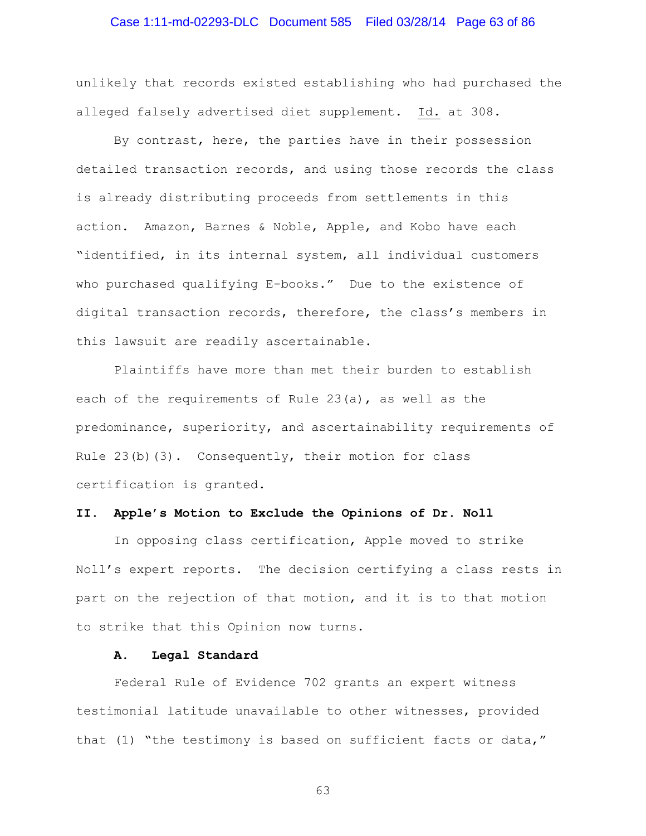### Case 1:11-md-02293-DLC Document 585 Filed 03/28/14 Page 63 of 86

unlikely that records existed establishing who had purchased the alleged falsely advertised diet supplement. Id. at 308.

By contrast, here, the parties have in their possession detailed transaction records, and using those records the class is already distributing proceeds from settlements in this action. Amazon, Barnes & Noble, Apple, and Kobo have each "identified, in its internal system, all individual customers who purchased qualifying E-books." Due to the existence of digital transaction records, therefore, the class's members in this lawsuit are readily ascertainable.

Plaintiffs have more than met their burden to establish each of the requirements of Rule 23(a), as well as the predominance, superiority, and ascertainability requirements of Rule  $23(b)(3)$ . Consequently, their motion for class certification is granted.

#### **II. Apple's Motion to Exclude the Opinions of Dr. Noll**

In opposing class certification, Apple moved to strike Noll's expert reports. The decision certifying a class rests in part on the rejection of that motion, and it is to that motion to strike that this Opinion now turns.

#### **A. Legal Standard**

Federal Rule of Evidence 702 grants an expert witness testimonial latitude unavailable to other witnesses, provided that (1) "the testimony is based on sufficient facts or data,"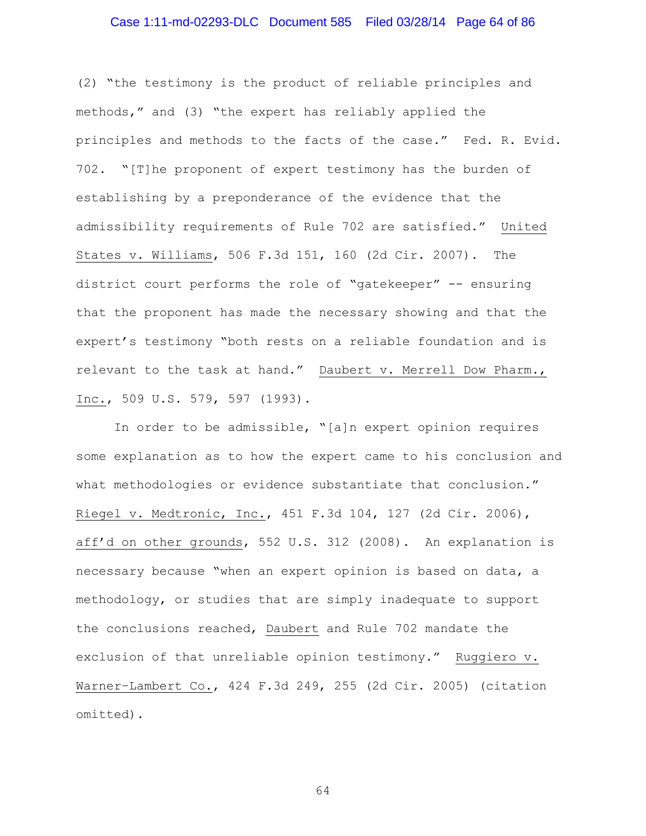# Case 1:11-md-02293-DLC Document 585 Filed 03/28/14 Page 64 of 86

(2) "the testimony is the product of reliable principles and methods," and (3) "the expert has reliably applied the principles and methods to the facts of the case." Fed. R. Evid. 702. "[T]he proponent of expert testimony has the burden of establishing by a preponderance of the evidence that the admissibility requirements of Rule 702 are satisfied." United States v. Williams, 506 F.3d 151, 160 (2d Cir. 2007). The district court performs the role of "gatekeeper" -- ensuring that the proponent has made the necessary showing and that the expert's testimony "both rests on a reliable foundation and is relevant to the task at hand." Daubert v. Merrell Dow Pharm., Inc., 509 U.S. 579, 597 (1993).

In order to be admissible, "[a]n expert opinion requires some explanation as to how the expert came to his conclusion and what methodologies or evidence substantiate that conclusion." Riegel v. Medtronic, Inc., 451 F.3d 104, 127 (2d Cir. 2006), aff'd on other grounds, 552 U.S. 312 (2008). An explanation is necessary because "when an expert opinion is based on data, a methodology, or studies that are simply inadequate to support the conclusions reached, Daubert and Rule 702 mandate the exclusion of that unreliable opinion testimony." Ruggiero v. Warner–Lambert Co., 424 F.3d 249, 255 (2d Cir. 2005) (citation omitted).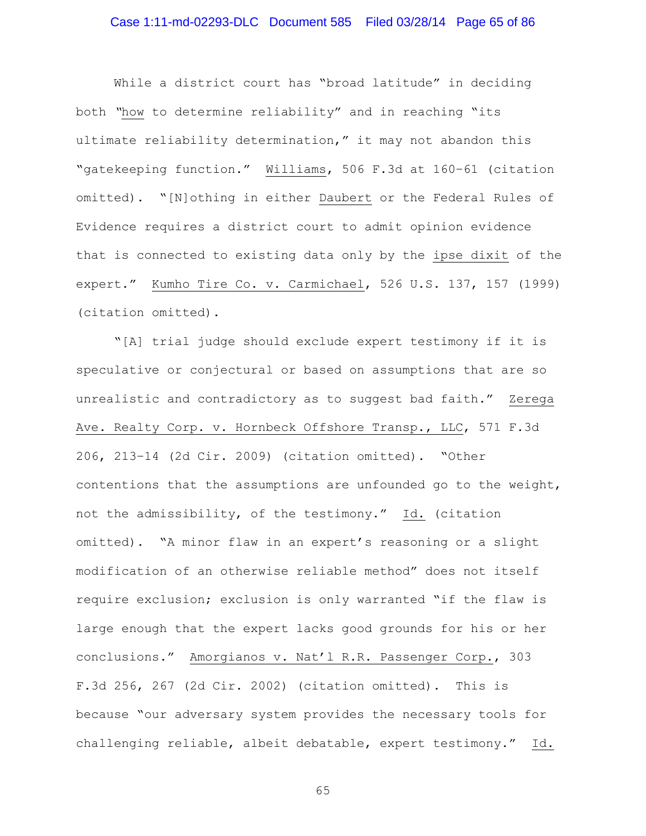# Case 1:11-md-02293-DLC Document 585 Filed 03/28/14 Page 65 of 86

While a district court has "broad latitude" in deciding both *"*how to determine reliability" and in reaching "its ultimate reliability determination," it may not abandon this "gatekeeping function." Williams, 506 F.3d at 160–61 (citation omitted). "[N]othing in either Daubert or the Federal Rules of Evidence requires a district court to admit opinion evidence that is connected to existing data only by the ipse dixit of the expert." Kumho Tire Co. v. Carmichael, 526 U.S. 137, 157 (1999) (citation omitted).

"[A] trial judge should exclude expert testimony if it is speculative or conjectural or based on assumptions that are so unrealistic and contradictory as to suggest bad faith." Zerega Ave. Realty Corp. v. Hornbeck Offshore Transp., LLC, 571 F.3d 206, 213–14 (2d Cir. 2009) (citation omitted). "Other contentions that the assumptions are unfounded go to the weight, not the admissibility, of the testimony." Id. (citation omitted). "A minor flaw in an expert's reasoning or a slight modification of an otherwise reliable method" does not itself require exclusion; exclusion is only warranted "if the flaw is large enough that the expert lacks good grounds for his or her conclusions." Amorgianos v. Nat'l R.R. Passenger Corp., 303 F.3d 256, 267 (2d Cir. 2002) (citation omitted). This is because "our adversary system provides the necessary tools for challenging reliable, albeit debatable, expert testimony." Id.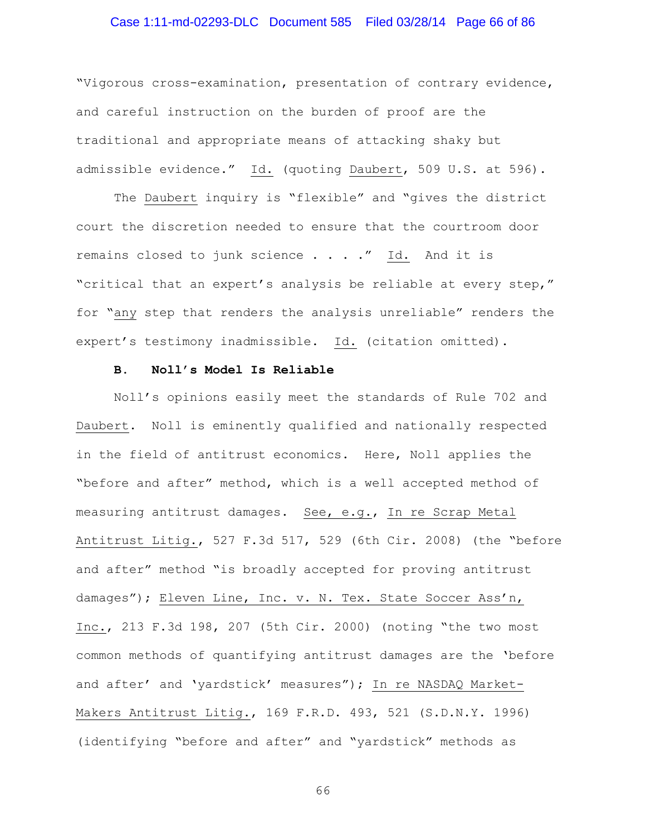### Case 1:11-md-02293-DLC Document 585 Filed 03/28/14 Page 66 of 86

"Vigorous cross-examination, presentation of contrary evidence, and careful instruction on the burden of proof are the traditional and appropriate means of attacking shaky but admissible evidence." Id. (quoting Daubert, 509 U.S. at 596).

The Daubert inquiry is "flexible" and "gives the district court the discretion needed to ensure that the courtroom door remains closed to junk science . . . ." Id. And it is "critical that an expert's analysis be reliable at every step," for "any step that renders the analysis unreliable" renders the expert's testimony inadmissible. Id. (citation omitted).

#### **B. Noll's Model Is Reliable**

Noll's opinions easily meet the standards of Rule 702 and Daubert. Noll is eminently qualified and nationally respected in the field of antitrust economics. Here, Noll applies the "before and after" method, which is a well accepted method of measuring antitrust damages. See, e.g., In re Scrap Metal Antitrust Litig., 527 F.3d 517, 529 (6th Cir. 2008) (the "before and after" method "is broadly accepted for proving antitrust damages"); Eleven Line, Inc. v. N. Tex. State Soccer Ass'n, Inc., 213 F.3d 198, 207 (5th Cir. 2000) (noting "the two most common methods of quantifying antitrust damages are the 'before and after' and 'yardstick' measures"); In re NASDAQ Market-Makers Antitrust Litig., 169 F.R.D. 493, 521 (S.D.N.Y. 1996) (identifying "before and after" and "yardstick" methods as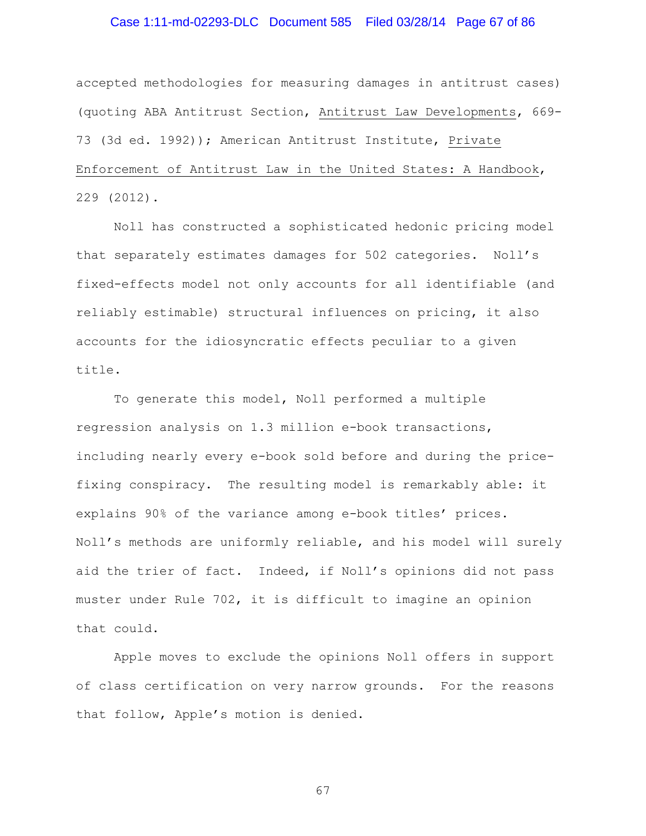# Case 1:11-md-02293-DLC Document 585 Filed 03/28/14 Page 67 of 86

accepted methodologies for measuring damages in antitrust cases) (quoting ABA Antitrust Section, Antitrust Law Developments, 669- 73 (3d ed. 1992)); American Antitrust Institute, Private Enforcement of Antitrust Law in the United States: A Handbook, 229 (2012).

Noll has constructed a sophisticated hedonic pricing model that separately estimates damages for 502 categories. Noll's fixed-effects model not only accounts for all identifiable (and reliably estimable) structural influences on pricing, it also accounts for the idiosyncratic effects peculiar to a given title.

To generate this model, Noll performed a multiple regression analysis on 1.3 million e-book transactions, including nearly every e-book sold before and during the pricefixing conspiracy. The resulting model is remarkably able: it explains 90% of the variance among e-book titles' prices. Noll's methods are uniformly reliable, and his model will surely aid the trier of fact. Indeed, if Noll's opinions did not pass muster under Rule 702, it is difficult to imagine an opinion that could.

Apple moves to exclude the opinions Noll offers in support of class certification on very narrow grounds. For the reasons that follow, Apple's motion is denied.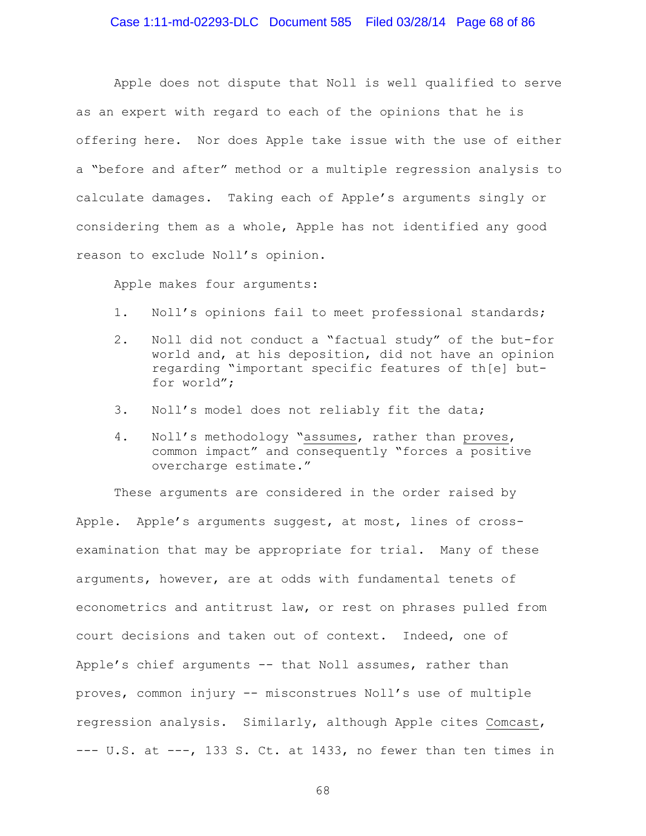Apple does not dispute that Noll is well qualified to serve as an expert with regard to each of the opinions that he is offering here. Nor does Apple take issue with the use of either a "before and after" method or a multiple regression analysis to calculate damages. Taking each of Apple's arguments singly or considering them as a whole, Apple has not identified any good reason to exclude Noll's opinion.

Apple makes four arguments:

- 1. Noll's opinions fail to meet professional standards;
- 2. Noll did not conduct a "factual study" of the but-for world and, at his deposition, did not have an opinion regarding "important specific features of th[e] butfor world";
- 3. Noll's model does not reliably fit the data;
- 4. Noll's methodology "assumes, rather than proves, common impact" and consequently "forces a positive overcharge estimate."

These arguments are considered in the order raised by Apple. Apple's arguments suggest, at most, lines of crossexamination that may be appropriate for trial. Many of these arguments, however, are at odds with fundamental tenets of econometrics and antitrust law, or rest on phrases pulled from court decisions and taken out of context. Indeed, one of Apple's chief arguments -- that Noll assumes, rather than proves, common injury -- misconstrues Noll's use of multiple regression analysis. Similarly, although Apple cites Comcast,  $---$  U.S. at  $---$ , 133 S. Ct. at 1433, no fewer than ten times in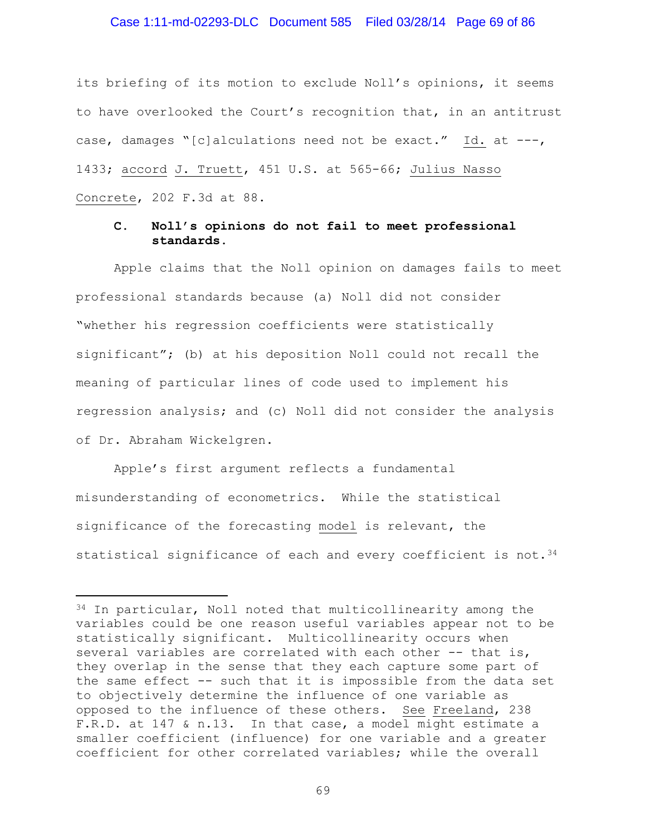### Case 1:11-md-02293-DLC Document 585 Filed 03/28/14 Page 69 of 86

its briefing of its motion to exclude Noll's opinions, it seems to have overlooked the Court's recognition that, in an antitrust case, damages "[c]alculations need not be exact." Id. at ---, 1433; accord J. Truett, 451 U.S. at 565-66; Julius Nasso Concrete, 202 F.3d at 88.

### **C. Noll's opinions do not fail to meet professional standards.**

Apple claims that the Noll opinion on damages fails to meet professional standards because (a) Noll did not consider "whether his regression coefficients were statistically significant"; (b) at his deposition Noll could not recall the meaning of particular lines of code used to implement his regression analysis; and (c) Noll did not consider the analysis of Dr. Abraham Wickelgren.

Apple's first argument reflects a fundamental misunderstanding of econometrics. While the statistical significance of the forecasting model is relevant, the statistical significance of each and every coefficient is not.  $34$ 

Ĩ.

<span id="page-68-0"></span><sup>34</sup> In particular, Noll noted that multicollinearity among the variables could be one reason useful variables appear not to be statistically significant. Multicollinearity occurs when several variables are correlated with each other -- that is, they overlap in the sense that they each capture some part of the same effect -- such that it is impossible from the data set to objectively determine the influence of one variable as opposed to the influence of these others. See Freeland, 238 F.R.D. at 147 & n.13. In that case, a model might estimate a smaller coefficient (influence) for one variable and a greater coefficient for other correlated variables; while the overall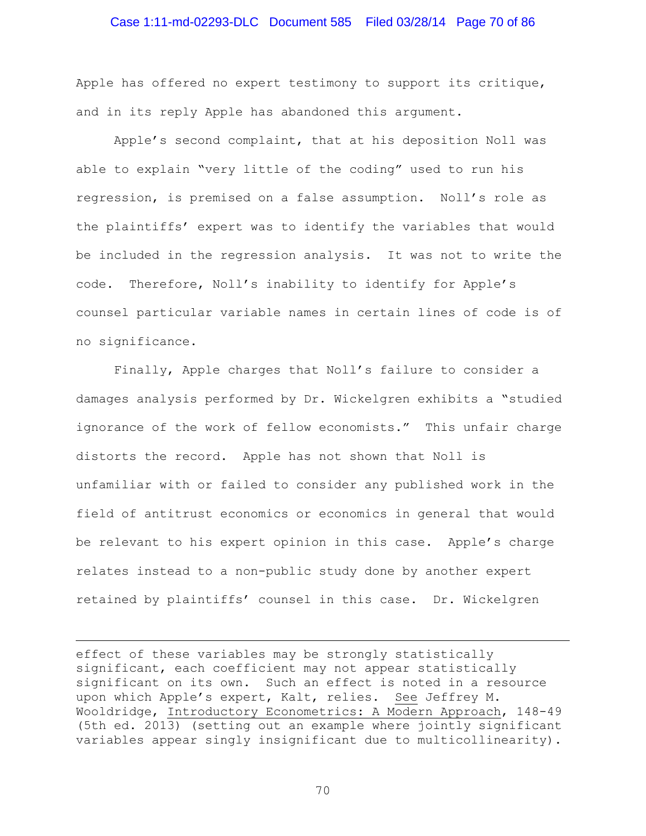### Case 1:11-md-02293-DLC Document 585 Filed 03/28/14 Page 70 of 86

Apple has offered no expert testimony to support its critique, and in its reply Apple has abandoned this argument.

Apple's second complaint, that at his deposition Noll was able to explain "very little of the coding" used to run his regression, is premised on a false assumption. Noll's role as the plaintiffs' expert was to identify the variables that would be included in the regression analysis. It was not to write the code. Therefore, Noll's inability to identify for Apple's counsel particular variable names in certain lines of code is of no significance.

Finally, Apple charges that Noll's failure to consider a damages analysis performed by Dr. Wickelgren exhibits a "studied ignorance of the work of fellow economists." This unfair charge distorts the record. Apple has not shown that Noll is unfamiliar with or failed to consider any published work in the field of antitrust economics or economics in general that would be relevant to his expert opinion in this case. Apple's charge relates instead to a non-public study done by another expert retained by plaintiffs' counsel in this case. Dr. Wickelgren

effect of these variables may be strongly statistically significant, each coefficient may not appear statistically significant on its own. Such an effect is noted in a resource upon which Apple's expert, Kalt, relies. See Jeffrey M. Wooldridge, Introductory Econometrics: A Modern Approach, 148-49 (5th ed. 2013) (setting out an example where jointly significant variables appear singly insignificant due to multicollinearity).

Ĩ.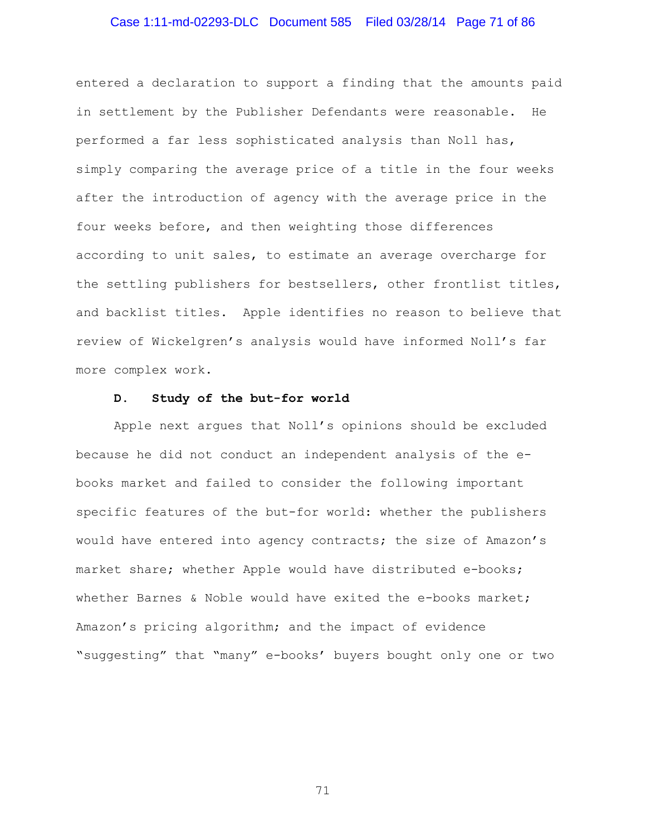# Case 1:11-md-02293-DLC Document 585 Filed 03/28/14 Page 71 of 86

entered a declaration to support a finding that the amounts paid in settlement by the Publisher Defendants were reasonable. He performed a far less sophisticated analysis than Noll has, simply comparing the average price of a title in the four weeks after the introduction of agency with the average price in the four weeks before, and then weighting those differences according to unit sales, to estimate an average overcharge for the settling publishers for bestsellers, other frontlist titles, and backlist titles. Apple identifies no reason to believe that review of Wickelgren's analysis would have informed Noll's far more complex work.

#### **D. Study of the but-for world**

Apple next argues that Noll's opinions should be excluded because he did not conduct an independent analysis of the ebooks market and failed to consider the following important specific features of the but-for world: whether the publishers would have entered into agency contracts; the size of Amazon's market share; whether Apple would have distributed e-books; whether Barnes & Noble would have exited the e-books market; Amazon's pricing algorithm; and the impact of evidence "suggesting" that "many" e-books' buyers bought only one or two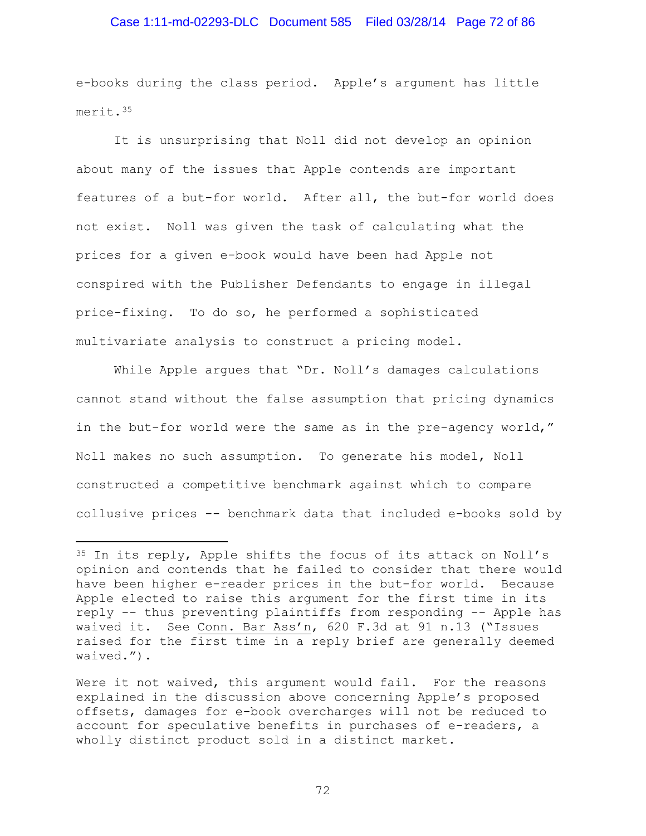### Case 1:11-md-02293-DLC Document 585 Filed 03/28/14 Page 72 of 86

e-books during the class period. Apple's argument has little merit.[35](#page-71-0)

It is unsurprising that Noll did not develop an opinion about many of the issues that Apple contends are important features of a but-for world. After all, the but-for world does not exist. Noll was given the task of calculating what the prices for a given e-book would have been had Apple not conspired with the Publisher Defendants to engage in illegal price-fixing. To do so, he performed a sophisticated multivariate analysis to construct a pricing model.

While Apple argues that "Dr. Noll's damages calculations cannot stand without the false assumption that pricing dynamics in the but-for world were the same as in the pre-agency world," Noll makes no such assumption. To generate his model, Noll constructed a competitive benchmark against which to compare collusive prices -- benchmark data that included e-books sold by

<span id="page-71-0"></span><sup>&</sup>lt;sup>35</sup> In its reply, Apple shifts the focus of its attack on Noll's opinion and contends that he failed to consider that there would have been higher e-reader prices in the but-for world. Because Apple elected to raise this argument for the first time in its reply -- thus preventing plaintiffs from responding -- Apple has waived it. See Conn. Bar Ass'n, 620 F.3d at 91 n.13 ("Issues raised for the first time in a reply brief are generally deemed waived."). Ĩ.

Were it not waived, this argument would fail. For the reasons explained in the discussion above concerning Apple's proposed offsets, damages for e-book overcharges will not be reduced to account for speculative benefits in purchases of e-readers, a wholly distinct product sold in a distinct market.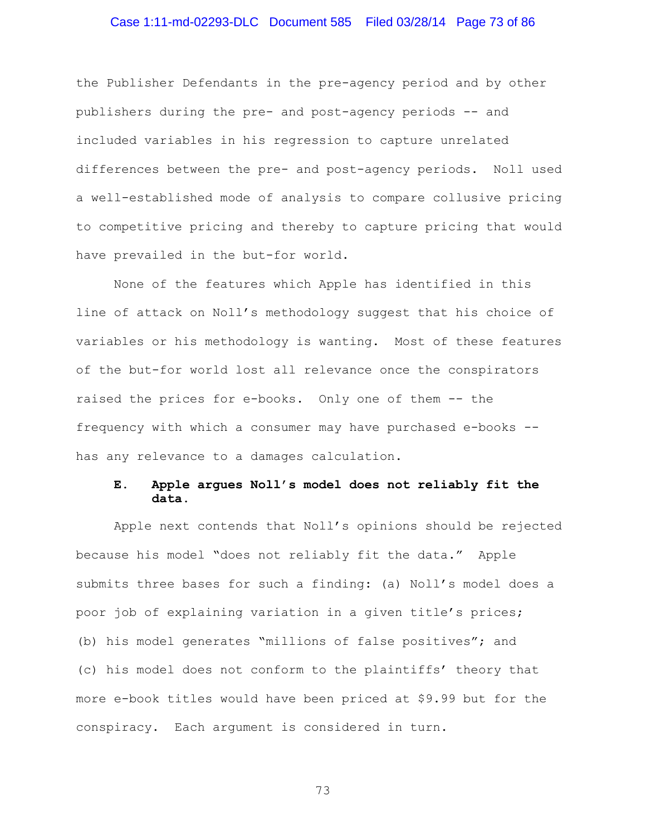### Case 1:11-md-02293-DLC Document 585 Filed 03/28/14 Page 73 of 86

the Publisher Defendants in the pre-agency period and by other publishers during the pre- and post-agency periods -- and included variables in his regression to capture unrelated differences between the pre- and post-agency periods. Noll used a well-established mode of analysis to compare collusive pricing to competitive pricing and thereby to capture pricing that would have prevailed in the but-for world.

None of the features which Apple has identified in this line of attack on Noll's methodology suggest that his choice of variables or his methodology is wanting. Most of these features of the but-for world lost all relevance once the conspirators raised the prices for e-books. Only one of them -- the frequency with which a consumer may have purchased e-books - has any relevance to a damages calculation.

### **E. Apple argues Noll's model does not reliably fit the data.**

Apple next contends that Noll's opinions should be rejected because his model "does not reliably fit the data." Apple submits three bases for such a finding: (a) Noll's model does a poor job of explaining variation in a given title's prices; (b) his model generates "millions of false positives"; and (c) his model does not conform to the plaintiffs' theory that more e-book titles would have been priced at \$9.99 but for the conspiracy. Each argument is considered in turn.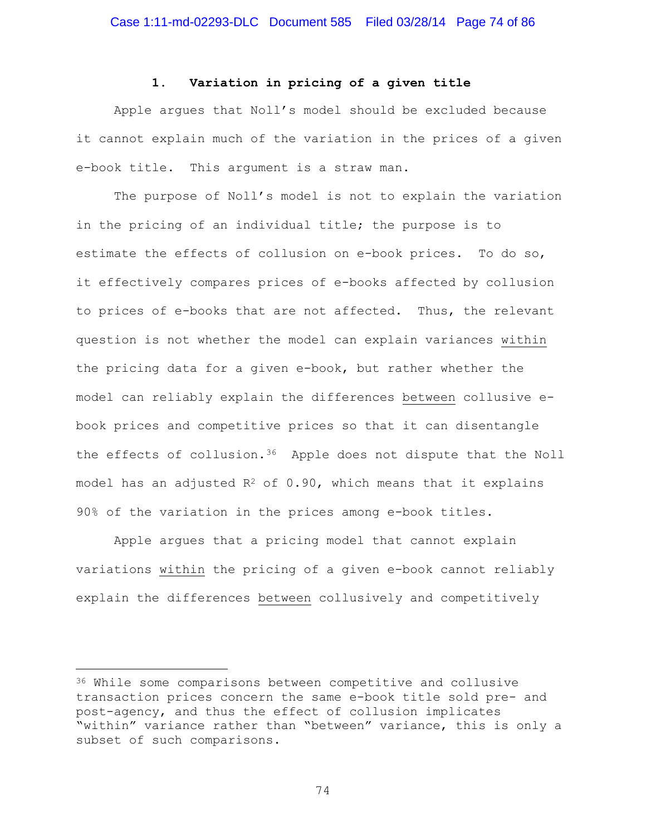### **1. Variation in pricing of a given title**

Apple argues that Noll's model should be excluded because it cannot explain much of the variation in the prices of a given e-book title. This argument is a straw man.

The purpose of Noll's model is not to explain the variation in the pricing of an individual title; the purpose is to estimate the effects of collusion on e-book prices. To do so, it effectively compares prices of e-books affected by collusion to prices of e-books that are not affected. Thus, the relevant question is not whether the model can explain variances within the pricing data for a given e-book, but rather whether the model can reliably explain the differences between collusive ebook prices and competitive prices so that it can disentangle the effects of collusion[.36](#page-73-0) Apple does not dispute that the Noll model has an adjusted  $R^2$  of 0.90, which means that it explains 90% of the variation in the prices among e-book titles.

Apple argues that a pricing model that cannot explain variations within the pricing of a given e-book cannot reliably explain the differences between collusively and competitively

Ĩ.

<span id="page-73-0"></span><sup>36</sup> While some comparisons between competitive and collusive transaction prices concern the same e-book title sold pre- and post-agency, and thus the effect of collusion implicates "within" variance rather than "between" variance, this is only a subset of such comparisons.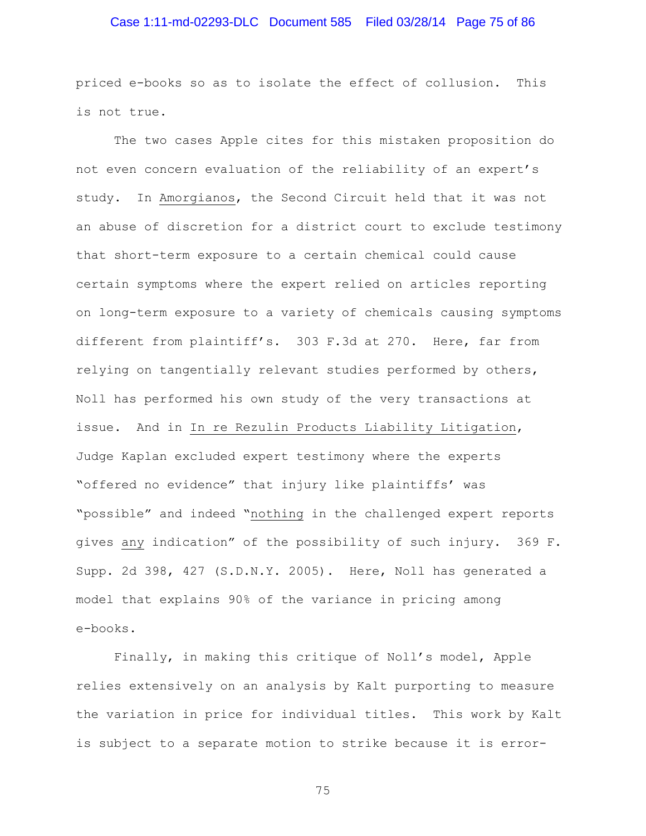# Case 1:11-md-02293-DLC Document 585 Filed 03/28/14 Page 75 of 86

priced e-books so as to isolate the effect of collusion. This is not true.

The two cases Apple cites for this mistaken proposition do not even concern evaluation of the reliability of an expert's study. In Amorgianos, the Second Circuit held that it was not an abuse of discretion for a district court to exclude testimony that short-term exposure to a certain chemical could cause certain symptoms where the expert relied on articles reporting on long-term exposure to a variety of chemicals causing symptoms different from plaintiff's. 303 F.3d at 270. Here, far from relying on tangentially relevant studies performed by others, Noll has performed his own study of the very transactions at issue. And in In re Rezulin Products Liability Litigation, Judge Kaplan excluded expert testimony where the experts "offered no evidence" that injury like plaintiffs' was "possible" and indeed "nothing in the challenged expert reports gives any indication" of the possibility of such injury. 369 F. Supp. 2d 398, 427 (S.D.N.Y. 2005). Here, Noll has generated a model that explains 90% of the variance in pricing among e-books.

Finally, in making this critique of Noll's model, Apple relies extensively on an analysis by Kalt purporting to measure the variation in price for individual titles. This work by Kalt is subject to a separate motion to strike because it is error-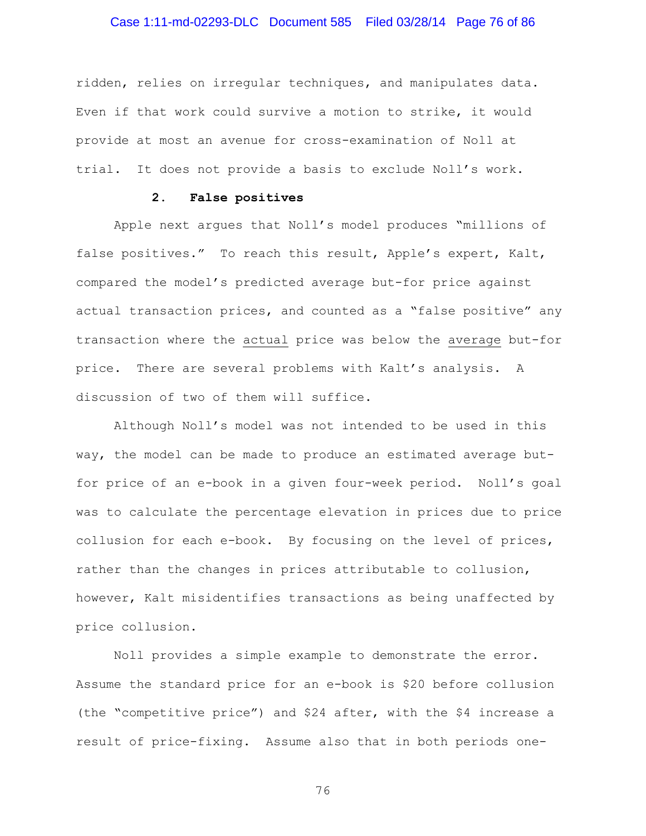# Case 1:11-md-02293-DLC Document 585 Filed 03/28/14 Page 76 of 86

ridden, relies on irregular techniques, and manipulates data. Even if that work could survive a motion to strike, it would provide at most an avenue for cross-examination of Noll at trial. It does not provide a basis to exclude Noll's work.

### **2. False positives**

Apple next argues that Noll's model produces "millions of false positives." To reach this result, Apple's expert, Kalt, compared the model's predicted average but-for price against actual transaction prices, and counted as a "false positive" any transaction where the actual price was below the average but-for price. There are several problems with Kalt's analysis. A discussion of two of them will suffice.

Although Noll's model was not intended to be used in this way, the model can be made to produce an estimated average butfor price of an e-book in a given four-week period. Noll's goal was to calculate the percentage elevation in prices due to price collusion for each e-book. By focusing on the level of prices, rather than the changes in prices attributable to collusion, however, Kalt misidentifies transactions as being unaffected by price collusion.

Noll provides a simple example to demonstrate the error. Assume the standard price for an e-book is \$20 before collusion (the "competitive price") and \$24 after, with the \$4 increase a result of price-fixing. Assume also that in both periods one-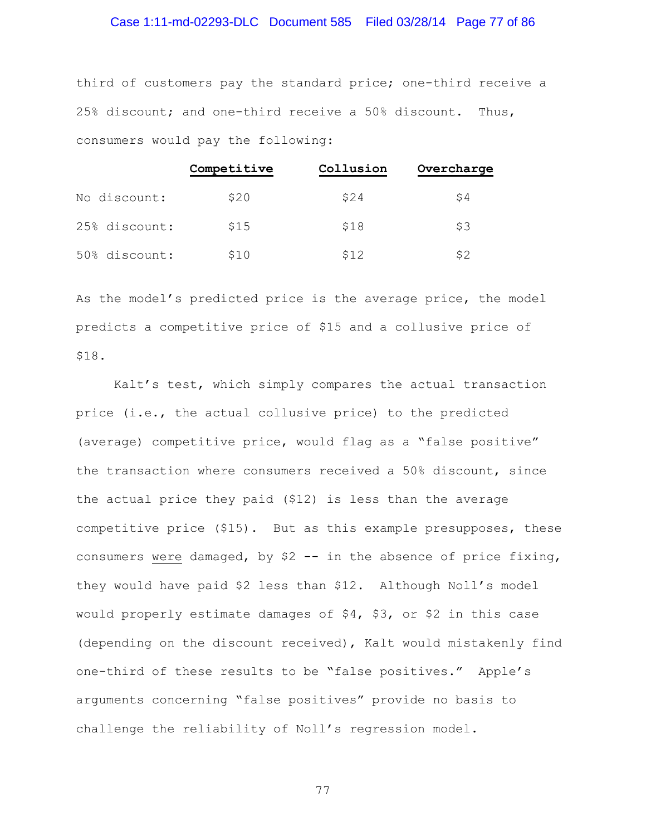### Case 1:11-md-02293-DLC Document 585 Filed 03/28/14 Page 77 of 86

third of customers pay the standard price; one-third receive a 25% discount; and one-third receive a 50% discount. Thus, consumers would pay the following:

|               | Competitive | Collusion | Overcharge |
|---------------|-------------|-----------|------------|
| No discount:  | \$20        | \$24      | S4         |
| 25% discount: | \$15        | \$18      | \$3        |
| 50% discount: | \$10        | \$12      | \$2        |

As the model's predicted price is the average price, the model predicts a competitive price of \$15 and a collusive price of \$18.

Kalt's test, which simply compares the actual transaction price (i.e., the actual collusive price) to the predicted (average) competitive price, would flag as a "false positive" the transaction where consumers received a 50% discount, since the actual price they paid (\$12) is less than the average competitive price (\$15). But as this example presupposes, these consumers were damaged, by \$2 -- in the absence of price fixing, they would have paid \$2 less than \$12. Although Noll's model would properly estimate damages of \$4, \$3, or \$2 in this case (depending on the discount received), Kalt would mistakenly find one-third of these results to be "false positives." Apple's arguments concerning "false positives" provide no basis to challenge the reliability of Noll's regression model.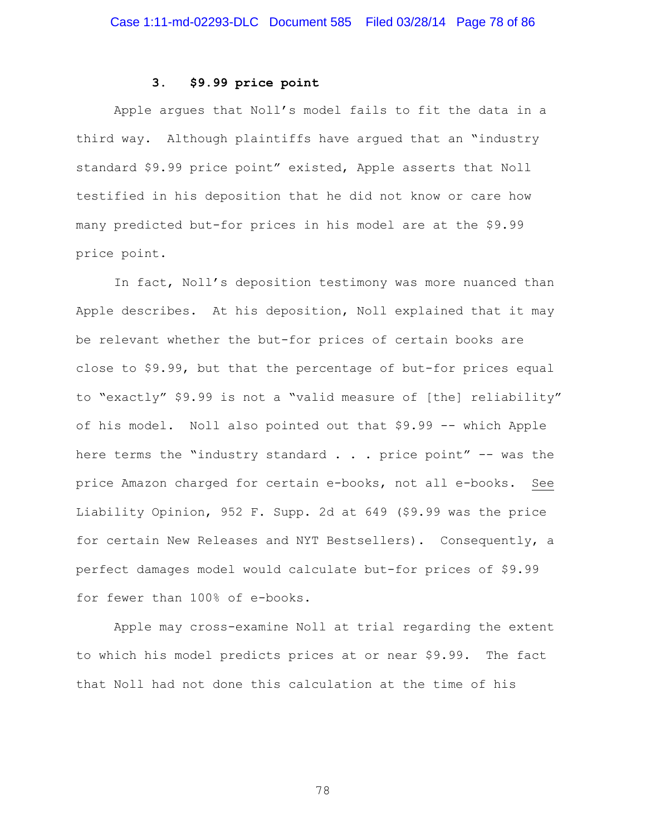## **3. \$9.99 price point**

Apple argues that Noll's model fails to fit the data in a third way. Although plaintiffs have argued that an "industry standard \$9.99 price point" existed, Apple asserts that Noll testified in his deposition that he did not know or care how many predicted but-for prices in his model are at the \$9.99 price point.

In fact, Noll's deposition testimony was more nuanced than Apple describes. At his deposition, Noll explained that it may be relevant whether the but-for prices of certain books are close to \$9.99, but that the percentage of but-for prices equal to "exactly" \$9.99 is not a "valid measure of [the] reliability" of his model. Noll also pointed out that \$9.99 -- which Apple here terms the "industry standard  $\ldots$  price point" -- was the price Amazon charged for certain e-books, not all e-books. See Liability Opinion, 952 F. Supp. 2d at 649 (\$9.99 was the price for certain New Releases and NYT Bestsellers). Consequently, a perfect damages model would calculate but-for prices of \$9.99 for fewer than 100% of e-books.

Apple may cross-examine Noll at trial regarding the extent to which his model predicts prices at or near \$9.99. The fact that Noll had not done this calculation at the time of his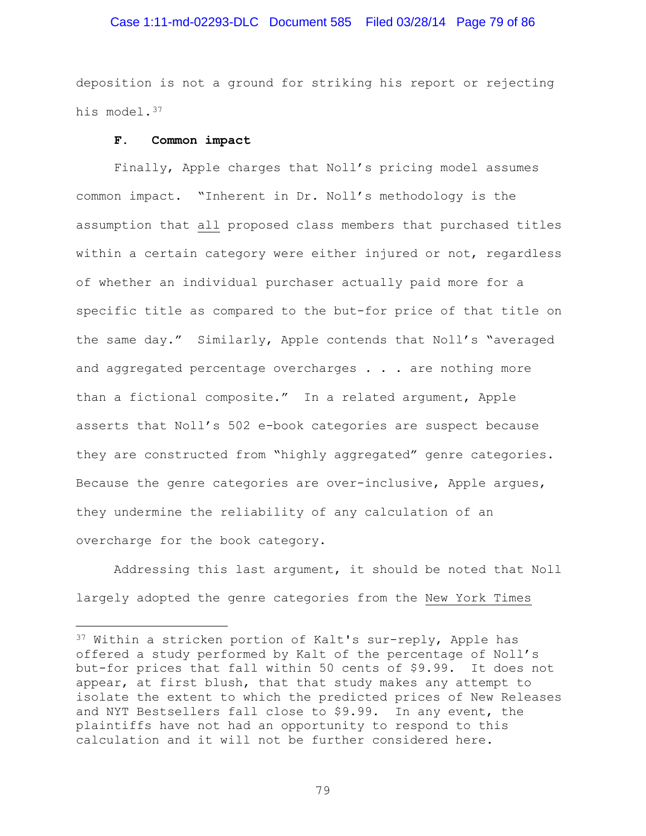### Case 1:11-md-02293-DLC Document 585 Filed 03/28/14 Page 79 of 86

deposition is not a ground for striking his report or rejecting his model.<sup>[37](#page-78-0)</sup>

#### **F. Common impact**

ī

Finally, Apple charges that Noll's pricing model assumes common impact. "Inherent in Dr. Noll's methodology is the assumption that all proposed class members that purchased titles within a certain category were either injured or not, regardless of whether an individual purchaser actually paid more for a specific title as compared to the but-for price of that title on the same day." Similarly, Apple contends that Noll's "averaged and aggregated percentage overcharges . . . are nothing more than a fictional composite." In a related argument, Apple asserts that Noll's 502 e-book categories are suspect because they are constructed from "highly aggregated" genre categories. Because the genre categories are over-inclusive, Apple argues, they undermine the reliability of any calculation of an overcharge for the book category.

Addressing this last argument, it should be noted that Noll largely adopted the genre categories from the New York Times

<span id="page-78-0"></span><sup>37</sup> Within a stricken portion of Kalt's sur-reply, Apple has offered a study performed by Kalt of the percentage of Noll's but-for prices that fall within 50 cents of \$9.99. It does not appear, at first blush, that that study makes any attempt to isolate the extent to which the predicted prices of New Releases and NYT Bestsellers fall close to \$9.99. In any event, the plaintiffs have not had an opportunity to respond to this calculation and it will not be further considered here.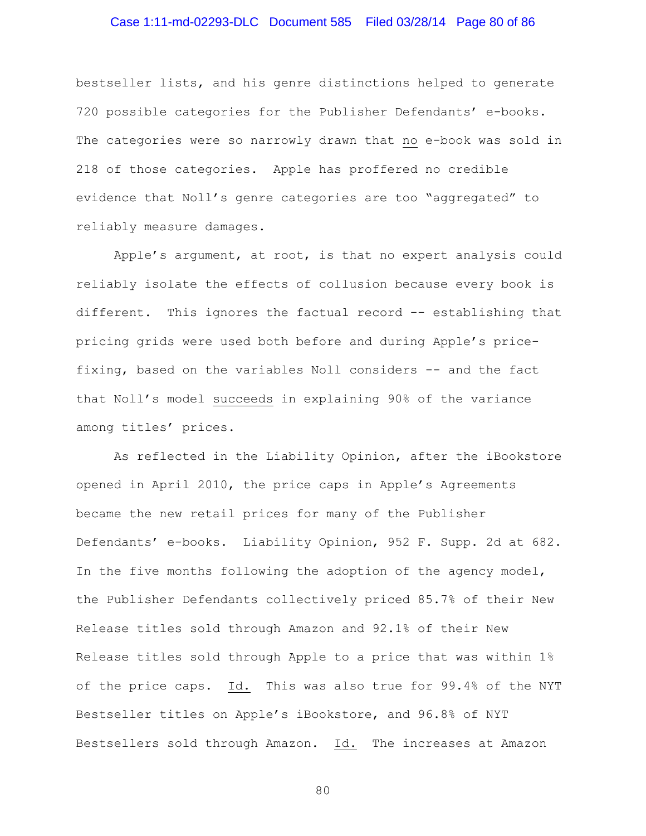### Case 1:11-md-02293-DLC Document 585 Filed 03/28/14 Page 80 of 86

bestseller lists, and his genre distinctions helped to generate 720 possible categories for the Publisher Defendants' e-books. The categories were so narrowly drawn that no e-book was sold in 218 of those categories. Apple has proffered no credible evidence that Noll's genre categories are too "aggregated" to reliably measure damages.

Apple's argument, at root, is that no expert analysis could reliably isolate the effects of collusion because every book is different. This ignores the factual record -- establishing that pricing grids were used both before and during Apple's pricefixing, based on the variables Noll considers -- and the fact that Noll's model succeeds in explaining 90% of the variance among titles' prices.

As reflected in the Liability Opinion, after the iBookstore opened in April 2010, the price caps in Apple's Agreements became the new retail prices for many of the Publisher Defendants' e-books. Liability Opinion, 952 F. Supp. 2d at 682. In the five months following the adoption of the agency model, the Publisher Defendants collectively priced 85.7% of their New Release titles sold through Amazon and 92.1% of their New Release titles sold through Apple to a price that was within 1% of the price caps. Id. This was also true for 99.4% of the NYT Bestseller titles on Apple's iBookstore, and 96.8% of NYT Bestsellers sold through Amazon. Id. The increases at Amazon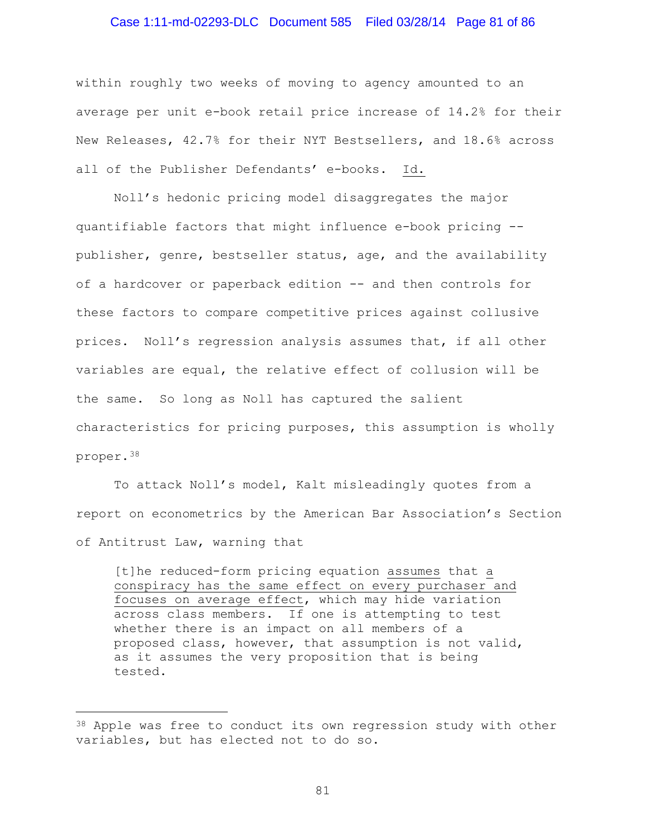### Case 1:11-md-02293-DLC Document 585 Filed 03/28/14 Page 81 of 86

within roughly two weeks of moving to agency amounted to an average per unit e-book retail price increase of 14.2% for their New Releases, 42.7% for their NYT Bestsellers, and 18.6% across all of the Publisher Defendants' e-books. Id.

Noll's hedonic pricing model disaggregates the major quantifiable factors that might influence e-book pricing - publisher, genre, bestseller status, age, and the availability of a hardcover or paperback edition -- and then controls for these factors to compare competitive prices against collusive prices. Noll's regression analysis assumes that, if all other variables are equal, the relative effect of collusion will be the same. So long as Noll has captured the salient characteristics for pricing purposes, this assumption is wholly proper.[38](#page-80-0)

To attack Noll's model, Kalt misleadingly quotes from a report on econometrics by the American Bar Association's Section of Antitrust Law, warning that

[t]he reduced-form pricing equation assumes that a conspiracy has the same effect on every purchaser and focuses on average effect, which may hide variation across class members. If one is attempting to test whether there is an impact on all members of a proposed class, however, that assumption is not valid, as it assumes the very proposition that is being tested.

Ĩ.

<span id="page-80-0"></span><sup>&</sup>lt;sup>38</sup> Apple was free to conduct its own regression study with other variables, but has elected not to do so.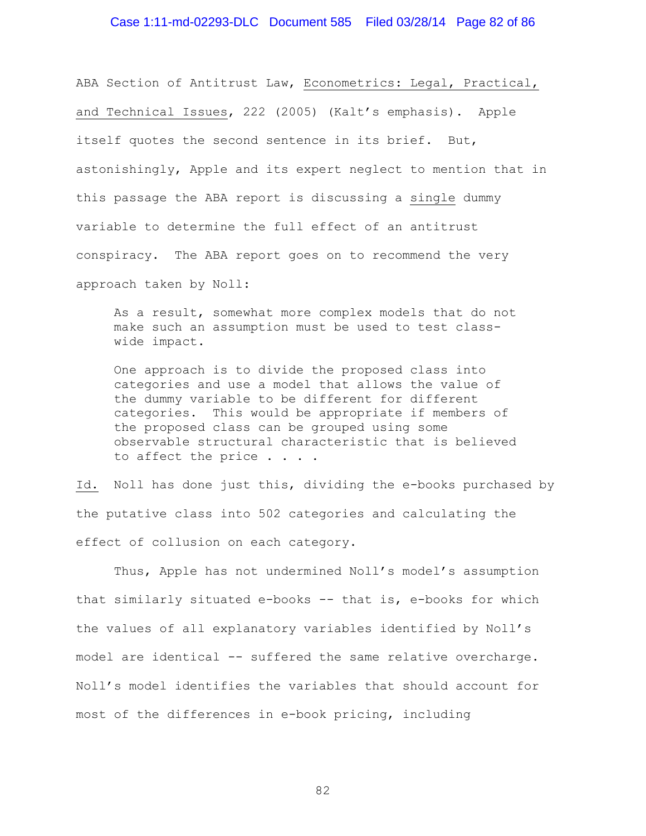### Case 1:11-md-02293-DLC Document 585 Filed 03/28/14 Page 82 of 86

ABA Section of Antitrust Law, Econometrics: Legal, Practical, and Technical Issues, 222 (2005) (Kalt's emphasis). Apple itself quotes the second sentence in its brief. But, astonishingly, Apple and its expert neglect to mention that in this passage the ABA report is discussing a single dummy variable to determine the full effect of an antitrust conspiracy. The ABA report goes on to recommend the very approach taken by Noll:

As a result, somewhat more complex models that do not make such an assumption must be used to test classwide impact.

One approach is to divide the proposed class into categories and use a model that allows the value of the dummy variable to be different for different categories. This would be appropriate if members of the proposed class can be grouped using some observable structural characteristic that is believed to affect the price . . . .

Id. Noll has done just this, dividing the e-books purchased by the putative class into 502 categories and calculating the effect of collusion on each category.

Thus, Apple has not undermined Noll's model's assumption that similarly situated e-books -- that is, e-books for which the values of all explanatory variables identified by Noll's model are identical -- suffered the same relative overcharge. Noll's model identifies the variables that should account for most of the differences in e-book pricing, including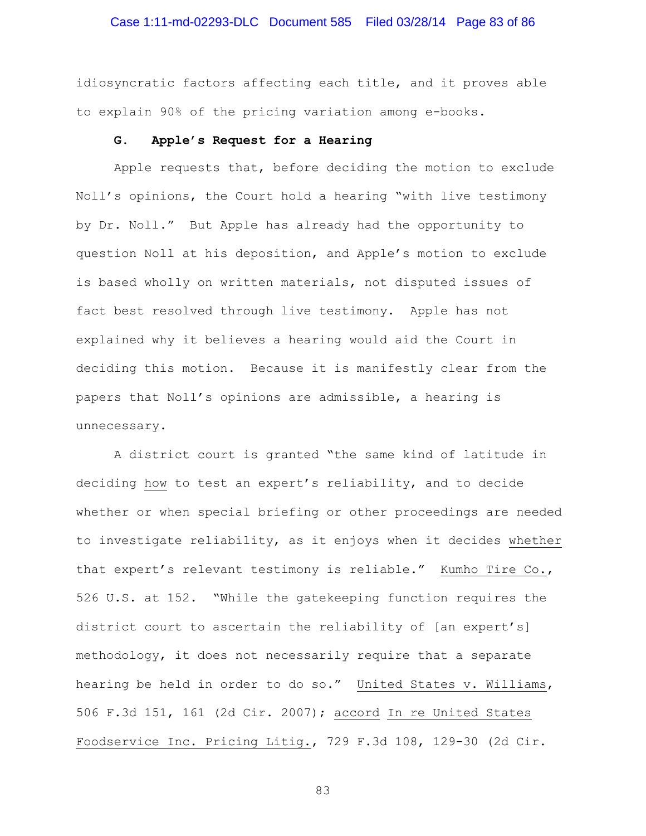### Case 1:11-md-02293-DLC Document 585 Filed 03/28/14 Page 83 of 86

idiosyncratic factors affecting each title, and it proves able to explain 90% of the pricing variation among e-books.

#### **G. Apple's Request for a Hearing**

Apple requests that, before deciding the motion to exclude Noll's opinions, the Court hold a hearing "with live testimony by Dr. Noll." But Apple has already had the opportunity to question Noll at his deposition, and Apple's motion to exclude is based wholly on written materials, not disputed issues of fact best resolved through live testimony. Apple has not explained why it believes a hearing would aid the Court in deciding this motion. Because it is manifestly clear from the papers that Noll's opinions are admissible, a hearing is unnecessary.

A district court is granted "the same kind of latitude in deciding how to test an expert's reliability, and to decide whether or when special briefing or other proceedings are needed to investigate reliability, as it enjoys when it decides whether that expert's relevant testimony is reliable." Kumho Tire Co., 526 U.S. at 152. "While the gatekeeping function requires the district court to ascertain the reliability of [an expert's] methodology, it does not necessarily require that a separate hearing be held in order to do so." United States v. Williams, 506 F.3d 151, 161 (2d Cir. 2007); accord In re United States Foodservice Inc. Pricing Litig., 729 F.3d 108, 129-30 (2d Cir.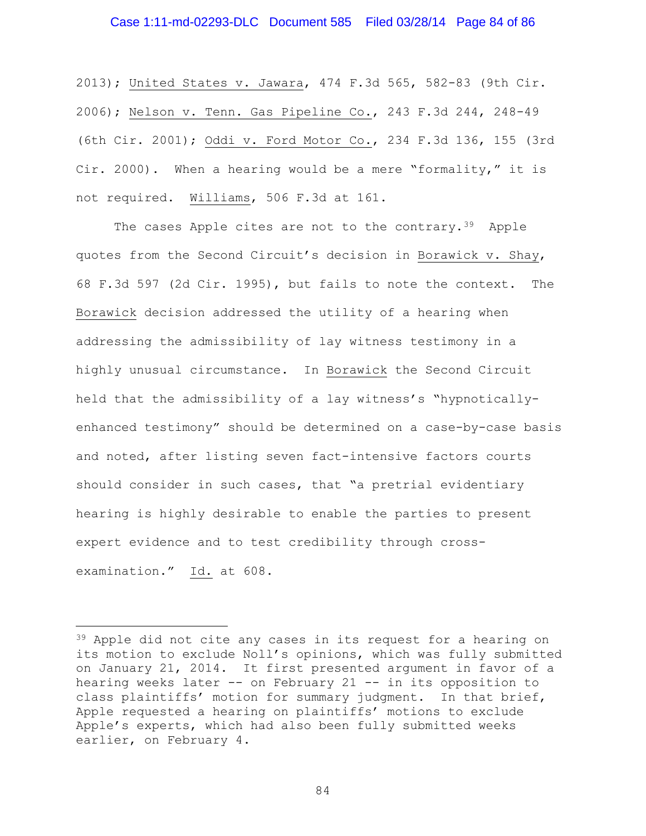### Case 1:11-md-02293-DLC Document 585 Filed 03/28/14 Page 84 of 86

2013); United States v. Jawara, 474 F.3d 565, 582-83 (9th Cir. 2006); Nelson v. Tenn. Gas Pipeline Co., 243 F.3d 244, 248-49 (6th Cir. 2001); Oddi v. Ford Motor Co., 234 F.3d 136, 155 (3rd Cir. 2000). When a hearing would be a mere "formality," it is not required. Williams, 506 F.3d at 161.

The cases Apple cites are not to the contrary.<sup>[39](#page-83-0)</sup> Apple quotes from the Second Circuit's decision in Borawick v. Shay, 68 F.3d 597 (2d Cir. 1995), but fails to note the context. The Borawick decision addressed the utility of a hearing when addressing the admissibility of lay witness testimony in a highly unusual circumstance. In Borawick the Second Circuit held that the admissibility of a lay witness's "hypnoticallyenhanced testimony" should be determined on a case-by-case basis and noted, after listing seven fact-intensive factors courts should consider in such cases, that "a pretrial evidentiary hearing is highly desirable to enable the parties to present expert evidence and to test credibility through crossexamination." Id. at 608.

ī

<span id="page-83-0"></span><sup>&</sup>lt;sup>39</sup> Apple did not cite any cases in its request for a hearing on its motion to exclude Noll's opinions, which was fully submitted on January 21, 2014. It first presented argument in favor of a hearing weeks later -- on February 21 -- in its opposition to class plaintiffs' motion for summary judgment. In that brief, Apple requested a hearing on plaintiffs' motions to exclude Apple's experts, which had also been fully submitted weeks earlier, on February 4.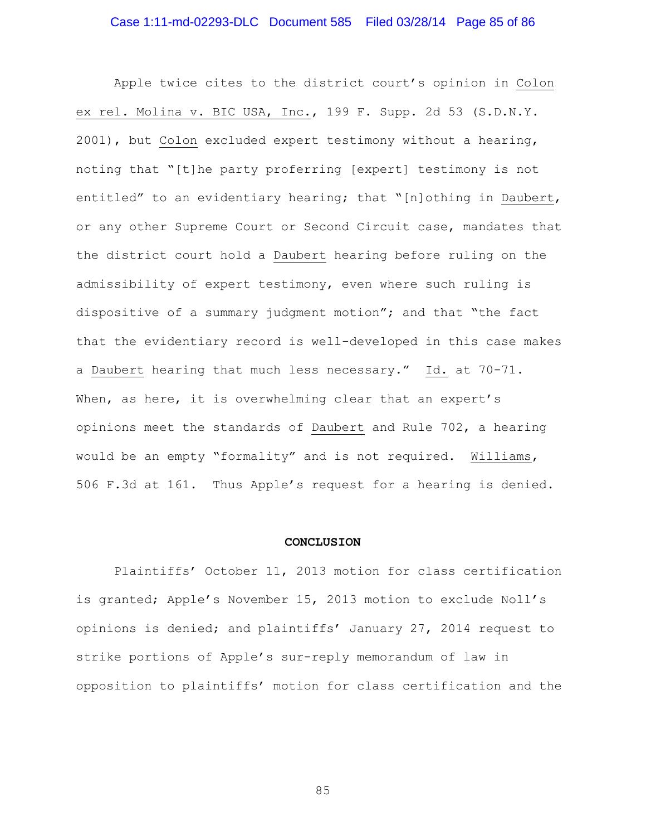Apple twice cites to the district court's opinion in Colon ex rel. Molina v. BIC USA, Inc., 199 F. Supp. 2d 53 (S.D.N.Y. 2001), but Colon excluded expert testimony without a hearing, noting that "[t]he party proferring [expert] testimony is not entitled" to an evidentiary hearing; that "[n]othing in Daubert, or any other Supreme Court or Second Circuit case, mandates that the district court hold a Daubert hearing before ruling on the admissibility of expert testimony, even where such ruling is dispositive of a summary judgment motion"; and that "the fact that the evidentiary record is well-developed in this case makes a Daubert hearing that much less necessary." Id. at 70-71. When, as here, it is overwhelming clear that an expert's opinions meet the standards of Daubert and Rule 702, a hearing would be an empty "formality" and is not required. Williams, 506 F.3d at 161. Thus Apple's request for a hearing is denied.

#### **CONCLUSION**

Plaintiffs' October 11, 2013 motion for class certification is granted; Apple's November 15, 2013 motion to exclude Noll's opinions is denied; and plaintiffs' January 27, 2014 request to strike portions of Apple's sur-reply memorandum of law in opposition to plaintiffs' motion for class certification and the